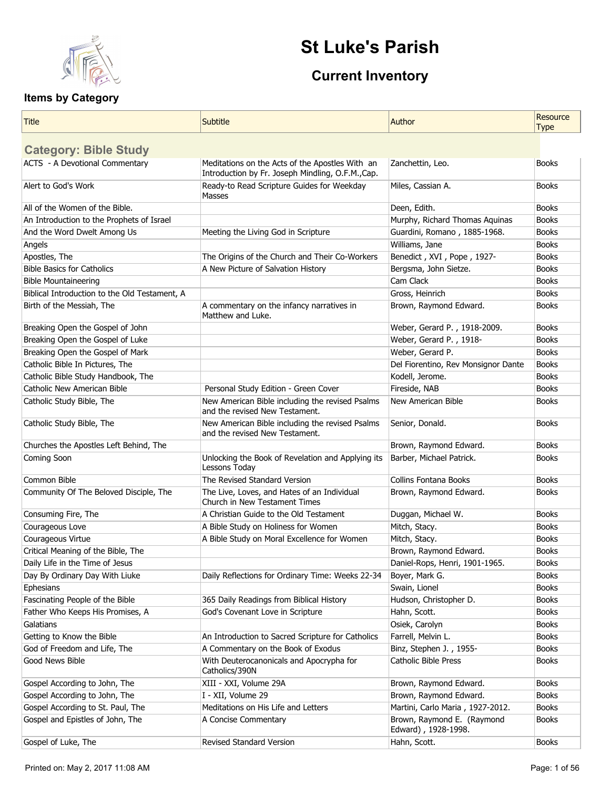

# **St Luke's Parish**

## **Current Inventory**

| Title                                         | <b>Subtitle</b>                                                                                      | Author                                            | Resource<br><b>Type</b> |
|-----------------------------------------------|------------------------------------------------------------------------------------------------------|---------------------------------------------------|-------------------------|
| <b>Category: Bible Study</b>                  |                                                                                                      |                                                   |                         |
| <b>ACTS - A Devotional Commentary</b>         | Meditations on the Acts of the Apostles With an<br>Introduction by Fr. Joseph Mindling, O.F.M., Cap. | Zanchettin, Leo.                                  | <b>Books</b>            |
| Alert to God's Work                           | Ready-to Read Scripture Guides for Weekday<br>Masses                                                 | Miles, Cassian A.                                 | <b>Books</b>            |
| All of the Women of the Bible.                |                                                                                                      | Deen, Edith.                                      | <b>Books</b>            |
| An Introduction to the Prophets of Israel     |                                                                                                      | Murphy, Richard Thomas Aquinas                    | <b>Books</b>            |
| And the Word Dwelt Among Us                   | Meeting the Living God in Scripture                                                                  | Guardini, Romano, 1885-1968.                      | <b>Books</b>            |
| Angels                                        |                                                                                                      | Williams, Jane                                    | <b>Books</b>            |
| Apostles, The                                 | The Origins of the Church and Their Co-Workers                                                       | Benedict, XVI, Pope, 1927-                        | <b>Books</b>            |
| <b>Bible Basics for Catholics</b>             | A New Picture of Salvation History                                                                   | Bergsma, John Sietze.                             | <b>Books</b>            |
| <b>Bible Mountaineering</b>                   |                                                                                                      | Cam Clack                                         | <b>Books</b>            |
| Biblical Introduction to the Old Testament, A |                                                                                                      | Gross, Heinrich                                   | <b>Books</b>            |
| Birth of the Messiah, The                     | A commentary on the infancy narratives in<br>Matthew and Luke.                                       | Brown, Raymond Edward.                            | <b>Books</b>            |
| Breaking Open the Gospel of John              |                                                                                                      | Weber, Gerard P., 1918-2009.                      | <b>Books</b>            |
| Breaking Open the Gospel of Luke              |                                                                                                      | Weber, Gerard P., 1918-                           | <b>Books</b>            |
| Breaking Open the Gospel of Mark              |                                                                                                      | Weber, Gerard P.                                  | <b>Books</b>            |
| Catholic Bible In Pictures, The               |                                                                                                      | Del Fiorentino, Rev Monsignor Dante               | <b>Books</b>            |
| Catholic Bible Study Handbook, The            |                                                                                                      | Kodell, Jerome.                                   | <b>Books</b>            |
| Catholic New American Bible                   | Personal Study Edition - Green Cover                                                                 | Fireside, NAB                                     | <b>Books</b>            |
| Catholic Study Bible, The                     | New American Bible including the revised Psalms<br>and the revised New Testament.                    | New American Bible                                | <b>Books</b>            |
| Catholic Study Bible, The                     | New American Bible including the revised Psalms<br>and the revised New Testament.                    | Senior, Donald.                                   | <b>Books</b>            |
| Churches the Apostles Left Behind, The        |                                                                                                      | Brown, Raymond Edward.                            | <b>Books</b>            |
| Coming Soon                                   | Unlocking the Book of Revelation and Applying its<br>Lessons Today                                   | Barber, Michael Patrick.                          | <b>Books</b>            |
| Common Bible                                  | The Revised Standard Version                                                                         | <b>Collins Fontana Books</b>                      | <b>Books</b>            |
| Community Of The Beloved Disciple, The        | The Live, Loves, and Hates of an Individual<br>Church in New Testament Times                         | Brown, Raymond Edward.                            | <b>Books</b>            |
| Consuming Fire, The                           | A Christian Guide to the Old Testament                                                               | Duggan, Michael W.                                | <b>Books</b>            |
| Courageous Love                               | A Bible Study on Holiness for Women                                                                  | Mitch, Stacy.                                     | <b>Books</b>            |
| Courageous Virtue                             | A Bible Study on Moral Excellence for Women                                                          | Mitch, Stacy.                                     | <b>Books</b>            |
| Critical Meaning of the Bible, The            |                                                                                                      | Brown, Raymond Edward.                            | <b>Books</b>            |
| Daily Life in the Time of Jesus               |                                                                                                      | Daniel-Rops, Henri, 1901-1965.                    | <b>Books</b>            |
| Day By Ordinary Day With Liuke                | Daily Reflections for Ordinary Time: Weeks 22-34                                                     | Boyer, Mark G.                                    | <b>Books</b>            |
| Ephesians                                     |                                                                                                      | Swain, Lionel                                     | <b>Books</b>            |
| Fascinating People of the Bible               | 365 Daily Readings from Biblical History                                                             | Hudson, Christopher D.                            | <b>Books</b>            |
| Father Who Keeps His Promises, A              | God's Covenant Love in Scripture                                                                     | Hahn, Scott.                                      | <b>Books</b>            |
| Galatians                                     |                                                                                                      | Osiek, Carolyn                                    | <b>Books</b>            |
| Getting to Know the Bible                     | An Introduction to Sacred Scripture for Catholics                                                    | Farrell, Melvin L.                                | <b>Books</b>            |
| God of Freedom and Life, The                  | A Commentary on the Book of Exodus                                                                   | Binz, Stephen J., 1955-                           | <b>Books</b>            |
| Good News Bible                               | With Deuterocanonicals and Apocrypha for<br>Catholics/390N                                           | <b>Catholic Bible Press</b>                       | <b>Books</b>            |
| Gospel According to John, The                 | XIII - XXI, Volume 29A                                                                               | Brown, Raymond Edward.                            | <b>Books</b>            |
| Gospel According to John, The                 | I - XII, Volume 29                                                                                   | Brown, Raymond Edward.                            | <b>Books</b>            |
| Gospel According to St. Paul, The             | Meditations on His Life and Letters                                                                  | Martini, Carlo Maria, 1927-2012.                  | <b>Books</b>            |
| Gospel and Epistles of John, The              | A Concise Commentary                                                                                 | Brown, Raymond E. (Raymond<br>Edward), 1928-1998. | <b>Books</b>            |
| Gospel of Luke, The                           | Revised Standard Version                                                                             | Hahn, Scott.                                      | <b>Books</b>            |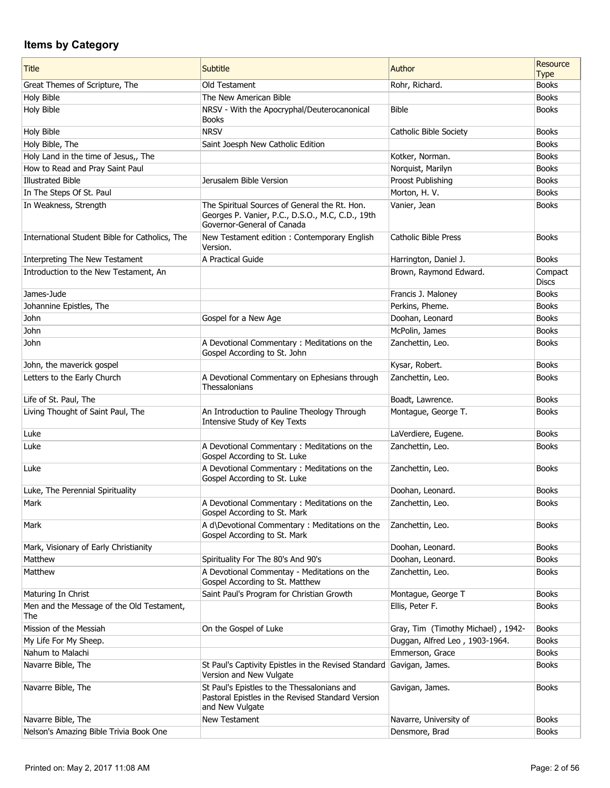| <b>Title</b>                                     | <b>Subtitle</b>                                                                                                                 | Author                             | <b>Resource</b><br><b>Type</b> |
|--------------------------------------------------|---------------------------------------------------------------------------------------------------------------------------------|------------------------------------|--------------------------------|
| Great Themes of Scripture, The                   | Old Testament                                                                                                                   | Rohr, Richard.                     | <b>Books</b>                   |
| Holy Bible                                       | The New American Bible                                                                                                          |                                    | <b>Books</b>                   |
| Holy Bible                                       | NRSV - With the Apocryphal/Deuterocanonical<br><b>Books</b>                                                                     | <b>Bible</b>                       | <b>Books</b>                   |
| Holy Bible                                       | <b>NRSV</b>                                                                                                                     | Catholic Bible Society             | <b>Books</b>                   |
| Holy Bible, The                                  | Saint Joesph New Catholic Edition                                                                                               |                                    | <b>Books</b>                   |
| Holy Land in the time of Jesus,, The             |                                                                                                                                 | Kotker, Norman.                    | <b>Books</b>                   |
| How to Read and Pray Saint Paul                  |                                                                                                                                 | Norquist, Marilyn                  | <b>Books</b>                   |
| <b>Illustrated Bible</b>                         | Jerusalem Bible Version                                                                                                         | Proost Publishing                  | <b>Books</b>                   |
| In The Steps Of St. Paul                         |                                                                                                                                 | Morton, H. V.                      | <b>Books</b>                   |
| In Weakness, Strength                            | The Spiritual Sources of General the Rt. Hon.<br>Georges P. Vanier, P.C., D.S.O., M.C, C.D., 19th<br>Governor-General of Canada | Vanier, Jean                       | <b>Books</b>                   |
| International Student Bible for Catholics, The   | New Testament edition: Contemporary English<br>Version.                                                                         | <b>Catholic Bible Press</b>        | <b>Books</b>                   |
| Interpreting The New Testament                   | A Practical Guide                                                                                                               | Harrington, Daniel J.              | <b>Books</b>                   |
| Introduction to the New Testament, An            |                                                                                                                                 | Brown, Raymond Edward.             | Compact<br><b>Discs</b>        |
| James-Jude                                       |                                                                                                                                 | Francis J. Maloney                 | <b>Books</b>                   |
| Johannine Epistles, The                          |                                                                                                                                 | Perkins, Pheme.                    | <b>Books</b>                   |
| John                                             | Gospel for a New Age                                                                                                            | Doohan, Leonard                    | <b>Books</b>                   |
| John                                             |                                                                                                                                 | McPolin, James                     | <b>Books</b>                   |
| John                                             | A Devotional Commentary : Meditations on the<br>Gospel According to St. John                                                    | Zanchettin, Leo.                   | <b>Books</b>                   |
| John, the maverick gospel                        |                                                                                                                                 | Kysar, Robert.                     | <b>Books</b>                   |
| Letters to the Early Church                      | A Devotional Commentary on Ephesians through<br>Thessalonians                                                                   | Zanchettin, Leo.                   | <b>Books</b>                   |
| Life of St. Paul, The                            |                                                                                                                                 | Boadt, Lawrence.                   | <b>Books</b>                   |
| Living Thought of Saint Paul, The                | An Introduction to Pauline Theology Through<br>Intensive Study of Key Texts                                                     | Montague, George T.                | <b>Books</b>                   |
| Luke                                             |                                                                                                                                 | LaVerdiere, Eugene.                | <b>Books</b>                   |
| Luke                                             | A Devotional Commentary: Meditations on the<br>Gospel According to St. Luke                                                     | Zanchettin, Leo.                   | <b>Books</b>                   |
| Luke                                             | A Devotional Commentary : Meditations on the<br>Gospel According to St. Luke                                                    | Zanchettin, Leo.                   | <b>Books</b>                   |
| Luke, The Perennial Spirituality                 |                                                                                                                                 | Doohan, Leonard.                   | <b>Books</b>                   |
| Mark                                             | A Devotional Commentary: Meditations on the<br>Gospel According to St. Mark                                                     | Zanchettin, Leo.                   | <b>Books</b>                   |
| Mark                                             | A d\Devotional Commentary: Meditations on the<br>Gospel According to St. Mark                                                   | Zanchettin, Leo.                   | <b>Books</b>                   |
| Mark, Visionary of Early Christianity            |                                                                                                                                 | Doohan, Leonard.                   | <b>Books</b>                   |
| Matthew                                          | Spirituality For The 80's And 90's                                                                                              | Doohan, Leonard.                   | <b>Books</b>                   |
| Matthew                                          | A Devotional Commentay - Meditations on the<br>Gospel According to St. Matthew                                                  | Zanchettin, Leo.                   | <b>Books</b>                   |
| Maturing In Christ                               | Saint Paul's Program for Christian Growth                                                                                       | Montague, George T                 | <b>Books</b>                   |
| Men and the Message of the Old Testament,<br>The |                                                                                                                                 | Ellis, Peter F.                    | <b>Books</b>                   |
| Mission of the Messiah                           | On the Gospel of Luke                                                                                                           | Gray, Tim (Timothy Michael), 1942- | <b>Books</b>                   |
| My Life For My Sheep.                            |                                                                                                                                 | Duggan, Alfred Leo, 1903-1964.     | <b>Books</b>                   |
| Nahum to Malachi                                 |                                                                                                                                 | Emmerson, Grace                    | <b>Books</b>                   |
| Navarre Bible, The                               | St Paul's Captivity Epistles in the Revised Standard<br>Version and New Vulgate                                                 | Gavigan, James.                    | <b>Books</b>                   |
| Navarre Bible, The                               | St Paul's Epistles to the Thessalonians and<br>Pastoral Epistles in the Revised Standard Version<br>and New Vulgate             | Gavigan, James.                    | <b>Books</b>                   |
| Navarre Bible, The                               | New Testament                                                                                                                   | Navarre, University of             | <b>Books</b>                   |
| Nelson's Amazing Bible Trivia Book One           |                                                                                                                                 | Densmore, Brad                     | <b>Books</b>                   |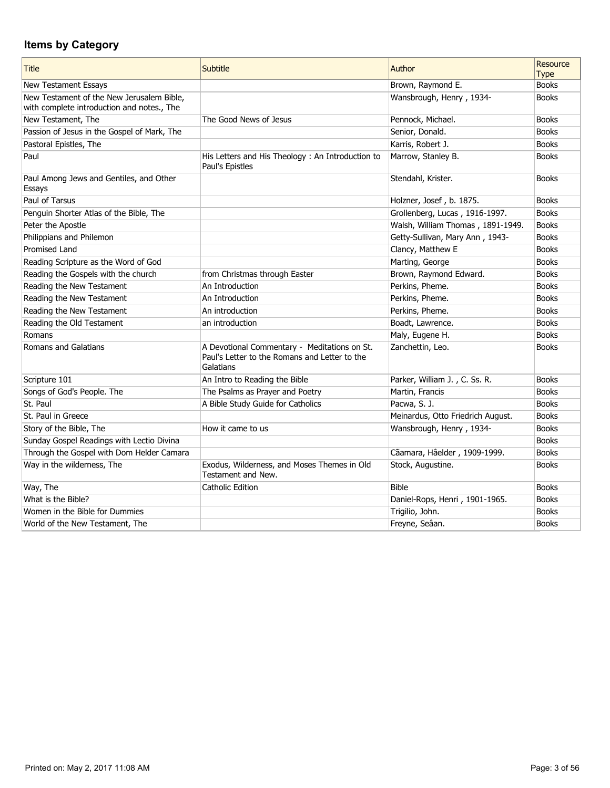| <b>Title</b>                                                                            | Subtitle                                                                                                   | Author                            | Resource<br><b>Type</b> |
|-----------------------------------------------------------------------------------------|------------------------------------------------------------------------------------------------------------|-----------------------------------|-------------------------|
| New Testament Essays                                                                    |                                                                                                            | Brown, Raymond E.                 | <b>Books</b>            |
| New Testament of the New Jerusalem Bible,<br>with complete introduction and notes., The |                                                                                                            | Wansbrough, Henry, 1934-          | <b>Books</b>            |
| New Testament, The                                                                      | The Good News of Jesus                                                                                     | Pennock, Michael.                 | <b>Books</b>            |
| Passion of Jesus in the Gospel of Mark, The                                             |                                                                                                            | Senior, Donald.                   | <b>Books</b>            |
| Pastoral Epistles, The                                                                  |                                                                                                            | Karris, Robert J.                 | <b>Books</b>            |
| Paul                                                                                    | His Letters and His Theology: An Introduction to<br>Paul's Epistles                                        | Marrow, Stanley B.                | <b>Books</b>            |
| Paul Among Jews and Gentiles, and Other<br>Essays                                       |                                                                                                            | Stendahl, Krister.                | <b>Books</b>            |
| Paul of Tarsus                                                                          |                                                                                                            | Holzner, Josef, b. 1875.          | <b>Books</b>            |
| Penguin Shorter Atlas of the Bible, The                                                 |                                                                                                            | Grollenberg, Lucas, 1916-1997.    | <b>Books</b>            |
| Peter the Apostle                                                                       |                                                                                                            | Walsh, William Thomas, 1891-1949. | <b>Books</b>            |
| Philippians and Philemon                                                                |                                                                                                            | Getty-Sullivan, Mary Ann, 1943-   | <b>Books</b>            |
| <b>Promised Land</b>                                                                    |                                                                                                            | Clancy, Matthew E                 | <b>Books</b>            |
| Reading Scripture as the Word of God                                                    |                                                                                                            | Marting, George                   | <b>Books</b>            |
| Reading the Gospels with the church                                                     | from Christmas through Easter                                                                              | Brown, Raymond Edward.            | <b>Books</b>            |
| Reading the New Testament                                                               | An Introduction                                                                                            | Perkins, Pheme.                   | <b>Books</b>            |
| Reading the New Testament                                                               | An Introduction                                                                                            | Perkins, Pheme.                   | <b>Books</b>            |
| Reading the New Testament                                                               | An introduction                                                                                            | Perkins, Pheme.                   | <b>Books</b>            |
| Reading the Old Testament                                                               | an introduction                                                                                            | Boadt, Lawrence.                  | <b>Books</b>            |
| Romans                                                                                  |                                                                                                            | Maly, Eugene H.                   | <b>Books</b>            |
| Romans and Galatians                                                                    | A Devotional Commentary - Meditations on St.<br>Paul's Letter to the Romans and Letter to the<br>Galatians | Zanchettin, Leo.                  | <b>Books</b>            |
| Scripture 101                                                                           | An Intro to Reading the Bible                                                                              | Parker, William J., C. Ss. R.     | <b>Books</b>            |
| Songs of God's People. The                                                              | The Psalms as Prayer and Poetry                                                                            | Martin, Francis                   | <b>Books</b>            |
| St. Paul                                                                                | A Bible Study Guide for Catholics                                                                          | Pacwa, S. J.                      | <b>Books</b>            |
| St. Paul in Greece                                                                      |                                                                                                            | Meinardus, Otto Friedrich August. | <b>Books</b>            |
| Story of the Bible, The                                                                 | How it came to us                                                                                          | Wansbrough, Henry, 1934-          | <b>Books</b>            |
| Sunday Gospel Readings with Lectio Divina                                               |                                                                                                            |                                   | <b>Books</b>            |
| Through the Gospel with Dom Helder Camara                                               |                                                                                                            | Cãamara, Hâelder, 1909-1999.      | <b>Books</b>            |
| Way in the wilderness, The                                                              | Exodus, Wilderness, and Moses Themes in Old<br>Testament and New.                                          | Stock, Augustine.                 | <b>Books</b>            |
| Way, The                                                                                | <b>Catholic Edition</b>                                                                                    | <b>Bible</b>                      | <b>Books</b>            |
| What is the Bible?                                                                      |                                                                                                            | Daniel-Rops, Henri, 1901-1965.    | <b>Books</b>            |
| Women in the Bible for Dummies                                                          |                                                                                                            | Trigilio, John.                   | <b>Books</b>            |
| World of the New Testament, The                                                         |                                                                                                            | Freyne, Seâan.                    | <b>Books</b>            |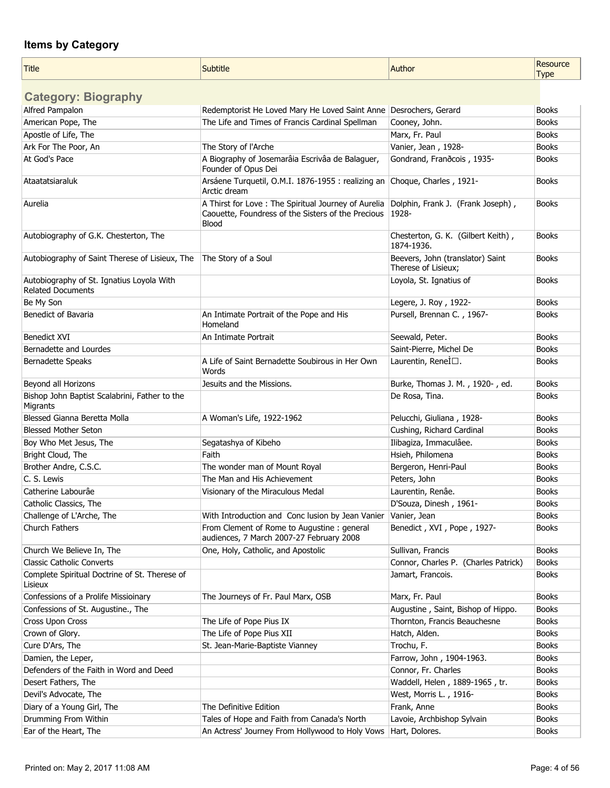$\mathbf{r}$ 

| <b>Title</b>                                                          | Subtitle                                                                                                            | Author                                                  | Resource<br><b>Type</b> |
|-----------------------------------------------------------------------|---------------------------------------------------------------------------------------------------------------------|---------------------------------------------------------|-------------------------|
| <b>Category: Biography</b>                                            |                                                                                                                     |                                                         |                         |
| Alfred Pampalon                                                       | Redemptorist He Loved Mary He Loved Saint Anne   Desrochers, Gerard                                                 |                                                         | <b>Books</b>            |
| American Pope, The                                                    | The Life and Times of Francis Cardinal Spellman                                                                     | Cooney, John.                                           | <b>Books</b>            |
| Apostle of Life, The                                                  |                                                                                                                     | Marx, Fr. Paul                                          | <b>Books</b>            |
| Ark For The Poor, An                                                  | The Story of l'Arche                                                                                                | Vanier, Jean, 1928-                                     | <b>Books</b>            |
| At God's Pace                                                         | A Biography of Josemarâia Escrivâa de Balaguer,<br>Founder of Opus Dei                                              | Gondrand, Franðcois, 1935-                              | <b>Books</b>            |
| Ataatatsiaraluk                                                       | Arsáene Turquetil, O.M.I. 1876-1955 : realizing an<br>Arctic dream                                                  | Choque, Charles, 1921-                                  | <b>Books</b>            |
| Aurelia                                                               | A Thirst for Love : The Spiritual Journey of Aurelia<br>Caouette, Foundress of the Sisters of the Precious<br>Blood | Dolphin, Frank J. (Frank Joseph),<br>1928-              | <b>Books</b>            |
| Autobiography of G.K. Chesterton, The                                 |                                                                                                                     | Chesterton, G. K. (Gilbert Keith),<br>1874-1936.        | <b>Books</b>            |
| Autobiography of Saint Therese of Lisieux, The                        | The Story of a Soul                                                                                                 | Beevers, John (translator) Saint<br>Therese of Lisieux; | <b>Books</b>            |
| Autobiography of St. Ignatius Loyola With<br><b>Related Documents</b> |                                                                                                                     | Loyola, St. Ignatius of                                 | <b>Books</b>            |
| Be My Son                                                             |                                                                                                                     | Legere, J. Roy, 1922-                                   | <b>Books</b>            |
| Benedict of Bavaria                                                   | An Intimate Portrait of the Pope and His<br>Homeland                                                                | Pursell, Brennan C., 1967-                              | <b>Books</b>            |
| <b>Benedict XVI</b>                                                   | An Intimate Portrait                                                                                                | Seewald, Peter.                                         | <b>Books</b>            |
| Bernadette and Lourdes                                                |                                                                                                                     | Saint-Pierre, Michel De                                 | <b>Books</b>            |
| Bernadette Speaks                                                     | A Life of Saint Bernadette Soubirous in Her Own<br>Words                                                            | Laurentin, ReneÌ□.                                      | <b>Books</b>            |
| Beyond all Horizons                                                   | Jesuits and the Missions.                                                                                           | Burke, Thomas J. M., 1920-, ed.                         | <b>Books</b>            |
| Bishop John Baptist Scalabrini, Father to the<br>Migrants             |                                                                                                                     | De Rosa, Tina.                                          | <b>Books</b>            |
| Blessed Gianna Beretta Molla                                          | A Woman's Life, 1922-1962                                                                                           | Pelucchi, Giuliana, 1928-                               | <b>Books</b>            |
| <b>Blessed Mother Seton</b>                                           |                                                                                                                     | Cushing, Richard Cardinal                               | <b>Books</b>            |
| Boy Who Met Jesus, The                                                | Segatashya of Kibeho                                                                                                | Ilibagiza, Immaculâee.                                  | <b>Books</b>            |
| Bright Cloud, The                                                     | Faith                                                                                                               | Hsieh, Philomena                                        | <b>Books</b>            |
| Brother Andre, C.S.C.                                                 | The wonder man of Mount Royal                                                                                       | Bergeron, Henri-Paul                                    | <b>Books</b>            |
| C. S. Lewis                                                           | The Man and His Achievement                                                                                         | Peters, John                                            | <b>Books</b>            |
| Catherine Labourâe                                                    | Visionary of the Miraculous Medal                                                                                   | Laurentin, Renâe.                                       | <b>Books</b>            |
| Catholic Classics, The                                                |                                                                                                                     | D'Souza, Dinesh, 1961-                                  | <b>Books</b>            |
| Challenge of L'Arche, The                                             | With Introduction and Conc lusion by Jean Vanier                                                                    | Vanier, Jean                                            | <b>Books</b>            |
| Church Fathers                                                        | From Clement of Rome to Augustine : general<br>audiences, 7 March 2007-27 February 2008                             | Benedict, XVI, Pope, 1927-                              | <b>Books</b>            |
| Church We Believe In, The                                             | One, Holy, Catholic, and Apostolic                                                                                  | Sullivan, Francis                                       | <b>Books</b>            |
| <b>Classic Catholic Converts</b>                                      |                                                                                                                     | Connor, Charles P. (Charles Patrick)                    | <b>Books</b>            |
| Complete Spiritual Doctrine of St. Therese of<br>Lisieux              |                                                                                                                     | Jamart, Francois.                                       | <b>Books</b>            |
| Confessions of a Prolife Missioinary                                  | The Journeys of Fr. Paul Marx, OSB                                                                                  | Marx, Fr. Paul                                          | <b>Books</b>            |
| Confessions of St. Augustine., The                                    |                                                                                                                     | Augustine, Saint, Bishop of Hippo.                      | <b>Books</b>            |
| Cross Upon Cross                                                      | The Life of Pope Pius IX                                                                                            | Thornton, Francis Beauchesne                            | <b>Books</b>            |
| Crown of Glory.                                                       | The Life of Pope Pius XII                                                                                           | Hatch, Alden.                                           | <b>Books</b>            |
| Cure D'Ars, The                                                       | St. Jean-Marie-Baptiste Vianney                                                                                     | Trochu, F.                                              | <b>Books</b>            |
| Damien, the Leper,                                                    |                                                                                                                     | Farrow, John, 1904-1963.                                | <b>Books</b>            |
| Defenders of the Faith in Word and Deed                               |                                                                                                                     | Connor, Fr. Charles                                     | <b>Books</b>            |
| Desert Fathers, The                                                   |                                                                                                                     | Waddell, Helen, 1889-1965, tr.                          | <b>Books</b>            |
| Devil's Advocate, The                                                 |                                                                                                                     | West, Morris L., 1916-                                  | <b>Books</b>            |
| Diary of a Young Girl, The                                            | The Definitive Edition                                                                                              | Frank, Anne                                             | <b>Books</b>            |
| Drumming From Within                                                  | Tales of Hope and Faith from Canada's North                                                                         | Lavoie, Archbishop Sylvain                              | <b>Books</b>            |
| Ear of the Heart, The                                                 | An Actress' Journey From Hollywood to Holy Vows   Hart, Dolores.                                                    |                                                         | <b>Books</b>            |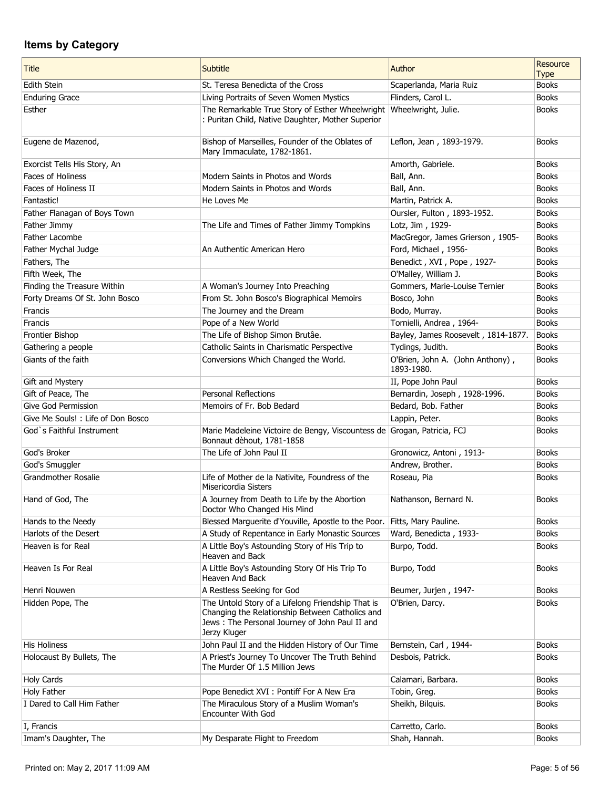| <b>Title</b>                                   | <b>Subtitle</b>                                                                                                                                                        | Author                                         | Resource<br><b>Type</b>      |
|------------------------------------------------|------------------------------------------------------------------------------------------------------------------------------------------------------------------------|------------------------------------------------|------------------------------|
| Edith Stein                                    | St. Teresa Benedicta of the Cross                                                                                                                                      | Scaperlanda, Maria Ruiz                        | <b>Books</b>                 |
| <b>Enduring Grace</b>                          | Living Portraits of Seven Women Mystics                                                                                                                                | Flinders, Carol L.                             | <b>Books</b>                 |
| Esther                                         | The Remarkable True Story of Esther Wheelwright<br>: Puritan Child, Native Daughter, Mother Superior                                                                   | Wheelwright, Julie.                            | <b>Books</b>                 |
| Eugene de Mazenod,                             | Bishop of Marseilles, Founder of the Oblates of<br>Mary Immaculate, 1782-1861.                                                                                         | Leflon, Jean, 1893-1979.                       | <b>Books</b>                 |
| Exorcist Tells His Story, An                   |                                                                                                                                                                        | Amorth, Gabriele.                              | <b>Books</b>                 |
| <b>Faces of Holiness</b>                       | Modern Saints in Photos and Words                                                                                                                                      | Ball, Ann.                                     | <b>Books</b>                 |
| Faces of Holiness II                           | Modern Saints in Photos and Words                                                                                                                                      | Ball, Ann.                                     | <b>Books</b>                 |
| Fantastic!                                     | He Loves Me                                                                                                                                                            | Martin, Patrick A.                             | <b>Books</b>                 |
| Father Flanagan of Boys Town                   |                                                                                                                                                                        | Oursler, Fulton, 1893-1952.                    | <b>Books</b>                 |
| Father Jimmy                                   | The Life and Times of Father Jimmy Tompkins                                                                                                                            | Lotz, Jim, 1929-                               | <b>Books</b>                 |
| Father Lacombe                                 |                                                                                                                                                                        | MacGregor, James Grierson, 1905-               | <b>Books</b>                 |
| Father Mychal Judge                            | An Authentic American Hero                                                                                                                                             | Ford, Michael, 1956-                           | <b>Books</b>                 |
| Fathers, The                                   |                                                                                                                                                                        | Benedict, XVI, Pope, 1927-                     | <b>Books</b><br><b>Books</b> |
| Fifth Week, The<br>Finding the Treasure Within | A Woman's Journey Into Preaching                                                                                                                                       | O'Malley, William J.                           | <b>Books</b>                 |
| Forty Dreams Of St. John Bosco                 | From St. John Bosco's Biographical Memoirs                                                                                                                             | Gommers, Marie-Louise Ternier<br>Bosco, John   | <b>Books</b>                 |
| Francis                                        | The Journey and the Dream                                                                                                                                              | Bodo, Murray.                                  | <b>Books</b>                 |
| Francis                                        | Pope of a New World                                                                                                                                                    | Tornielli, Andrea, 1964-                       | <b>Books</b>                 |
| Frontier Bishop                                | The Life of Bishop Simon Brutâe.                                                                                                                                       | Bayley, James Roosevelt, 1814-1877.            | <b>Books</b>                 |
| Gathering a people                             | Catholic Saints in Charismatic Perspective                                                                                                                             | Tydings, Judith.                               | <b>Books</b>                 |
| Giants of the faith                            | Conversions Which Changed the World.                                                                                                                                   | O'Brien, John A. (John Anthony),<br>1893-1980. | <b>Books</b>                 |
| Gift and Mystery                               |                                                                                                                                                                        | II, Pope John Paul                             | <b>Books</b>                 |
| Gift of Peace, The                             | <b>Personal Reflections</b>                                                                                                                                            | Bernardin, Joseph, 1928-1996.                  | <b>Books</b>                 |
| Give God Permission                            | Memoirs of Fr. Bob Bedard                                                                                                                                              | Bedard, Bob. Father                            | <b>Books</b>                 |
| Give Me Souls! : Life of Don Bosco             |                                                                                                                                                                        | Lappin, Peter.                                 | <b>Books</b>                 |
| God's Faithful Instrument                      | Marie Madeleine Victoire de Bengy, Viscountess de Grogan, Patricia, FCJ<br>Bonnaut dèhout, 1781-1858                                                                   |                                                | <b>Books</b>                 |
| God's Broker                                   | The Life of John Paul II                                                                                                                                               | Gronowicz, Antoni, 1913-                       | <b>Books</b>                 |
| God's Smuggler                                 |                                                                                                                                                                        | Andrew, Brother.                               | <b>Books</b>                 |
| <b>Grandmother Rosalie</b>                     | Life of Mother de la Nativite, Foundress of the<br>Misericordia Sisters                                                                                                | Roseau, Pia                                    | <b>Books</b>                 |
| Hand of God, The                               | A Journey from Death to Life by the Abortion<br>Doctor Who Changed His Mind                                                                                            | Nathanson, Bernard N.                          | <b>Books</b>                 |
| Hands to the Needy                             | Blessed Marguerite d'Youville, Apostle to the Poor.                                                                                                                    | Fitts, Mary Pauline.                           | <b>Books</b>                 |
| Harlots of the Desert                          | A Study of Repentance in Early Monastic Sources                                                                                                                        | Ward, Benedicta, 1933-                         | <b>Books</b>                 |
| Heaven is for Real                             | A Little Boy's Astounding Story of His Trip to<br>Heaven and Back                                                                                                      | Burpo, Todd.                                   | <b>Books</b>                 |
| Heaven Is For Real                             | A Little Boy's Astounding Story Of His Trip To<br>Heaven And Back                                                                                                      | Burpo, Todd                                    | <b>Books</b>                 |
| Henri Nouwen                                   | A Restless Seeking for God                                                                                                                                             | Beumer, Jurjen, 1947-                          | <b>Books</b>                 |
| Hidden Pope, The                               | The Untold Story of a Lifelong Friendship That is<br>Changing the Relationship Between Catholics and<br>Jews: The Personal Journey of John Paul II and<br>Jerzy Kluger | O'Brien, Darcy.                                | <b>Books</b>                 |
| <b>His Holiness</b>                            | John Paul II and the Hidden History of Our Time                                                                                                                        | Bernstein, Carl, 1944-                         | <b>Books</b>                 |
| Holocaust By Bullets, The                      | A Priest's Journey To Uncover The Truth Behind<br>The Murder Of 1.5 Million Jews                                                                                       | Desbois, Patrick.                              | <b>Books</b>                 |
| <b>Holy Cards</b>                              |                                                                                                                                                                        | Calamari, Barbara.                             | <b>Books</b>                 |
| Holy Father                                    | Pope Benedict XVI : Pontiff For A New Era                                                                                                                              | Tobin, Greg.                                   | <b>Books</b>                 |
| I Dared to Call Him Father                     | The Miraculous Story of a Muslim Woman's<br><b>Encounter With God</b>                                                                                                  | Sheikh, Bilquis.                               | <b>Books</b>                 |
| I, Francis                                     |                                                                                                                                                                        | Carretto, Carlo.                               | <b>Books</b>                 |
| Imam's Daughter, The                           | My Desparate Flight to Freedom                                                                                                                                         | Shah, Hannah.                                  | <b>Books</b>                 |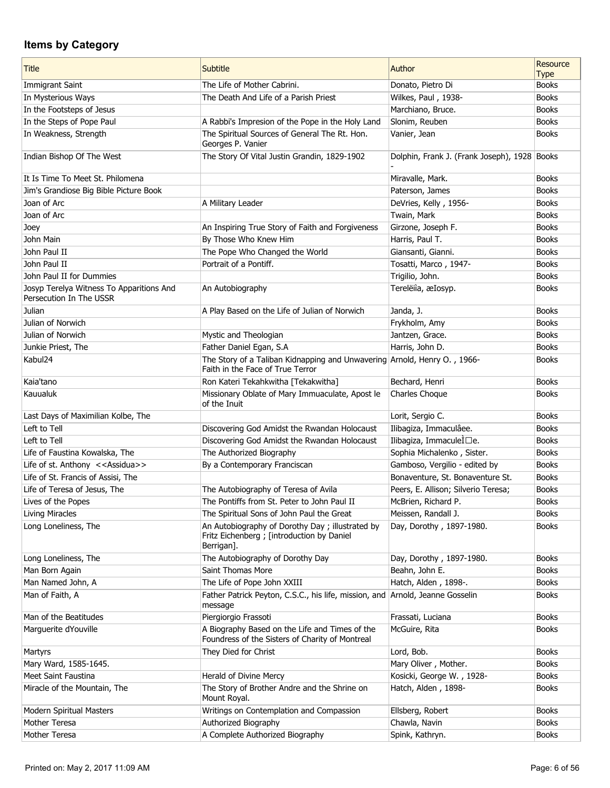| <b>Title</b>                                                        | <b>Subtitle</b>                                                                                              | Author                                       | Resource<br><b>Type</b> |
|---------------------------------------------------------------------|--------------------------------------------------------------------------------------------------------------|----------------------------------------------|-------------------------|
| <b>Immigrant Saint</b>                                              | The Life of Mother Cabrini.                                                                                  | Donato, Pietro Di                            | <b>Books</b>            |
| In Mysterious Ways                                                  | The Death And Life of a Parish Priest                                                                        | Wilkes, Paul, 1938-                          | <b>Books</b>            |
| In the Footsteps of Jesus                                           |                                                                                                              | Marchiano, Bruce.                            | <b>Books</b>            |
| In the Steps of Pope Paul                                           | A Rabbi's Impresion of the Pope in the Holy Land                                                             | Slonim, Reuben                               | <b>Books</b>            |
| In Weakness, Strength                                               | The Spiritual Sources of General The Rt. Hon.<br>Georges P. Vanier                                           | Vanier, Jean                                 | <b>Books</b>            |
| Indian Bishop Of The West                                           | The Story Of Vital Justin Grandin, 1829-1902                                                                 | Dolphin, Frank J. (Frank Joseph), 1928 Books |                         |
| It Is Time To Meet St. Philomena                                    |                                                                                                              | Miravalle, Mark.                             | <b>Books</b>            |
| Jim's Grandiose Big Bible Picture Book                              |                                                                                                              | Paterson, James                              | <b>Books</b>            |
| Joan of Arc                                                         | A Military Leader                                                                                            | DeVries, Kelly, 1956-                        | <b>Books</b>            |
| Joan of Arc                                                         |                                                                                                              | Twain, Mark                                  | <b>Books</b>            |
| Joey                                                                | An Inspiring True Story of Faith and Forgiveness                                                             | Girzone, Joseph F.                           | <b>Books</b>            |
| John Main                                                           | By Those Who Knew Him                                                                                        | Harris, Paul T.                              | <b>Books</b>            |
| John Paul II                                                        | The Pope Who Changed the World                                                                               | Giansanti, Gianni.                           | <b>Books</b>            |
| John Paul II                                                        | Portrait of a Pontiff.                                                                                       | Tosatti, Marco, 1947-                        | <b>Books</b>            |
| John Paul II for Dummies                                            |                                                                                                              | Trigilio, John.                              | <b>Books</b>            |
| Josyp Terelya Witness To Apparitions And<br>Persecution In The USSR | An Autobiography                                                                                             | Terelëiìa, æIosyp.                           | <b>Books</b>            |
| Julian                                                              | A Play Based on the Life of Julian of Norwich                                                                | Janda, J.                                    | <b>Books</b>            |
| Julian of Norwich                                                   |                                                                                                              | Frykholm, Amy                                | <b>Books</b>            |
| Julian of Norwich                                                   | Mystic and Theologian                                                                                        | Jantzen, Grace.                              | <b>Books</b>            |
| Junkie Priest, The                                                  | Father Daniel Egan, S.A                                                                                      | Harris, John D.                              | <b>Books</b>            |
| Kabul24                                                             | The Story of a Taliban Kidnapping and Unwavering Arnold, Henry O., 1966-<br>Faith in the Face of True Terror |                                              | <b>Books</b>            |
| Kaia'tano                                                           | Ron Kateri Tekahkwitha [Tekakwitha]                                                                          | Bechard, Henri                               | <b>Books</b>            |
| Kauualuk                                                            | Missionary Oblate of Mary Immuaculate, Apost le<br>of the Inuit                                              | Charles Choque                               | <b>Books</b>            |
| Last Days of Maximilian Kolbe, The                                  |                                                                                                              | Lorit, Sergio C.                             | <b>Books</b>            |
| Left to Tell                                                        | Discovering God Amidst the Rwandan Holocaust                                                                 | Ilibagiza, Immaculâee.                       | <b>Books</b>            |
| Left to Tell                                                        | Discovering God Amidst the Rwandan Holocaust                                                                 | Ilibagiza, ImmaculeÌ□e.                      | <b>Books</b>            |
| Life of Faustina Kowalska, The                                      | The Authorized Biography                                                                                     | Sophia Michalenko, Sister.                   | <b>Books</b>            |
| Life of st. Anthony < <assidua>&gt;</assidua>                       | By a Contemporary Franciscan                                                                                 | Gamboso, Vergilio - edited by                | <b>Books</b>            |
| Life of St. Francis of Assisi, The                                  |                                                                                                              | Bonaventure, St. Bonaventure St.             | <b>Books</b>            |
| Life of Teresa of Jesus, The                                        | The Autobiography of Teresa of Avila                                                                         | Peers, E. Allison; Silverio Teresa;          | <b>Books</b>            |
| Lives of the Popes                                                  | The Pontiffs from St. Peter to John Paul II                                                                  | McBrien, Richard P.                          | <b>Books</b>            |
| <b>Living Miracles</b>                                              | The Spiritual Sons of John Paul the Great                                                                    | Meissen, Randall J.                          | <b>Books</b>            |
| Long Loneliness, The                                                | An Autobiography of Dorothy Day; illustrated by<br>Fritz Eichenberg ; [introduction by Daniel<br>Berrigan].  | Day, Dorothy, 1897-1980.                     | <b>Books</b>            |
| Long Loneliness, The                                                | The Autobiography of Dorothy Day                                                                             | Day, Dorothy, 1897-1980.                     | <b>Books</b>            |
| Man Born Again                                                      | Saint Thomas More                                                                                            | Beahn, John E.                               | <b>Books</b>            |
| Man Named John, A                                                   | The Life of Pope John XXIII                                                                                  | Hatch, Alden, 1898-.                         | <b>Books</b>            |
| Man of Faith, A                                                     | Father Patrick Peyton, C.S.C., his life, mission, and Arnold, Jeanne Gosselin<br>message                     |                                              | <b>Books</b>            |
| Man of the Beatitudes                                               | Piergiorgio Frassoti                                                                                         | Frassati, Luciana                            | <b>Books</b>            |
| Marguerite dYouville                                                | A Biography Based on the Life and Times of the<br>Foundress of the Sisters of Charity of Montreal            | McGuire, Rita                                | <b>Books</b>            |
| Martyrs                                                             | They Died for Christ                                                                                         | Lord, Bob.                                   | <b>Books</b>            |
| Mary Ward, 1585-1645.                                               |                                                                                                              | Mary Oliver, Mother.                         | <b>Books</b>            |
| Meet Saint Faustina                                                 | Herald of Divine Mercy                                                                                       | Kosicki, George W., 1928-                    | <b>Books</b>            |
| Miracle of the Mountain, The                                        | The Story of Brother Andre and the Shrine on<br>Mount Royal.                                                 | Hatch, Alden, 1898-                          | <b>Books</b>            |
| Modern Spiritual Masters                                            | Writings on Contemplation and Compassion                                                                     | Ellsberg, Robert                             | <b>Books</b>            |
| Mother Teresa                                                       | Authorized Biography                                                                                         | Chawla, Navin                                | <b>Books</b>            |
| Mother Teresa                                                       | A Complete Authorized Biography                                                                              | Spink, Kathryn.                              | <b>Books</b>            |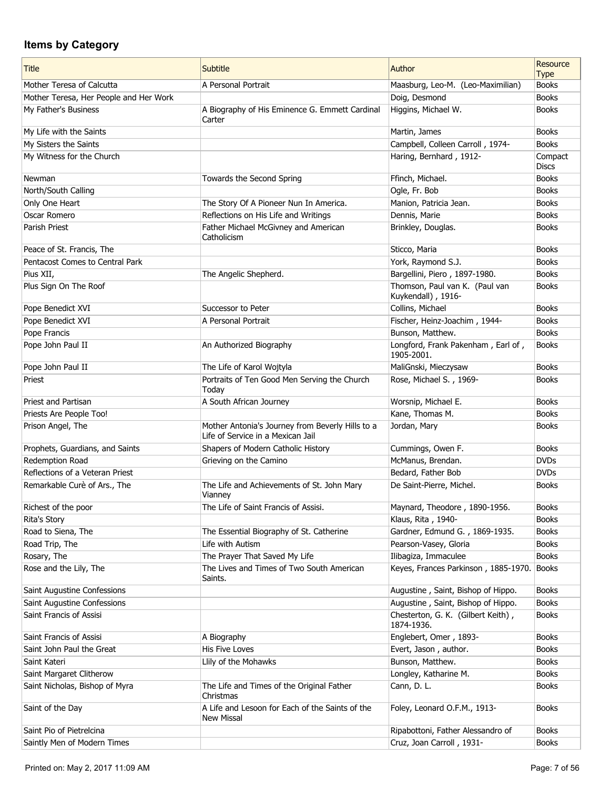| <b>Title</b>                           | Subtitle                                                                              | Author                                               | Resource<br><b>Type</b> |
|----------------------------------------|---------------------------------------------------------------------------------------|------------------------------------------------------|-------------------------|
| Mother Teresa of Calcutta              | A Personal Portrait                                                                   | Maasburg, Leo-M. (Leo-Maximilian)                    | <b>Books</b>            |
| Mother Teresa, Her People and Her Work |                                                                                       | Doig, Desmond                                        | <b>Books</b>            |
| My Father's Business                   | A Biography of His Eminence G. Emmett Cardinal<br>Carter                              | Higgins, Michael W.                                  | <b>Books</b>            |
| My Life with the Saints                |                                                                                       | Martin, James                                        | <b>Books</b>            |
| My Sisters the Saints                  |                                                                                       | Campbell, Colleen Carroll, 1974-                     | <b>Books</b>            |
| My Witness for the Church              |                                                                                       | Haring, Bernhard, 1912-                              | Compact<br><b>Discs</b> |
| Newman                                 | Towards the Second Spring                                                             | Ffinch, Michael.                                     | <b>Books</b>            |
| North/South Calling                    |                                                                                       | Ogle, Fr. Bob                                        | <b>Books</b>            |
| Only One Heart                         | The Story Of A Pioneer Nun In America.                                                | Manion, Patricia Jean.                               | <b>Books</b>            |
| Oscar Romero                           | Reflections on His Life and Writings                                                  | Dennis, Marie                                        | <b>Books</b>            |
| Parish Priest                          | Father Michael McGivney and American<br>Catholicism                                   | Brinkley, Douglas.                                   | <b>Books</b>            |
| Peace of St. Francis, The              |                                                                                       | Sticco, Maria                                        | <b>Books</b>            |
| Pentacost Comes to Central Park        |                                                                                       | York, Raymond S.J.                                   | <b>Books</b>            |
| Pius XII,                              | The Angelic Shepherd.                                                                 | Bargellini, Piero, 1897-1980.                        | <b>Books</b>            |
| Plus Sign On The Roof                  |                                                                                       | Thomson, Paul van K. (Paul van<br>Kuykendall), 1916- | <b>Books</b>            |
| Pope Benedict XVI                      | Successor to Peter                                                                    | Collins, Michael                                     | <b>Books</b>            |
| Pope Benedict XVI                      | A Personal Portrait                                                                   | Fischer, Heinz-Joachim, 1944-                        | <b>Books</b>            |
| Pope Francis                           |                                                                                       | Bunson, Matthew.                                     | <b>Books</b>            |
| Pope John Paul II                      | An Authorized Biography                                                               | Longford, Frank Pakenham, Earl of,<br>1905-2001.     | <b>Books</b>            |
| Pope John Paul II                      | The Life of Karol Wojtyla                                                             | MaliGnski, Mieczysaw                                 | <b>Books</b>            |
| Priest                                 | Portraits of Ten Good Men Serving the Church<br>Today                                 | Rose, Michael S., 1969-                              | <b>Books</b>            |
| <b>Priest and Partisan</b>             | A South African Journey                                                               | Worsnip, Michael E.                                  | <b>Books</b>            |
| Priests Are People Too!                |                                                                                       | Kane, Thomas M.                                      | <b>Books</b>            |
| Prison Angel, The                      | Mother Antonia's Journey from Beverly Hills to a<br>Life of Service in a Mexican Jail | Jordan, Mary                                         | <b>Books</b>            |
| Prophets, Guardians, and Saints        | Shapers of Modern Catholic History                                                    | Cummings, Owen F.                                    | <b>Books</b>            |
| Redemption Road                        | Grieving on the Camino                                                                | McManus, Brendan.                                    | <b>DVDs</b>             |
| Reflections of a Veteran Priest        |                                                                                       | Bedard, Father Bob                                   | <b>DVDs</b>             |
| Remarkable Curè of Ars., The           | The Life and Achievements of St. John Mary<br>Vianney                                 | De Saint-Pierre, Michel.                             | <b>Books</b>            |
| Richest of the poor                    | The Life of Saint Francis of Assisi.                                                  | Maynard, Theodore, 1890-1956.                        | Books                   |
| Rita's Story                           |                                                                                       | Klaus, Rita, 1940-                                   | <b>Books</b>            |
| Road to Siena, The                     | The Essential Biography of St. Catherine                                              | Gardner, Edmund G., 1869-1935.                       | <b>Books</b>            |
| Road Trip, The                         | Life with Autism                                                                      | Pearson-Vasey, Gloria                                | <b>Books</b>            |
| Rosary, The                            | The Prayer That Saved My Life                                                         | Ilibagiza, Immaculee                                 | <b>Books</b>            |
| Rose and the Lily, The                 | The Lives and Times of Two South American<br>Saints.                                  | Keyes, Frances Parkinson, 1885-1970.                 | Books                   |
| Saint Augustine Confessions            |                                                                                       | Augustine, Saint, Bishop of Hippo.                   | <b>Books</b>            |
| Saint Augustine Confessions            |                                                                                       | Augustine, Saint, Bishop of Hippo.                   | <b>Books</b>            |
| Saint Francis of Assisi                |                                                                                       | Chesterton, G. K. (Gilbert Keith),<br>1874-1936.     | <b>Books</b>            |
| Saint Francis of Assisi                | A Biography                                                                           | Englebert, Omer, 1893-                               | <b>Books</b>            |
| Saint John Paul the Great              | <b>His Five Loves</b>                                                                 | Evert, Jason, author.                                | <b>Books</b>            |
| Saint Kateri                           | Llily of the Mohawks                                                                  | Bunson, Matthew.                                     | <b>Books</b>            |
| Saint Margaret Clitherow               |                                                                                       | Longley, Katharine M.                                | <b>Books</b>            |
| Saint Nicholas, Bishop of Myra         | The Life and Times of the Original Father<br>Christmas                                | Cann, D. L.                                          | <b>Books</b>            |
| Saint of the Day                       | A Life and Lesoon for Each of the Saints of the<br><b>New Missal</b>                  | Foley, Leonard O.F.M., 1913-                         | <b>Books</b>            |
| Saint Pio of Pietrelcina               |                                                                                       | Ripabottoni, Father Alessandro of                    | <b>Books</b>            |
| Saintly Men of Modern Times            |                                                                                       | Cruz, Joan Carroll, 1931-                            | <b>Books</b>            |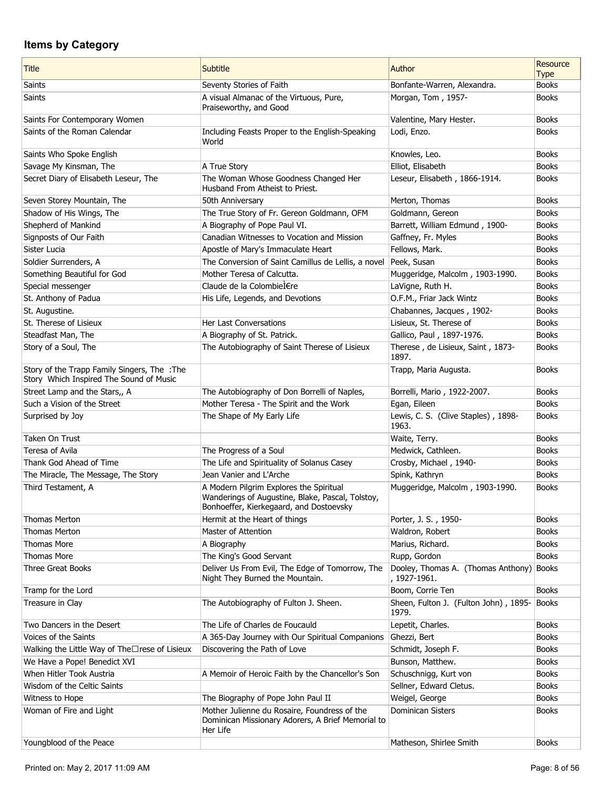| <b>Title</b>                                                                            | Subtitle                                                                                                                               | Author                                             | Resource<br><b>Type</b> |
|-----------------------------------------------------------------------------------------|----------------------------------------------------------------------------------------------------------------------------------------|----------------------------------------------------|-------------------------|
| Saints                                                                                  | Seventy Stories of Faith                                                                                                               | Bonfante-Warren, Alexandra.                        | <b>Books</b>            |
| Saints                                                                                  | A visual Almanac of the Virtuous, Pure,<br>Praiseworthy, and Good                                                                      | Morgan, Tom, 1957-                                 | <b>Books</b>            |
| Saints For Contemporary Women                                                           |                                                                                                                                        | Valentine, Mary Hester.                            | <b>Books</b>            |
| Saints of the Roman Calendar                                                            | Including Feasts Proper to the English-Speaking<br>World                                                                               | Lodi, Enzo.                                        | <b>Books</b>            |
| Saints Who Spoke English                                                                |                                                                                                                                        | Knowles, Leo.                                      | <b>Books</b>            |
| Savage My Kinsman, The                                                                  | A True Story                                                                                                                           | Elliot, Elisabeth                                  | <b>Books</b>            |
| Secret Diary of Elisabeth Leseur, The                                                   | The Woman Whose Goodness Changed Her<br>Husband From Atheist to Priest.                                                                | Leseur, Elisabeth, 1866-1914.                      | <b>Books</b>            |
| Seven Storey Mountain, The                                                              | 50th Anniversary                                                                                                                       | Merton, Thomas                                     | <b>Books</b>            |
| Shadow of His Wings, The                                                                | The True Story of Fr. Gereon Goldmann, OFM                                                                                             | Goldmann, Gereon                                   | <b>Books</b>            |
| Shepherd of Mankind                                                                     | A Biography of Pope Paul VI.                                                                                                           | Barrett, William Edmund, 1900-                     | <b>Books</b>            |
| Signposts of Our Faith                                                                  | Canadian Witnesses to Vocation and Mission                                                                                             | Gaffney, Fr. Myles                                 | <b>Books</b>            |
| Sister Lucia                                                                            | Apostle of Mary's Immaculate Heart                                                                                                     | Fellows, Mark.                                     | <b>Books</b>            |
| Soldier Surrenders, A                                                                   | The Conversion of Saint Camillus de Lellis, a novel                                                                                    | Peek, Susan                                        | <b>Books</b>            |
| Something Beautiful for God                                                             | Mother Teresa of Calcutta.                                                                                                             | Muggeridge, Malcolm, 1903-1990.                    | <b>Books</b>            |
| Special messenger                                                                       | Claude de la Colombière                                                                                                                | LaVigne, Ruth H.                                   | <b>Books</b>            |
| St. Anthony of Padua                                                                    | His Life, Legends, and Devotions                                                                                                       | O.F.M., Friar Jack Wintz                           | <b>Books</b>            |
| St. Augustine.                                                                          |                                                                                                                                        | Chabannes, Jacques, 1902-                          | <b>Books</b>            |
| St. Therese of Lisieux                                                                  | <b>Her Last Conversations</b>                                                                                                          | Lisieux, St. Therese of                            | <b>Books</b>            |
| Steadfast Man, The                                                                      | A Biography of St. Patrick.                                                                                                            | Gallico, Paul, 1897-1976.                          | <b>Books</b>            |
| Story of a Soul, The                                                                    | The Autobiography of Saint Therese of Lisieux                                                                                          | Therese, de Lisieux, Saint, 1873-<br>1897.         | <b>Books</b>            |
| Story of the Trapp Family Singers, The : The<br>Story Which Inspired The Sound of Music |                                                                                                                                        | Trapp, Maria Augusta.                              | <b>Books</b>            |
| Street Lamp and the Stars,, A                                                           | The Autobiography of Don Borrelli of Naples,                                                                                           | Borrelli, Mario, 1922-2007.                        | <b>Books</b>            |
| Such a Vision of the Street                                                             | Mother Teresa - The Spirit and the Work                                                                                                | Egan, Eileen                                       | <b>Books</b>            |
| Surprised by Joy                                                                        | The Shape of My Early Life                                                                                                             | Lewis, C. S. (Clive Staples), 1898-<br>1963.       | <b>Books</b>            |
| Taken On Trust                                                                          |                                                                                                                                        | Waite, Terry.                                      | <b>Books</b>            |
| Teresa of Avila                                                                         | The Progress of a Soul                                                                                                                 | Medwick, Cathleen.                                 | <b>Books</b>            |
| Thank God Ahead of Time                                                                 | The Life and Spirituality of Solanus Casey                                                                                             | Crosby, Michael, 1940-                             | <b>Books</b>            |
| The Miracle, The Message, The Story                                                     | Jean Vanier and L'Arche                                                                                                                | Spink, Kathryn                                     | <b>Books</b>            |
| Third Testament, A                                                                      | A Modern Pilgrim Explores the Spiritual<br>Wanderings of Augustine, Blake, Pascal, Tolstoy,<br>Bonhoeffer, Kierkegaard, and Dostoevsky | Muggeridge, Malcolm, 1903-1990.                    | <b>Books</b>            |
| Thomas Merton                                                                           | Hermit at the Heart of things                                                                                                          | Porter, J. S., 1950-                               | <b>Books</b>            |
| Thomas Merton                                                                           | Master of Attention                                                                                                                    | Waldron, Robert                                    | <b>Books</b>            |
| Thomas More                                                                             | A Biography                                                                                                                            | Marius, Richard.                                   | <b>Books</b>            |
| <b>Thomas More</b>                                                                      | The King's Good Servant                                                                                                                | Rupp, Gordon                                       | <b>Books</b>            |
| <b>Three Great Books</b>                                                                | Deliver Us From Evil, The Edge of Tomorrow, The<br>Night They Burned the Mountain.                                                     | Dooley, Thomas A. (Thomas Anthony)<br>, 1927-1961. | Books                   |
| Tramp for the Lord                                                                      |                                                                                                                                        | Boom, Corrie Ten                                   | <b>Books</b>            |
| Treasure in Clay                                                                        | The Autobiography of Fulton J. Sheen.                                                                                                  | Sheen, Fulton J. (Fulton John), 1895-<br>1979.     | <b>Books</b>            |
| Two Dancers in the Desert                                                               | The Life of Charles de Foucauld                                                                                                        | Lepetit, Charles.                                  | <b>Books</b>            |
| Voices of the Saints                                                                    | A 365-Day Journey with Our Spiritual Companions                                                                                        | Ghezzi, Bert                                       | <b>Books</b>            |
| Walking the Little Way of The□rese of Lisieux                                           | Discovering the Path of Love                                                                                                           | Schmidt, Joseph F.                                 | <b>Books</b>            |
| We Have a Pope! Benedict XVI                                                            |                                                                                                                                        | Bunson, Matthew.                                   | <b>Books</b>            |
| When Hitler Took Austria                                                                | A Memoir of Heroic Faith by the Chancellor's Son                                                                                       | Schuschnigg, Kurt von                              | <b>Books</b>            |
| Wisdom of the Celtic Saints                                                             |                                                                                                                                        | Sellner, Edward Cletus.                            | <b>Books</b>            |
| Witness to Hope                                                                         | The Biography of Pope John Paul II                                                                                                     | Weigel, George                                     | <b>Books</b>            |
| Woman of Fire and Light                                                                 | Mother Julienne du Rosaire, Foundress of the<br>Dominican Missionary Adorers, A Brief Memorial to<br>Her Life                          | <b>Dominican Sisters</b>                           | <b>Books</b>            |
| Youngblood of the Peace                                                                 |                                                                                                                                        | Matheson, Shirlee Smith                            | <b>Books</b>            |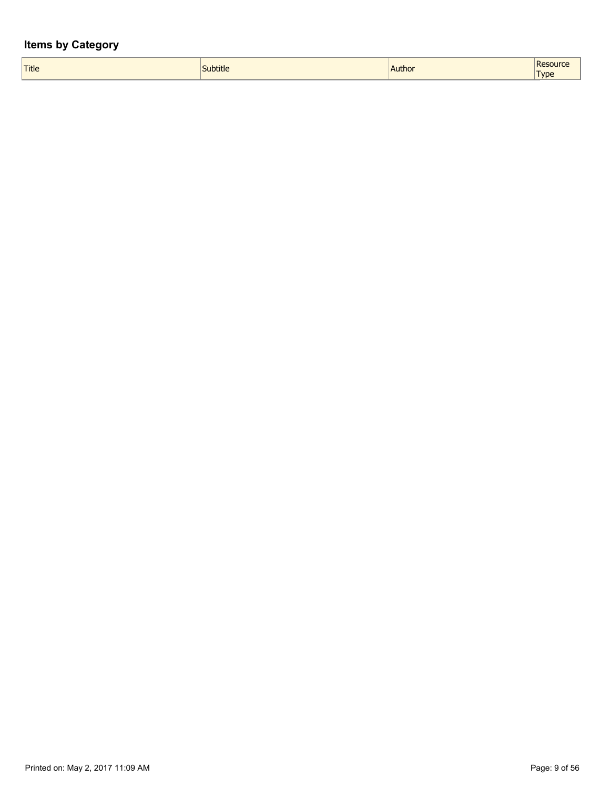| Title<br><b>Cubtitle</b><br>. | Resource<br><b>Author</b><br><b>Type</b><br>$   -$ |
|-------------------------------|----------------------------------------------------|
|-------------------------------|----------------------------------------------------|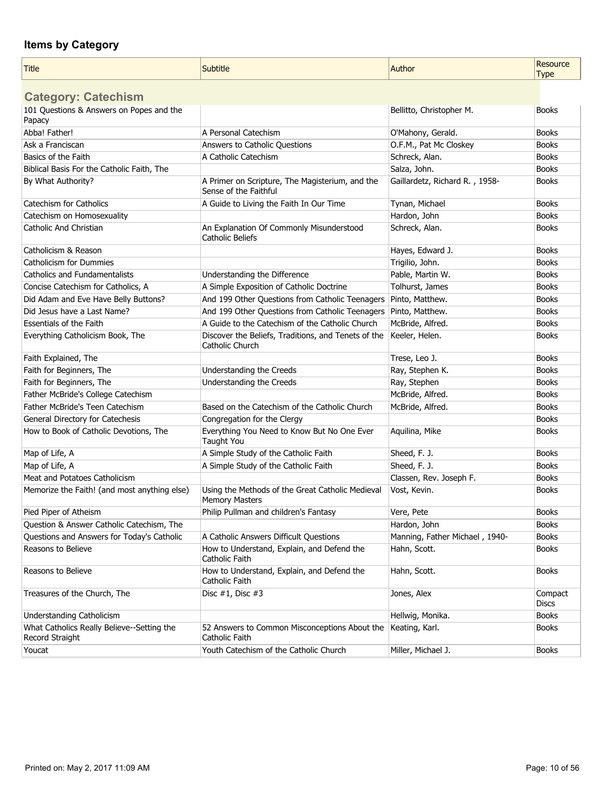| <b>Title</b>                                                  | Subtitle                                                                  | Author                         | <b>Resource</b><br><b>Type</b> |
|---------------------------------------------------------------|---------------------------------------------------------------------------|--------------------------------|--------------------------------|
|                                                               |                                                                           |                                |                                |
| <b>Category: Catechism</b>                                    |                                                                           |                                |                                |
| 101 Questions & Answers on Popes and the<br>Papacy            |                                                                           | Bellitto, Christopher M.       | <b>Books</b>                   |
| Abba! Father!                                                 | A Personal Catechism                                                      | O'Mahony, Gerald.              | <b>Books</b>                   |
| Ask a Franciscan                                              | Answers to Catholic Questions                                             | O.F.M., Pat Mc Closkey         | <b>Books</b>                   |
| Basics of the Faith                                           | A Catholic Catechism                                                      | Schreck, Alan.                 | <b>Books</b>                   |
| Biblical Basis For the Catholic Faith, The                    |                                                                           | Salza, John.                   | <b>Books</b>                   |
| By What Authority?                                            | A Primer on Scripture, The Magisterium, and the<br>Sense of the Faithful  | Gaillardetz, Richard R., 1958- | <b>Books</b>                   |
| Catechism for Catholics                                       | A Guide to Living the Faith In Our Time                                   | Tynan, Michael                 | <b>Books</b>                   |
| Catechism on Homosexuality                                    |                                                                           | Hardon, John                   | <b>Books</b>                   |
| Catholic And Christian                                        | An Explanation Of Commonly Misunderstood<br>Catholic Beliefs              | Schreck, Alan.                 | <b>Books</b>                   |
| Catholicism & Reason                                          |                                                                           | Hayes, Edward J.               | <b>Books</b>                   |
| Catholicism for Dummies                                       |                                                                           | Trigilio, John.                | <b>Books</b>                   |
| Catholics and Fundamentalists                                 | Understanding the Difference                                              | Pable, Martin W.               | <b>Books</b>                   |
| Concise Catechism for Catholics, A                            | A Simple Exposition of Catholic Doctrine                                  | Tolhurst, James                | <b>Books</b>                   |
| Did Adam and Eve Have Belly Buttons?                          | And 199 Other Questions from Catholic Teenagers                           | Pinto, Matthew.                | <b>Books</b>                   |
| Did Jesus have a Last Name?                                   | And 199 Other Questions from Catholic Teenagers                           | Pinto, Matthew.                | <b>Books</b>                   |
| <b>Essentials of the Faith</b>                                | A Guide to the Catechism of the Catholic Church                           | McBride, Alfred.               | <b>Books</b>                   |
| Everything Catholicism Book, The                              | Discover the Beliefs, Traditions, and Tenets of the<br>Catholic Church    | Keeler, Helen.                 | <b>Books</b>                   |
| Faith Explained, The                                          |                                                                           | Trese, Leo J.                  | <b>Books</b>                   |
| Faith for Beginners, The                                      | Understanding the Creeds                                                  | Ray, Stephen K.                | <b>Books</b>                   |
| Faith for Beginners, The                                      | Understanding the Creeds                                                  | Ray, Stephen                   | <b>Books</b>                   |
| Father McBride's College Catechism                            |                                                                           | McBride, Alfred.               | <b>Books</b>                   |
| Father McBride's Teen Catechism                               | Based on the Catechism of the Catholic Church                             | McBride, Alfred.               | <b>Books</b>                   |
| General Directory for Catechesis                              | Congregation for the Clergy                                               |                                | <b>Books</b>                   |
| How to Book of Catholic Devotions, The                        | Everything You Need to Know But No One Ever<br>Taught You                 | Aquilina, Mike                 | <b>Books</b>                   |
| Map of Life, A                                                | A Simple Study of the Catholic Faith                                      | Sheed, F. J.                   | <b>Books</b>                   |
| Map of Life, A                                                | A Simple Study of the Catholic Faith                                      | Sheed, F. J.                   | <b>Books</b>                   |
| Meat and Potatoes Catholicism                                 |                                                                           | Classen, Rev. Joseph F.        | <b>Books</b>                   |
| Memorize the Faith! (and most anything else)                  | Using the Methods of the Great Catholic Medieval<br><b>Memory Masters</b> | Vost, Kevin.                   | <b>Books</b>                   |
| Pied Piper of Atheism                                         | Philip Pullman and children's Fantasy                                     | Vere, Pete                     | <b>Books</b>                   |
| Question & Answer Catholic Catechism, The                     |                                                                           | Hardon, John                   | <b>Books</b>                   |
| Questions and Answers for Today's Catholic                    | A Catholic Answers Difficult Questions                                    | Manning, Father Michael, 1940- | <b>Books</b>                   |
| Reasons to Believe                                            | How to Understand, Explain, and Defend the<br><b>Catholic Faith</b>       | Hahn, Scott.                   | <b>Books</b>                   |
| Reasons to Believe                                            | How to Understand, Explain, and Defend the<br>Catholic Faith              | Hahn, Scott.                   | <b>Books</b>                   |
| Treasures of the Church, The                                  | Disc $#1$ , Disc $#3$                                                     | Jones, Alex                    | Compact<br><b>Discs</b>        |
| Understanding Catholicism                                     |                                                                           | Hellwig, Monika.               | <b>Books</b>                   |
| What Catholics Really Believe--Setting the<br>Record Straight | 52 Answers to Common Misconceptions About the<br>Catholic Faith           | Keating, Karl.                 | <b>Books</b>                   |
| Youcat                                                        | Youth Catechism of the Catholic Church                                    | Miller, Michael J.             | <b>Books</b>                   |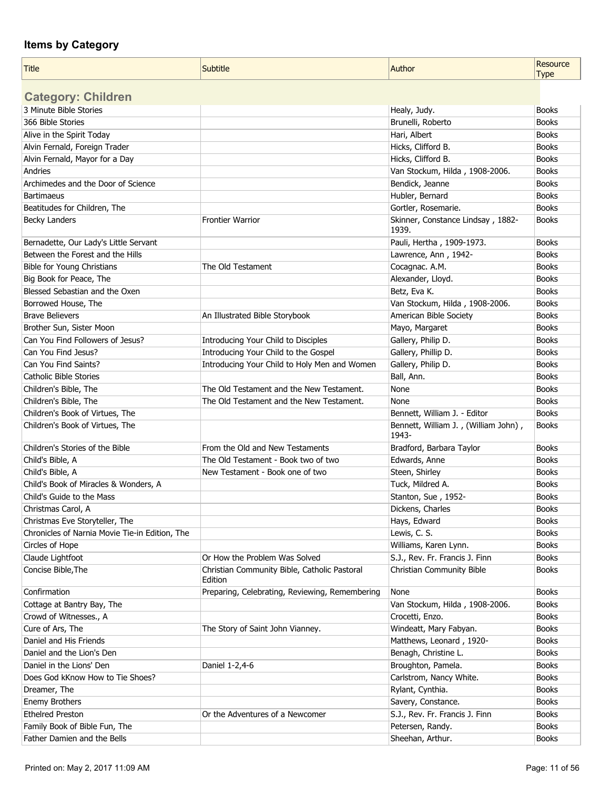| Title                                          | Subtitle                                                | Author                                     | Resource     |
|------------------------------------------------|---------------------------------------------------------|--------------------------------------------|--------------|
|                                                |                                                         |                                            | <b>Type</b>  |
| <b>Category: Children</b>                      |                                                         |                                            |              |
| 3 Minute Bible Stories                         |                                                         | Healy, Judy.                               | <b>Books</b> |
| 366 Bible Stories                              |                                                         | Brunelli, Roberto                          | <b>Books</b> |
| Alive in the Spirit Today                      |                                                         | Hari, Albert                               | <b>Books</b> |
| Alvin Fernald, Foreign Trader                  |                                                         | Hicks, Clifford B.                         | <b>Books</b> |
| Alvin Fernald, Mayor for a Day                 |                                                         | Hicks, Clifford B.                         | <b>Books</b> |
| Andries                                        |                                                         | Van Stockum, Hilda, 1908-2006.             | <b>Books</b> |
| Archimedes and the Door of Science             |                                                         | Bendick, Jeanne                            | <b>Books</b> |
| <b>Bartimaeus</b>                              |                                                         | Hubler, Bernard                            | <b>Books</b> |
| Beatitudes for Children, The                   |                                                         | Gortler, Rosemarie.                        | <b>Books</b> |
| <b>Becky Landers</b>                           | <b>Frontier Warrior</b>                                 | Skinner, Constance Lindsay, 1882-<br>1939. | <b>Books</b> |
| Bernadette, Our Lady's Little Servant          |                                                         | Pauli, Hertha, 1909-1973.                  | <b>Books</b> |
| Between the Forest and the Hills               |                                                         | Lawrence, Ann, 1942-                       | <b>Books</b> |
| <b>Bible for Young Christians</b>              | The Old Testament                                       | Cocagnac. A.M.                             | <b>Books</b> |
| Big Book for Peace, The                        |                                                         | Alexander, Lloyd.                          | <b>Books</b> |
| Blessed Sebastian and the Oxen                 |                                                         | Betz, Eva K.                               | <b>Books</b> |
| Borrowed House, The                            |                                                         | Van Stockum, Hilda, 1908-2006.             | <b>Books</b> |
| <b>Brave Believers</b>                         | An Illustrated Bible Storybook                          | American Bible Society                     | <b>Books</b> |
| Brother Sun, Sister Moon                       |                                                         | Mayo, Margaret                             | <b>Books</b> |
| Can You Find Followers of Jesus?               | Introducing Your Child to Disciples                     | Gallery, Philip D.                         | <b>Books</b> |
| Can You Find Jesus?                            | Introducing Your Child to the Gospel                    | Gallery, Phillip D.                        | <b>Books</b> |
| Can You Find Saints?                           | Introducing Your Child to Holy Men and Women            | Gallery, Philip D.                         | <b>Books</b> |
| <b>Catholic Bible Stories</b>                  |                                                         | Ball, Ann.                                 | <b>Books</b> |
| Children's Bible, The                          | The Old Testament and the New Testament.                | None                                       | <b>Books</b> |
| Children's Bible, The                          | The Old Testament and the New Testament.                | None                                       | <b>Books</b> |
| Children's Book of Virtues, The                |                                                         | Bennett, William J. - Editor               | <b>Books</b> |
| Children's Book of Virtues, The                |                                                         | Bennett, William J., (William John),       | <b>Books</b> |
|                                                |                                                         | 1943-                                      |              |
| Children's Stories of the Bible                | From the Old and New Testaments                         | Bradford, Barbara Taylor                   | <b>Books</b> |
| Child's Bible, A                               | The Old Testament - Book two of two                     | Edwards, Anne                              | <b>Books</b> |
| Child's Bible, A                               | New Testament - Book one of two                         | Steen, Shirley                             | <b>Books</b> |
| Child's Book of Miracles & Wonders, A          |                                                         | Tuck, Mildred A.                           | <b>Books</b> |
| Child's Guide to the Mass                      |                                                         | Stanton, Sue, 1952-                        | <b>Books</b> |
| Christmas Carol, A                             |                                                         | Dickens, Charles                           | Books        |
| Christmas Eve Storyteller, The                 |                                                         | Hays, Edward                               | <b>Books</b> |
| Chronicles of Narnia Movie Tie-in Edition, The |                                                         | Lewis, C. S.                               | <b>Books</b> |
| Circles of Hope                                |                                                         | Williams, Karen Lynn.                      | <b>Books</b> |
| Claude Lightfoot                               | Or How the Problem Was Solved                           | S.J., Rev. Fr. Francis J. Finn             | <b>Books</b> |
| Concise Bible, The                             | Christian Community Bible, Catholic Pastoral<br>Edition | <b>Christian Community Bible</b>           | <b>Books</b> |
| Confirmation                                   | Preparing, Celebrating, Reviewing, Remembering          | None                                       | <b>Books</b> |
| Cottage at Bantry Bay, The                     |                                                         | Van Stockum, Hilda, 1908-2006.             | <b>Books</b> |
| Crowd of Witnesses., A                         |                                                         | Crocetti, Enzo.                            | <b>Books</b> |
| Cure of Ars, The                               | The Story of Saint John Vianney.                        | Windeatt, Mary Fabyan.                     | <b>Books</b> |
| Daniel and His Friends                         |                                                         | Matthews, Leonard, 1920-                   | <b>Books</b> |
| Daniel and the Lion's Den                      |                                                         | Benagh, Christine L.                       | <b>Books</b> |
| Daniel in the Lions' Den                       | Daniel 1-2,4-6                                          | Broughton, Pamela.                         | <b>Books</b> |
| Does God kKnow How to Tie Shoes?               |                                                         | Carlstrom, Nancy White.                    | <b>Books</b> |
| Dreamer, The                                   |                                                         | Rylant, Cynthia.                           | <b>Books</b> |
| Enemy Brothers                                 |                                                         | Savery, Constance.                         | <b>Books</b> |
| <b>Ethelred Preston</b>                        | Or the Adventures of a Newcomer                         | S.J., Rev. Fr. Francis J. Finn             | <b>Books</b> |
| Family Book of Bible Fun, The                  |                                                         | Petersen, Randy.                           | <b>Books</b> |
| Father Damien and the Bells                    |                                                         | Sheehan, Arthur.                           | <b>Books</b> |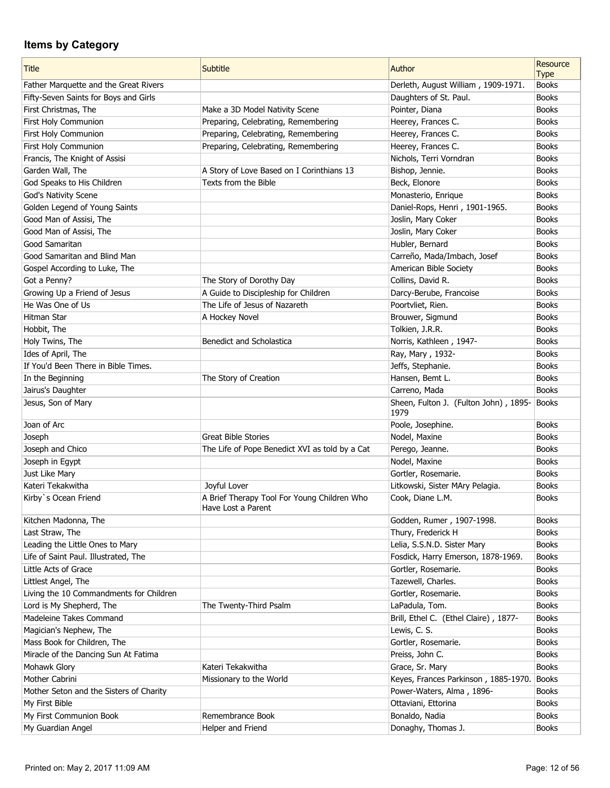| <b>Title</b>                            | Subtitle                                                          | Author                                        | Resource<br><b>Type</b> |
|-----------------------------------------|-------------------------------------------------------------------|-----------------------------------------------|-------------------------|
| Father Marquette and the Great Rivers   |                                                                   | Derleth, August William, 1909-1971.           | <b>Books</b>            |
| Fifty-Seven Saints for Boys and Girls   |                                                                   | Daughters of St. Paul.                        | <b>Books</b>            |
| First Christmas, The                    | Make a 3D Model Nativity Scene                                    | Pointer, Diana                                | <b>Books</b>            |
| First Holy Communion                    | Preparing, Celebrating, Remembering                               | Heerey, Frances C.                            | <b>Books</b>            |
| First Holy Communion                    | Preparing, Celebrating, Remembering                               | Heerey, Frances C.                            | <b>Books</b>            |
| First Holy Communion                    |                                                                   |                                               | <b>Books</b>            |
|                                         | Preparing, Celebrating, Remembering                               | Heerey, Frances C.                            | <b>Books</b>            |
| Francis, The Knight of Assisi           |                                                                   | Nichols, Terri Vorndran                       |                         |
| Garden Wall, The                        | A Story of Love Based on I Corinthians 13<br>Texts from the Bible | Bishop, Jennie.                               | <b>Books</b>            |
| God Speaks to His Children              |                                                                   | Beck, Elonore                                 | <b>Books</b>            |
| God's Nativity Scene                    |                                                                   | Monasterio, Enrique                           | <b>Books</b>            |
| Golden Legend of Young Saints           |                                                                   | Daniel-Rops, Henri, 1901-1965.                | <b>Books</b>            |
| Good Man of Assisi, The                 |                                                                   | Joslin, Mary Coker                            | <b>Books</b>            |
| Good Man of Assisi, The                 |                                                                   | Joslin, Mary Coker                            | <b>Books</b>            |
| Good Samaritan                          |                                                                   | Hubler, Bernard                               | <b>Books</b>            |
| Good Samaritan and Blind Man            |                                                                   | Carreño, Mada/Imbach, Josef                   | <b>Books</b>            |
| Gospel According to Luke, The           |                                                                   | American Bible Society                        | <b>Books</b>            |
| Got a Penny?                            | The Story of Dorothy Day                                          | Collins, David R.                             | <b>Books</b>            |
| Growing Up a Friend of Jesus            | A Guide to Discipleship for Children                              | Darcy-Berube, Francoise                       | <b>Books</b>            |
| He Was One of Us                        | The Life of Jesus of Nazareth                                     | Poortvliet, Rien.                             | <b>Books</b>            |
| Hitman Star                             | A Hockey Novel                                                    | Brouwer, Sigmund                              | <b>Books</b>            |
| Hobbit, The                             |                                                                   | Tolkien, J.R.R.                               | <b>Books</b>            |
| Holy Twins, The                         | Benedict and Scholastica                                          | Norris, Kathleen, 1947-                       | <b>Books</b>            |
| Ides of April, The                      |                                                                   | Ray, Mary, 1932-                              | <b>Books</b>            |
| If You'd Been There in Bible Times.     |                                                                   | Jeffs, Stephanie.                             | <b>Books</b>            |
| In the Beginning                        | The Story of Creation                                             | Hansen, Bemt L.                               | <b>Books</b>            |
| Jairus's Daughter                       |                                                                   | Carreno, Mada                                 | <b>Books</b>            |
| Jesus, Son of Mary                      |                                                                   | Sheen, Fulton J. (Fulton John), 1895-<br>1979 | Books                   |
| Joan of Arc                             |                                                                   | Poole, Josephine.                             | <b>Books</b>            |
| Joseph                                  | <b>Great Bible Stories</b>                                        | Nodel, Maxine                                 | <b>Books</b>            |
| Joseph and Chico                        | The Life of Pope Benedict XVI as told by a Cat                    | Perego, Jeanne.                               | <b>Books</b>            |
| Joseph in Egypt                         |                                                                   | Nodel, Maxine                                 | <b>Books</b>            |
| Just Like Mary                          |                                                                   | Gortler, Rosemarie.                           | <b>Books</b>            |
| Kateri Tekakwitha                       | Joyful Lover                                                      | Litkowski, Sister MAry Pelagia.               | <b>Books</b>            |
| Kirby's Ocean Friend                    | A Brief Therapy Tool For Young Children Who                       | Cook, Diane L.M.                              | <b>Books</b>            |
|                                         | Have Lost a Parent                                                |                                               |                         |
| Kitchen Madonna, The                    |                                                                   | Godden, Rumer, 1907-1998.                     | <b>Books</b>            |
| Last Straw, The                         |                                                                   | Thury, Frederick H                            | <b>Books</b>            |
| Leading the Little Ones to Mary         |                                                                   | Lelia, S.S.N.D. Sister Mary                   | <b>Books</b>            |
| Life of Saint Paul. Illustrated, The    |                                                                   | Fosdick, Harry Emerson, 1878-1969.            | <b>Books</b>            |
| Little Acts of Grace                    |                                                                   | Gortler, Rosemarie.                           | <b>Books</b>            |
| Littlest Angel, The                     |                                                                   | Tazewell, Charles.                            | <b>Books</b>            |
| Living the 10 Commandments for Children |                                                                   | Gortler, Rosemarie.                           | <b>Books</b>            |
| Lord is My Shepherd, The                | The Twenty-Third Psalm                                            | LaPadula, Tom.                                | <b>Books</b>            |
| Madeleine Takes Command                 |                                                                   | Brill, Ethel C. (Ethel Claire), 1877-         | <b>Books</b>            |
| Magician's Nephew, The                  |                                                                   | Lewis, C. S.                                  | <b>Books</b>            |
| Mass Book for Children, The             |                                                                   | Gortler, Rosemarie.                           | <b>Books</b>            |
| Miracle of the Dancing Sun At Fatima    |                                                                   | Preiss, John C.                               | <b>Books</b>            |
| Mohawk Glory                            | Kateri Tekakwitha                                                 | Grace, Sr. Mary                               | <b>Books</b>            |
| Mother Cabrini                          | Missionary to the World                                           | Keyes, Frances Parkinson, 1885-1970.          | Books                   |
| Mother Seton and the Sisters of Charity |                                                                   | Power-Waters, Alma, 1896-                     | <b>Books</b>            |
| My First Bible                          |                                                                   | Ottaviani, Ettorina                           | <b>Books</b>            |
| My First Communion Book                 | Remembrance Book                                                  | Bonaldo, Nadia                                | <b>Books</b>            |
| My Guardian Angel                       | Helper and Friend                                                 | Donaghy, Thomas J.                            | <b>Books</b>            |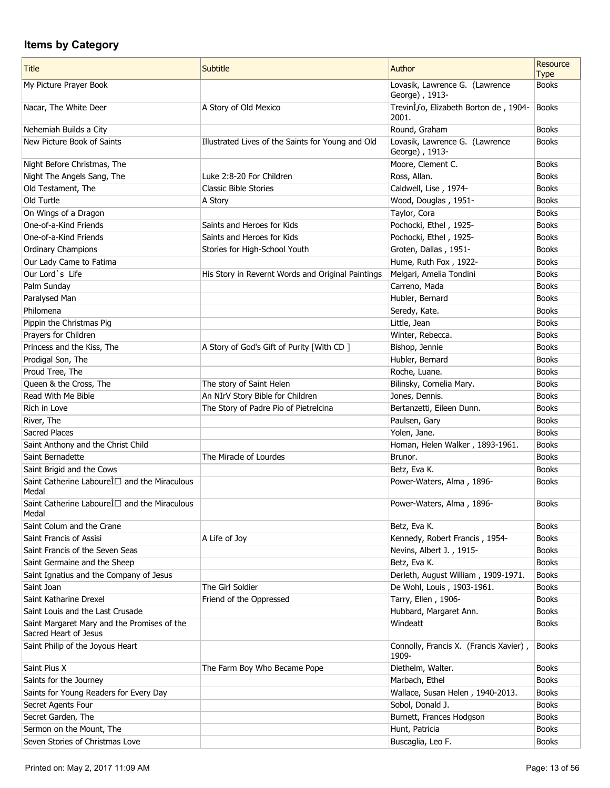| <b>Title</b>                                                      | Subtitle                                          | Author                                           | Resource<br><b>Type</b> |
|-------------------------------------------------------------------|---------------------------------------------------|--------------------------------------------------|-------------------------|
| My Picture Prayer Book                                            |                                                   | Lovasik, Lawrence G. (Lawrence<br>George), 1913- | <b>Books</b>            |
| Nacar, The White Deer                                             | A Story of Old Mexico                             | Trevinlfo, Elizabeth Borton de, 1904-<br>2001.   | <b>Books</b>            |
| Nehemiah Builds a City                                            |                                                   | Round, Graham                                    | <b>Books</b>            |
| New Picture Book of Saints                                        | Illustrated Lives of the Saints for Young and Old | Lovasik, Lawrence G. (Lawrence<br>George), 1913- | <b>Books</b>            |
| Night Before Christmas, The                                       |                                                   | Moore, Clement C.                                | <b>Books</b>            |
| Night The Angels Sang, The                                        | Luke 2:8-20 For Children                          | Ross, Allan.                                     | <b>Books</b>            |
| Old Testament, The                                                | <b>Classic Bible Stories</b>                      | Caldwell, Lise, 1974-                            | <b>Books</b>            |
| Old Turtle                                                        | A Story                                           | Wood, Douglas, 1951-                             | <b>Books</b>            |
| On Wings of a Dragon                                              |                                                   | Taylor, Cora                                     | <b>Books</b>            |
| One-of-a-Kind Friends                                             | Saints and Heroes for Kids                        | Pochocki, Ethel, 1925-                           | <b>Books</b>            |
| One-of-a-Kind Friends                                             | Saints and Heroes for Kids                        | Pochocki, Ethel, 1925-                           | <b>Books</b>            |
| <b>Ordinary Champions</b>                                         | Stories for High-School Youth                     | Groten, Dallas, 1951-                            | <b>Books</b>            |
| Our Lady Came to Fatima                                           |                                                   | Hume, Ruth Fox, 1922-                            | <b>Books</b>            |
| Our Lord's Life                                                   | His Story in Revernt Words and Original Paintings | Melgari, Amelia Tondini                          | <b>Books</b>            |
| Palm Sunday                                                       |                                                   | Carreno, Mada                                    | <b>Books</b>            |
| Paralysed Man                                                     |                                                   | Hubler, Bernard                                  | <b>Books</b>            |
| Philomena                                                         |                                                   | Seredy, Kate.                                    | <b>Books</b>            |
| Pippin the Christmas Pig                                          |                                                   | Little, Jean                                     | <b>Books</b>            |
| Prayers for Children                                              |                                                   | Winter, Rebecca.                                 | <b>Books</b>            |
| Princess and the Kiss, The                                        | A Story of God's Gift of Purity [With CD]         | Bishop, Jennie                                   | <b>Books</b>            |
| Prodigal Son, The                                                 |                                                   | Hubler, Bernard                                  | <b>Books</b>            |
| Proud Tree, The                                                   |                                                   | Roche, Luane.                                    | <b>Books</b>            |
| Queen & the Cross, The                                            | The story of Saint Helen                          | Bilinsky, Cornelia Mary.                         | <b>Books</b>            |
| Read With Me Bible                                                | An NIrV Story Bible for Children                  | Jones, Dennis.                                   | <b>Books</b>            |
| Rich in Love                                                      | The Story of Padre Pio of Pietrelcina             | Bertanzetti, Eileen Dunn.                        | <b>Books</b>            |
| River, The                                                        |                                                   | Paulsen, Gary                                    | <b>Books</b>            |
| <b>Sacred Places</b>                                              |                                                   | Yolen, Jane.                                     | <b>Books</b>            |
| Saint Anthony and the Christ Child                                |                                                   | Homan, Helen Walker, 1893-1961.                  | <b>Books</b>            |
| Saint Bernadette                                                  | The Miracle of Lourdes                            | Brunor.                                          | <b>Books</b>            |
| Saint Brigid and the Cows                                         |                                                   | Betz, Eva K.                                     | <b>Books</b>            |
| Saint Catherine Labourel □ and the Miraculous<br>Medal            |                                                   | Power-Waters, Alma, 1896-                        | <b>Books</b>            |
| Saint Catherine Labourel <del>D</del> and the Miraculous<br>Medal |                                                   | Power-Waters, Alma, 1896-                        | <b>Books</b>            |
| Saint Colum and the Crane                                         |                                                   | Betz, Eva K.                                     | <b>Books</b>            |
| Saint Francis of Assisi                                           | A Life of Joy                                     | Kennedy, Robert Francis, 1954-                   | <b>Books</b>            |
| Saint Francis of the Seven Seas                                   |                                                   | Nevins, Albert J., 1915-                         | <b>Books</b>            |
| Saint Germaine and the Sheep                                      |                                                   | Betz, Eva K.                                     | <b>Books</b>            |
| Saint Ignatius and the Company of Jesus                           |                                                   | Derleth, August William, 1909-1971.              | <b>Books</b>            |
| Saint Joan                                                        | The Girl Soldier                                  | De Wohl, Louis, 1903-1961.                       | <b>Books</b>            |
| Saint Katharine Drexel                                            | Friend of the Oppressed                           | Tarry, Ellen, 1906-                              | <b>Books</b>            |
| Saint Louis and the Last Crusade                                  |                                                   | Hubbard, Margaret Ann.                           | <b>Books</b>            |
| Saint Margaret Mary and the Promises of the                       |                                                   | Windeatt                                         | <b>Books</b>            |
| Sacred Heart of Jesus                                             |                                                   |                                                  |                         |
| Saint Philip of the Joyous Heart                                  |                                                   | Connolly, Francis X. (Francis Xavier),<br>1909-  | <b>Books</b>            |
| Saint Pius X                                                      | The Farm Boy Who Became Pope                      | Diethelm, Walter.                                | <b>Books</b>            |
| Saints for the Journey                                            |                                                   | Marbach, Ethel                                   | <b>Books</b>            |
| Saints for Young Readers for Every Day                            |                                                   | Wallace, Susan Helen, 1940-2013.                 | <b>Books</b>            |
| Secret Agents Four                                                |                                                   | Sobol, Donald J.                                 | <b>Books</b>            |
| Secret Garden, The                                                |                                                   | Burnett, Frances Hodgson                         | <b>Books</b>            |
| Sermon on the Mount, The                                          |                                                   | Hunt, Patricia                                   | <b>Books</b>            |
| Seven Stories of Christmas Love                                   |                                                   | Buscaglia, Leo F.                                | <b>Books</b>            |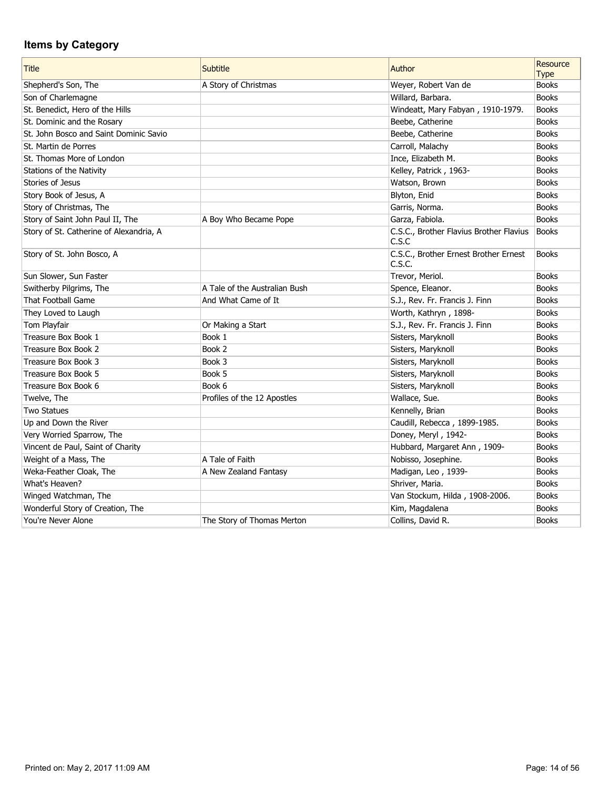| <b>Title</b>                            | Subtitle                      | Author                                           | Resource     |
|-----------------------------------------|-------------------------------|--------------------------------------------------|--------------|
|                                         |                               |                                                  | <b>Type</b>  |
| Shepherd's Son, The                     | A Story of Christmas          | Weyer, Robert Van de                             | <b>Books</b> |
| Son of Charlemagne                      |                               | Willard, Barbara.                                | <b>Books</b> |
| St. Benedict, Hero of the Hills         |                               | Windeatt, Mary Fabyan, 1910-1979.                | <b>Books</b> |
| St. Dominic and the Rosary              |                               | Beebe, Catherine                                 | <b>Books</b> |
| St. John Bosco and Saint Dominic Savio  |                               | Beebe, Catherine                                 | <b>Books</b> |
| St. Martin de Porres                    |                               | Carroll, Malachy                                 | <b>Books</b> |
| St. Thomas More of London               |                               | Ince, Elizabeth M.                               | <b>Books</b> |
| Stations of the Nativity                |                               | Kelley, Patrick, 1963-                           | <b>Books</b> |
| Stories of Jesus                        |                               | Watson, Brown                                    | <b>Books</b> |
| Story Book of Jesus, A                  |                               | Blyton, Enid                                     | <b>Books</b> |
| Story of Christmas, The                 |                               | Garris, Norma.                                   | <b>Books</b> |
| Story of Saint John Paul II, The        | A Boy Who Became Pope         | Garza, Fabiola.                                  | <b>Books</b> |
| Story of St. Catherine of Alexandria, A |                               | C.S.C., Brother Flavius Brother Flavius<br>C.S.C | Books        |
| Story of St. John Bosco, A              |                               | C.S.C., Brother Ernest Brother Ernest<br>C.S.C.  | <b>Books</b> |
| Sun Slower, Sun Faster                  |                               | Trevor, Meriol.                                  | <b>Books</b> |
| Switherby Pilgrims, The                 | A Tale of the Australian Bush | Spence, Eleanor.                                 | <b>Books</b> |
| That Football Game                      | And What Came of It           | S.J., Rev. Fr. Francis J. Finn                   | <b>Books</b> |
| They Loved to Laugh                     |                               | Worth, Kathryn, 1898-                            | <b>Books</b> |
| Tom Playfair                            | Or Making a Start             | S.J., Rev. Fr. Francis J. Finn                   | <b>Books</b> |
| Treasure Box Book 1                     | Book 1                        | Sisters, Maryknoll                               | <b>Books</b> |
| Treasure Box Book 2                     | Book 2                        | Sisters, Maryknoll                               | <b>Books</b> |
| Treasure Box Book 3                     | Book 3                        | Sisters, Maryknoll                               | <b>Books</b> |
| Treasure Box Book 5                     | Book 5                        | Sisters, Maryknoll                               | <b>Books</b> |
| Treasure Box Book 6                     | Book 6                        | Sisters, Maryknoll                               | <b>Books</b> |
| Twelve, The                             | Profiles of the 12 Apostles   | Wallace, Sue.                                    | <b>Books</b> |
| <b>Two Statues</b>                      |                               | Kennelly, Brian                                  | <b>Books</b> |
| Up and Down the River                   |                               | Caudill, Rebecca, 1899-1985.                     | <b>Books</b> |
| Very Worried Sparrow, The               |                               | Doney, Meryl, 1942-                              | <b>Books</b> |
| Vincent de Paul, Saint of Charity       |                               | Hubbard, Margaret Ann, 1909-                     | <b>Books</b> |
| Weight of a Mass, The                   | A Tale of Faith               | Nobisso, Josephine.                              | <b>Books</b> |
| Weka-Feather Cloak, The                 | A New Zealand Fantasy         | Madigan, Leo, 1939-                              | <b>Books</b> |
| What's Heaven?                          |                               | Shriver, Maria.                                  | <b>Books</b> |
| Winged Watchman, The                    |                               | Van Stockum, Hilda, 1908-2006.                   | <b>Books</b> |
| Wonderful Story of Creation, The        |                               | Kim, Magdalena                                   | <b>Books</b> |
| You're Never Alone                      | The Story of Thomas Merton    | Collins, David R.                                | <b>Books</b> |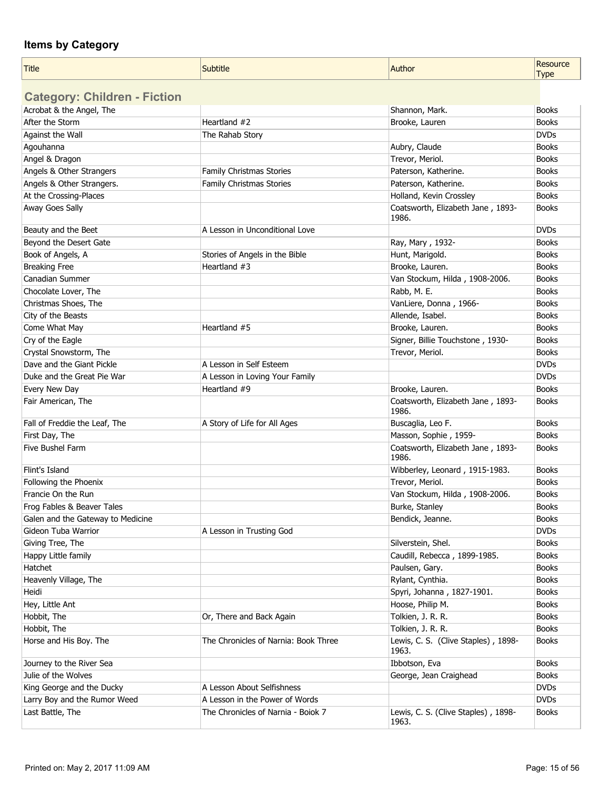| <b>Title</b>                        | <b>Subtitle</b>                      | Author                                       | Resource<br><b>Type</b> |
|-------------------------------------|--------------------------------------|----------------------------------------------|-------------------------|
| <b>Category: Children - Fiction</b> |                                      |                                              |                         |
| Acrobat & the Angel, The            |                                      | Shannon, Mark.                               | <b>Books</b>            |
| After the Storm                     | Heartland #2                         | Brooke, Lauren                               | <b>Books</b>            |
| Against the Wall                    | The Rahab Story                      |                                              | <b>DVDs</b>             |
| Agouhanna                           |                                      | Aubry, Claude                                | <b>Books</b>            |
| Angel & Dragon                      |                                      | Trevor, Meriol.                              | <b>Books</b>            |
| Angels & Other Strangers            | Family Christmas Stories             | Paterson, Katherine.                         | <b>Books</b>            |
| Angels & Other Strangers.           | Family Christmas Stories             | Paterson, Katherine.                         | <b>Books</b>            |
| At the Crossing-Places              |                                      | Holland, Kevin Crossley                      | <b>Books</b>            |
| Away Goes Sally                     |                                      | Coatsworth, Elizabeth Jane, 1893-<br>1986.   | <b>Books</b>            |
| Beauty and the Beet                 | A Lesson in Unconditional Love       |                                              | <b>DVDs</b>             |
| Beyond the Desert Gate              |                                      | Ray, Mary, 1932-                             | <b>Books</b>            |
| Book of Angels, A                   | Stories of Angels in the Bible       | Hunt, Marigold.                              | <b>Books</b>            |
| <b>Breaking Free</b>                | Heartland $#3$                       | Brooke, Lauren.                              | <b>Books</b>            |
| <b>Canadian Summer</b>              |                                      | Van Stockum, Hilda, 1908-2006.               | <b>Books</b>            |
| Chocolate Lover, The                |                                      | Rabb, M. E.                                  | <b>Books</b>            |
| Christmas Shoes, The                |                                      | VanLiere, Donna, 1966-                       | <b>Books</b>            |
| City of the Beasts                  |                                      | Allende, Isabel.                             | <b>Books</b>            |
| Come What May                       | Heartland #5                         | Brooke, Lauren.                              | <b>Books</b>            |
| Cry of the Eagle                    |                                      | Signer, Billie Touchstone, 1930-             | <b>Books</b>            |
| Crystal Snowstorm, The              |                                      | Trevor, Meriol.                              | <b>Books</b>            |
| Dave and the Giant Pickle           | A Lesson in Self Esteem              |                                              | <b>DVDs</b>             |
| Duke and the Great Pie War          | A Lesson in Loving Your Family       |                                              | <b>DVDs</b>             |
| Every New Day                       | Heartland #9                         | Brooke, Lauren.                              | <b>Books</b>            |
| Fair American, The                  |                                      | Coatsworth, Elizabeth Jane, 1893-<br>1986.   | <b>Books</b>            |
| Fall of Freddie the Leaf, The       | A Story of Life for All Ages         | Buscaglia, Leo F.                            | <b>Books</b>            |
| First Day, The                      |                                      | Masson, Sophie, 1959-                        | <b>Books</b>            |
| Five Bushel Farm                    |                                      | Coatsworth, Elizabeth Jane, 1893-<br>1986.   | <b>Books</b>            |
| Flint's Island                      |                                      | Wibberley, Leonard, 1915-1983.               | <b>Books</b>            |
| Following the Phoenix               |                                      | Trevor, Meriol.                              | <b>Books</b>            |
| Francie On the Run                  |                                      | Van Stockum, Hilda, 1908-2006.               | <b>Books</b>            |
| Frog Fables & Beaver Tales          |                                      | Burke, Stanley                               | <b>Books</b>            |
| Galen and the Gateway to Medicine   |                                      | Bendick, Jeanne.                             | <b>Books</b>            |
| Gideon Tuba Warrior                 | A Lesson in Trusting God             |                                              | <b>DVDs</b>             |
| Giving Tree, The                    |                                      | Silverstein, Shel.                           | <b>Books</b>            |
| Happy Little family                 |                                      | Caudill, Rebecca, 1899-1985.                 | <b>Books</b>            |
| Hatchet                             |                                      | Paulsen, Gary.                               | <b>Books</b>            |
| Heavenly Village, The               |                                      | Rylant, Cynthia.                             | <b>Books</b>            |
| Heidi                               |                                      | Spyri, Johanna, 1827-1901.                   | <b>Books</b>            |
| Hey, Little Ant                     |                                      | Hoose, Philip M.                             | <b>Books</b>            |
| Hobbit, The                         | Or, There and Back Again             | Tolkien, J. R. R.                            | <b>Books</b>            |
| Hobbit, The                         |                                      | Tolkien, J. R. R.                            | <b>Books</b>            |
| Horse and His Boy. The              | The Chronicles of Narnia: Book Three | Lewis, C. S. (Clive Staples), 1898-<br>1963. | <b>Books</b>            |
| Journey to the River Sea            |                                      | Ibbotson, Eva                                | <b>Books</b>            |
| Julie of the Wolves                 |                                      | George, Jean Craighead                       | <b>Books</b>            |
| King George and the Ducky           | A Lesson About Selfishness           |                                              | <b>DVDs</b>             |
| Larry Boy and the Rumor Weed        | A Lesson in the Power of Words       |                                              | <b>DVDs</b>             |
| Last Battle, The                    | The Chronicles of Narnia - Boiok 7   | Lewis, C. S. (Clive Staples), 1898-<br>1963. | <b>Books</b>            |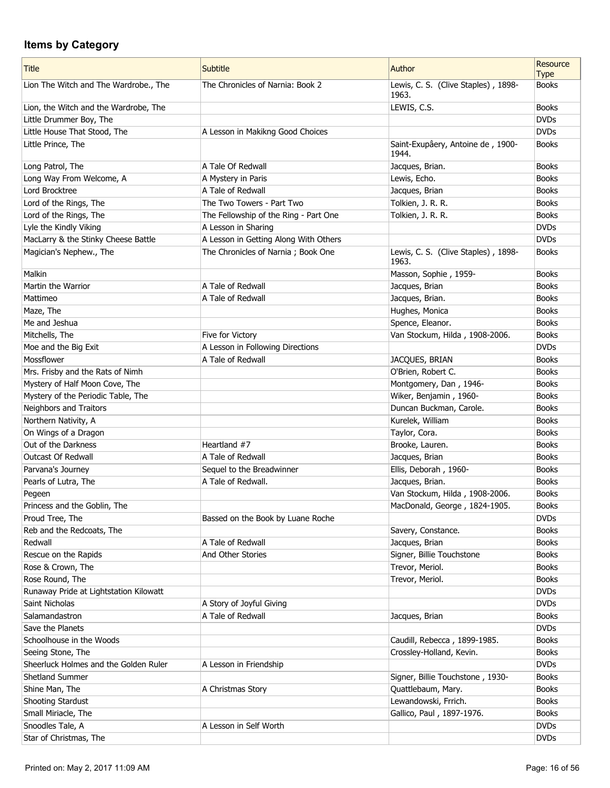| <b>Title</b>                           | Subtitle                              | Author                                       | Resource<br><b>Type</b> |
|----------------------------------------|---------------------------------------|----------------------------------------------|-------------------------|
| Lion The Witch and The Wardrobe., The  | The Chronicles of Narnia: Book 2      | Lewis, C. S. (Clive Staples), 1898-<br>1963. | <b>Books</b>            |
| Lion, the Witch and the Wardrobe, The  |                                       | LEWIS, C.S.                                  | <b>Books</b>            |
| Little Drummer Boy, The                |                                       |                                              | <b>DVDs</b>             |
| Little House That Stood, The           | A Lesson in Makikng Good Choices      |                                              | <b>DVDs</b>             |
| Little Prince, The                     |                                       | Saint-Exupâery, Antoine de, 1900-<br>1944.   | <b>Books</b>            |
| Long Patrol, The                       | A Tale Of Redwall                     | Jacques, Brian.                              | <b>Books</b>            |
| Long Way From Welcome, A               | A Mystery in Paris                    | Lewis, Echo.                                 | <b>Books</b>            |
| Lord Brocktree                         | A Tale of Redwall                     | Jacques, Brian                               | <b>Books</b>            |
| Lord of the Rings, The                 | The Two Towers - Part Two             | Tolkien, J. R. R.                            | <b>Books</b>            |
| Lord of the Rings, The                 | The Fellowship of the Ring - Part One | Tolkien, J. R. R.                            | <b>Books</b>            |
| Lyle the Kindly Viking                 | A Lesson in Sharing                   |                                              | <b>DVDs</b>             |
| MacLarry & the Stinky Cheese Battle    | A Lesson in Getting Along With Others |                                              | <b>DVDs</b>             |
| Magician's Nephew., The                | The Chronicles of Narnia; Book One    | Lewis, C. S. (Clive Staples), 1898-<br>1963. | <b>Books</b>            |
| Malkin                                 |                                       | Masson, Sophie, 1959-                        | <b>Books</b>            |
| Martin the Warrior                     | A Tale of Redwall                     | Jacques, Brian                               | <b>Books</b>            |
| Mattimeo                               | A Tale of Redwall                     | Jacques, Brian.                              | <b>Books</b>            |
| Maze, The                              |                                       | Hughes, Monica                               | <b>Books</b>            |
| Me and Jeshua                          |                                       | Spence, Eleanor.                             | <b>Books</b>            |
| Mitchells, The                         | Five for Victory                      | Van Stockum, Hilda, 1908-2006.               | <b>Books</b>            |
| Moe and the Big Exit                   | A Lesson in Following Directions      |                                              | <b>DVDs</b>             |
| Mossflower                             | A Tale of Redwall                     | JACQUES, BRIAN                               | <b>Books</b>            |
| Mrs. Frisby and the Rats of Nimh       |                                       | O'Brien, Robert C.                           | <b>Books</b>            |
| Mystery of Half Moon Cove, The         |                                       | Montgomery, Dan, 1946-                       | <b>Books</b>            |
| Mystery of the Periodic Table, The     |                                       | Wiker, Benjamin, 1960-                       | <b>Books</b>            |
| Neighbors and Traitors                 |                                       | Duncan Buckman, Carole.                      | <b>Books</b>            |
| Northern Nativity, A                   |                                       | Kurelek, William                             | <b>Books</b>            |
| On Wings of a Dragon                   |                                       | Taylor, Cora.                                | <b>Books</b>            |
| Out of the Darkness                    | Heartland #7                          | Brooke, Lauren.                              | <b>Books</b>            |
| Outcast Of Redwall                     | A Tale of Redwall                     | Jacques, Brian                               | <b>Books</b>            |
| Parvana's Journey                      | Sequel to the Breadwinner             | Ellis, Deborah, 1960-                        | <b>Books</b>            |
| Pearls of Lutra, The                   | A Tale of Redwall.                    | Jacques, Brian.                              | <b>Books</b>            |
| Pegeen                                 |                                       | Van Stockum, Hilda, 1908-2006.               | <b>Books</b>            |
| Princess and the Goblin, The           |                                       | MacDonald, George, 1824-1905.                | <b>Books</b>            |
| Proud Tree, The                        | Bassed on the Book by Luane Roche     |                                              | <b>DVDs</b>             |
| Reb and the Redcoats, The              |                                       | Savery, Constance.                           | <b>Books</b>            |
| Redwall                                | A Tale of Redwall                     | Jacques, Brian                               | <b>Books</b>            |
| Rescue on the Rapids                   | And Other Stories                     | Signer, Billie Touchstone                    | <b>Books</b>            |
| Rose & Crown, The                      |                                       | Trevor, Meriol.                              | <b>Books</b>            |
| Rose Round, The                        |                                       | Trevor, Meriol.                              | <b>Books</b>            |
| Runaway Pride at Lightstation Kilowatt |                                       |                                              | <b>DVDs</b>             |
| Saint Nicholas                         | A Story of Joyful Giving              |                                              | <b>DVDs</b>             |
| Salamandastron                         | A Tale of Redwall                     | Jacques, Brian                               | <b>Books</b>            |
| Save the Planets                       |                                       |                                              | <b>DVDs</b>             |
| Schoolhouse in the Woods               |                                       | Caudill, Rebecca, 1899-1985.                 | <b>Books</b>            |
| Seeing Stone, The                      |                                       | Crossley-Holland, Kevin.                     | <b>Books</b>            |
| Sheerluck Holmes and the Golden Ruler  | A Lesson in Friendship                |                                              | <b>DVDs</b>             |
| Shetland Summer                        |                                       | Signer, Billie Touchstone, 1930-             | <b>Books</b>            |
| Shine Man, The                         | A Christmas Story                     | Quattlebaum, Mary.                           | <b>Books</b>            |
| Shooting Stardust                      |                                       | Lewandowski, Frrich.                         | <b>Books</b>            |
| Small Miriacle, The                    |                                       | Gallico, Paul, 1897-1976.                    | <b>Books</b>            |
| Snoodles Tale, A                       | A Lesson in Self Worth                |                                              | <b>DVDs</b>             |
| Star of Christmas, The                 |                                       |                                              | <b>DVDs</b>             |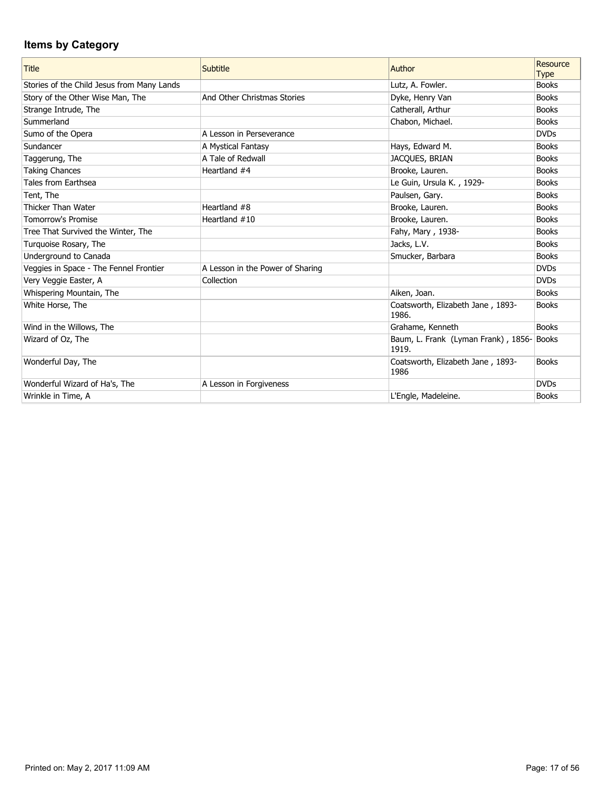| <b>Title</b>                               | Subtitle                         | Author                                            | Resource<br><b>Type</b> |
|--------------------------------------------|----------------------------------|---------------------------------------------------|-------------------------|
| Stories of the Child Jesus from Many Lands |                                  | Lutz, A. Fowler.                                  | <b>Books</b>            |
| Story of the Other Wise Man, The           | And Other Christmas Stories      | Dyke, Henry Van                                   | <b>Books</b>            |
| Strange Intrude, The                       |                                  | Catherall, Arthur                                 | <b>Books</b>            |
| Summerland                                 |                                  | Chabon, Michael.                                  | <b>Books</b>            |
| Sumo of the Opera                          | A Lesson in Perseverance         |                                                   | <b>DVDs</b>             |
| Sundancer                                  | A Mystical Fantasy               | Hays, Edward M.                                   | <b>Books</b>            |
| Taggerung, The                             | A Tale of Redwall                | JACQUES, BRIAN                                    | <b>Books</b>            |
| <b>Taking Chances</b>                      | Heartland #4                     | Brooke, Lauren.                                   | <b>Books</b>            |
| Tales from Earthsea                        |                                  | Le Guin, Ursula K., 1929-                         | <b>Books</b>            |
| Tent, The                                  |                                  | Paulsen, Gary.                                    | <b>Books</b>            |
| Thicker Than Water                         | Heartland #8                     | Brooke, Lauren.                                   | <b>Books</b>            |
| <b>Tomorrow's Promise</b>                  | Heartland $#10$                  | Brooke, Lauren.                                   | <b>Books</b>            |
| Tree That Survived the Winter, The         |                                  | Fahy, Mary, 1938-                                 | <b>Books</b>            |
| Turquoise Rosary, The                      |                                  | Jacks, L.V.                                       | <b>Books</b>            |
| Underground to Canada                      |                                  | Smucker, Barbara                                  | <b>Books</b>            |
| Veggies in Space - The Fennel Frontier     | A Lesson in the Power of Sharing |                                                   | <b>DVDs</b>             |
| Very Veggie Easter, A                      | Collection                       |                                                   | <b>DVDs</b>             |
| Whispering Mountain, The                   |                                  | Aiken, Joan.                                      | <b>Books</b>            |
| White Horse, The                           |                                  | Coatsworth, Elizabeth Jane, 1893-<br>1986.        | <b>Books</b>            |
| Wind in the Willows, The                   |                                  | Grahame, Kenneth                                  | <b>Books</b>            |
| Wizard of Oz, The                          |                                  | Baum, L. Frank (Lyman Frank), 1856-Books<br>1919. |                         |
| Wonderful Day, The                         |                                  | Coatsworth, Elizabeth Jane, 1893-<br>1986         | <b>Books</b>            |
| Wonderful Wizard of Ha's, The              | A Lesson in Forgiveness          |                                                   | <b>DVDs</b>             |
| Wrinkle in Time, A                         |                                  | L'Engle, Madeleine.                               | <b>Books</b>            |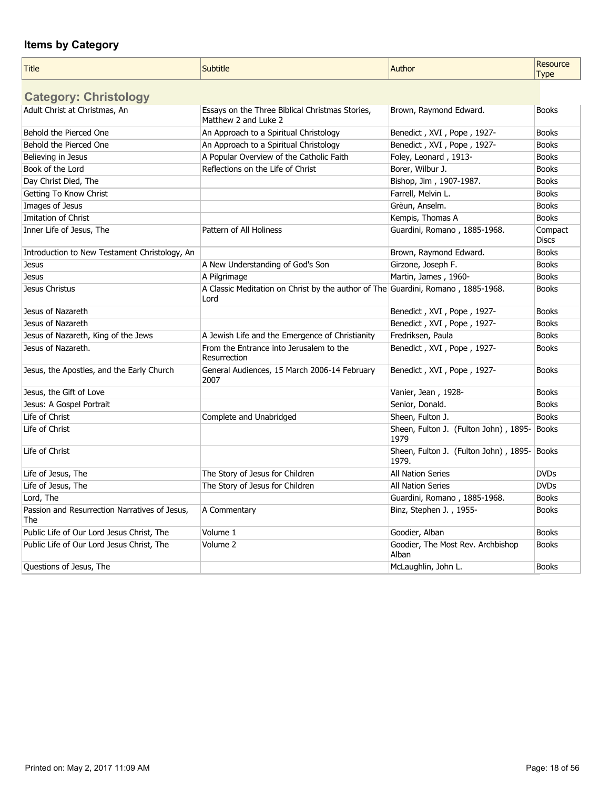| <b>Title</b>                                         | <b>Subtitle</b>                                                                          | Author                                              | Resource<br><b>Type</b> |
|------------------------------------------------------|------------------------------------------------------------------------------------------|-----------------------------------------------------|-------------------------|
| <b>Category: Christology</b>                         |                                                                                          |                                                     |                         |
| Adult Christ at Christmas, An                        | Essays on the Three Biblical Christmas Stories,<br>Matthew 2 and Luke 2                  | Brown, Raymond Edward.                              | <b>Books</b>            |
| Behold the Pierced One                               | An Approach to a Spiritual Christology                                                   | Benedict, XVI, Pope, 1927-                          | <b>Books</b>            |
| Behold the Pierced One                               | An Approach to a Spiritual Christology                                                   | Benedict, XVI, Pope, 1927-                          | <b>Books</b>            |
| Believing in Jesus                                   | A Popular Overview of the Catholic Faith                                                 | Foley, Leonard, 1913-                               | <b>Books</b>            |
| Book of the Lord                                     | Reflections on the Life of Christ                                                        | Borer, Wilbur J.                                    | <b>Books</b>            |
| Day Christ Died, The                                 |                                                                                          | Bishop, Jim, 1907-1987.                             | <b>Books</b>            |
| Getting To Know Christ                               |                                                                                          | Farrell, Melvin L.                                  | <b>Books</b>            |
| Images of Jesus                                      |                                                                                          | Grèun, Anselm.                                      | <b>Books</b>            |
| Imitation of Christ                                  |                                                                                          | Kempis, Thomas A                                    | <b>Books</b>            |
| Inner Life of Jesus, The                             | Pattern of All Holiness                                                                  | Guardini, Romano, 1885-1968.                        | Compact<br><b>Discs</b> |
| Introduction to New Testament Christology, An        |                                                                                          | Brown, Raymond Edward.                              | <b>Books</b>            |
| <b>Jesus</b>                                         | A New Understanding of God's Son                                                         | Girzone, Joseph F.                                  | <b>Books</b>            |
| <b>Jesus</b>                                         | A Pilgrimage                                                                             | Martin, James, 1960-                                | <b>Books</b>            |
| Jesus Christus                                       | A Classic Meditation on Christ by the author of The Guardini, Romano, 1885-1968.<br>Lord |                                                     | <b>Books</b>            |
| Jesus of Nazareth                                    |                                                                                          | Benedict, XVI, Pope, 1927-                          | <b>Books</b>            |
| Jesus of Nazareth                                    |                                                                                          | Benedict, XVI, Pope, 1927-                          | <b>Books</b>            |
| Jesus of Nazareth, King of the Jews                  | A Jewish Life and the Emergence of Christianity                                          | Fredriksen, Paula                                   | <b>Books</b>            |
| Jesus of Nazareth.                                   | From the Entrance into Jerusalem to the<br>Resurrection                                  | Benedict, XVI, Pope, 1927-                          | <b>Books</b>            |
| Jesus, the Apostles, and the Early Church            | General Audiences, 15 March 2006-14 February<br>2007                                     | Benedict, XVI, Pope, 1927-                          | <b>Books</b>            |
| Jesus, the Gift of Love                              |                                                                                          | Vanier, Jean, 1928-                                 | <b>Books</b>            |
| Jesus: A Gospel Portrait                             |                                                                                          | Senior, Donald.                                     | <b>Books</b>            |
| Life of Christ                                       | Complete and Unabridged                                                                  | Sheen, Fulton J.                                    | <b>Books</b>            |
| Life of Christ                                       |                                                                                          | Sheen, Fulton J. (Fulton John), 1895- Books<br>1979 |                         |
| Life of Christ                                       |                                                                                          | Sheen, Fulton J. (Fulton John), 1895-<br>1979.      | Books                   |
| Life of Jesus, The                                   | The Story of Jesus for Children                                                          | All Nation Series                                   | <b>DVDs</b>             |
| Life of Jesus, The                                   | The Story of Jesus for Children                                                          | <b>All Nation Series</b>                            | <b>DVDs</b>             |
| Lord, The                                            |                                                                                          | Guardini, Romano, 1885-1968.                        | <b>Books</b>            |
| Passion and Resurrection Narratives of Jesus,<br>The | A Commentary                                                                             | Binz, Stephen J., 1955-                             | <b>Books</b>            |
| Public Life of Our Lord Jesus Christ, The            | Volume 1                                                                                 | Goodier, Alban                                      | <b>Books</b>            |
| Public Life of Our Lord Jesus Christ, The            | Volume 2                                                                                 | Goodier, The Most Rev. Archbishop<br>Alban          | <b>Books</b>            |
| Questions of Jesus, The                              |                                                                                          | McLaughlin, John L.                                 | <b>Books</b>            |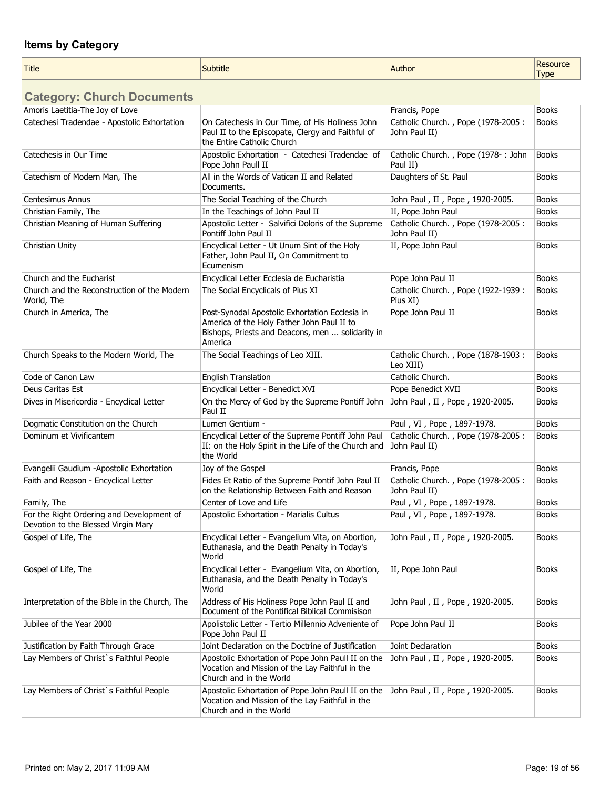| <b>Title</b> | the property of the con-<br>subtitle<br>. | <b>Author</b><br>. | esource<br>n r<br>Турє |
|--------------|-------------------------------------------|--------------------|------------------------|
|--------------|-------------------------------------------|--------------------|------------------------|

**Category: Church Documents**

| Amoris Laetitia-The Joy of Love                                                  |                                                                                                                                                             | Francis, Pope                                       | <b>Books</b> |
|----------------------------------------------------------------------------------|-------------------------------------------------------------------------------------------------------------------------------------------------------------|-----------------------------------------------------|--------------|
| Catechesi Tradendae - Apostolic Exhortation                                      | On Catechesis in Our Time, of His Holiness John<br>Paul II to the Episcopate, Clergy and Faithful of<br>the Entire Catholic Church                          | Catholic Church., Pope (1978-2005:<br>John Paul II) | <b>Books</b> |
| Catechesis in Our Time                                                           | Apostolic Exhortation - Catechesi Tradendae of<br>Pope John Paull II                                                                                        | Catholic Church., Pope (1978-: John<br>Paul II)     | Books        |
| Catechism of Modern Man, The                                                     | All in the Words of Vatican II and Related<br>Documents.                                                                                                    | Daughters of St. Paul                               | <b>Books</b> |
| Centesimus Annus                                                                 | The Social Teaching of the Church                                                                                                                           | John Paul, II, Pope, 1920-2005.                     | <b>Books</b> |
| Christian Family, The                                                            | In the Teachings of John Paul II                                                                                                                            | II, Pope John Paul                                  | <b>Books</b> |
| Christian Meaning of Human Suffering                                             | Apostolic Letter - Salvifici Doloris of the Supreme<br>Pontiff John Paul II                                                                                 | Catholic Church., Pope (1978-2005:<br>John Paul II) | <b>Books</b> |
| Christian Unity                                                                  | Encyclical Letter - Ut Unum Sint of the Holy<br>Father, John Paul II, On Commitment to<br>Ecumenism                                                         | II, Pope John Paul                                  | <b>Books</b> |
| Church and the Eucharist                                                         | Encyclical Letter Ecclesia de Eucharistia                                                                                                                   | Pope John Paul II                                   | <b>Books</b> |
| Church and the Reconstruction of the Modern<br>World, The                        | The Social Encyclicals of Pius XI                                                                                                                           | Catholic Church., Pope (1922-1939:<br>Pius XI)      | <b>Books</b> |
| Church in America, The                                                           | Post-Synodal Apostolic Exhortation Ecclesia in<br>America of the Holy Father John Paul II to<br>Bishops, Priests and Deacons, men  solidarity in<br>America | Pope John Paul II                                   | <b>Books</b> |
| Church Speaks to the Modern World, The                                           | The Social Teachings of Leo XIII.                                                                                                                           | Catholic Church., Pope (1878-1903:<br>Leo XIII)     | <b>Books</b> |
| Code of Canon Law                                                                | <b>English Translation</b>                                                                                                                                  | Catholic Church.                                    | <b>Books</b> |
| Deus Caritas Est                                                                 | Encyclical Letter - Benedict XVI                                                                                                                            | Pope Benedict XVII                                  | <b>Books</b> |
| Dives in Misericordia - Encyclical Letter                                        | On the Mercy of God by the Supreme Pontiff John<br>Paul II                                                                                                  | John Paul, II, Pope, 1920-2005.                     | <b>Books</b> |
| Dogmatic Constitution on the Church                                              | Lumen Gentium -                                                                                                                                             | Paul, VI, Pope, 1897-1978.                          | <b>Books</b> |
| Dominum et Vivificantem                                                          | Encyclical Letter of the Supreme Pontiff John Paul<br>II: on the Holy Spirit in the Life of the Church and<br>the World                                     | Catholic Church., Pope (1978-2005:<br>John Paul II) | <b>Books</b> |
| Evangelii Gaudium -Apostolic Exhortation                                         | Joy of the Gospel                                                                                                                                           | Francis, Pope                                       | <b>Books</b> |
| Faith and Reason - Encyclical Letter                                             | Fides Et Ratio of the Supreme Pontif John Paul II<br>on the Relationship Between Faith and Reason                                                           | Catholic Church., Pope (1978-2005:<br>John Paul II) | <b>Books</b> |
| Family, The                                                                      | Center of Love and Life                                                                                                                                     | Paul, VI, Pope, 1897-1978.                          | <b>Books</b> |
| For the Right Ordering and Development of<br>Devotion to the Blessed Virgin Mary | Apostolic Exhortation - Marialis Cultus                                                                                                                     | Paul, VI, Pope, 1897-1978.                          | <b>Books</b> |
| Gospel of Life, The                                                              | Encyclical Letter - Evangelium Vita, on Abortion,<br>Euthanasia, and the Death Penalty in Today's<br>World                                                  | John Paul, II, Pope, 1920-2005.                     | <b>Books</b> |
| Gospel of Life, The                                                              | Encyclical Letter - Evangelium Vita, on Abortion,<br>Euthanasia, and the Death Penalty in Today's<br>World                                                  | II, Pope John Paul                                  | <b>Books</b> |
| Interpretation of the Bible in the Church, The                                   | Address of His Holiness Pope John Paul II and<br>Document of the Pontifical Biblical Commisison                                                             | John Paul, II, Pope, 1920-2005.                     | <b>Books</b> |
| Jubilee of the Year 2000                                                         | Apolistolic Letter - Tertio Millennio Adveniente of<br>Pope John Paul II                                                                                    | Pope John Paul II                                   | <b>Books</b> |
| Justification by Faith Through Grace                                             | Joint Declaration on the Doctrine of Justification                                                                                                          | Joint Declaration                                   | <b>Books</b> |
| Lay Members of Christ's Faithful People                                          | Apostolic Exhortation of Pope John Paull II on the<br>Vocation and Mission of the Lay Faithful in the<br>Church and in the World                            | John Paul, II, Pope, 1920-2005.                     | <b>Books</b> |
| Lay Members of Christ's Faithful People                                          | Apostolic Exhortation of Pope John Paull II on the<br>Vocation and Mission of the Lay Faithful in the<br>Church and in the World                            | John Paul, II, Pope, 1920-2005.                     | <b>Books</b> |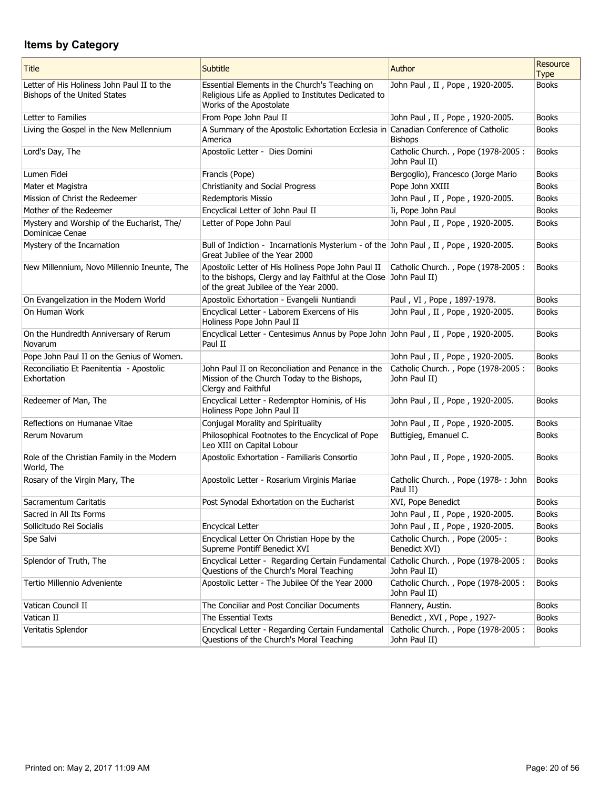| <b>Title</b>                                                               | <b>Subtitle</b>                                                                                                                                                    | Author                                              | <b>Resource</b><br><b>Type</b> |
|----------------------------------------------------------------------------|--------------------------------------------------------------------------------------------------------------------------------------------------------------------|-----------------------------------------------------|--------------------------------|
| Letter of His Holiness John Paul II to the<br>Bishops of the United States | Essential Elements in the Church's Teaching on<br>Religious Life as Applied to Institutes Dedicated to<br>Works of the Apostolate                                  | John Paul, II, Pope, 1920-2005.                     | <b>Books</b>                   |
| Letter to Families                                                         | From Pope John Paul II                                                                                                                                             | John Paul, II, Pope, 1920-2005.                     | <b>Books</b>                   |
| Living the Gospel in the New Mellennium                                    | A Summary of the Apostolic Exhortation Ecclesia in<br>America                                                                                                      | Canadian Conference of Catholic<br><b>Bishops</b>   | <b>Books</b>                   |
| Lord's Day, The                                                            | Apostolic Letter - Dies Domini                                                                                                                                     | Catholic Church., Pope (1978-2005:<br>John Paul II) | <b>Books</b>                   |
| Lumen Fidei                                                                | Francis (Pope)                                                                                                                                                     | Bergoglio), Francesco (Jorge Mario                  | <b>Books</b>                   |
| Mater et Magistra                                                          | Christianity and Social Progress                                                                                                                                   | Pope John XXIII                                     | <b>Books</b>                   |
| Mission of Christ the Redeemer                                             | Redemptoris Missio                                                                                                                                                 | John Paul, II, Pope, 1920-2005.                     | <b>Books</b>                   |
| Mother of the Redeemer                                                     | Encyclical Letter of John Paul II                                                                                                                                  | Ii, Pope John Paul                                  | <b>Books</b>                   |
| Mystery and Worship of the Eucharist, The/<br>Dominicae Cenae              | Letter of Pope John Paul                                                                                                                                           | John Paul, II, Pope, 1920-2005.                     | <b>Books</b>                   |
| Mystery of the Incarnation                                                 | Bull of Indiction - Incarnationis Mysterium - of the John Paul, II, Pope, 1920-2005.<br>Great Jubilee of the Year 2000                                             |                                                     | <b>Books</b>                   |
| New Millennium, Novo Millennio Ineunte, The                                | Apostolic Letter of His Holiness Pope John Paul II<br>to the bishops, Clergy and lay Faithful at the Close John Paul II)<br>of the great Jubilee of the Year 2000. | Catholic Church., Pope (1978-2005:                  | <b>Books</b>                   |
| On Evangelization in the Modern World                                      | Apostolic Exhortation - Evangelii Nuntiandi                                                                                                                        | Paul, VI, Pope, 1897-1978.                          | <b>Books</b>                   |
| On Human Work                                                              | Encyclical Letter - Laborem Exercens of His<br>Holiness Pope John Paul II                                                                                          | John Paul, II, Pope, 1920-2005.                     | <b>Books</b>                   |
| On the Hundredth Anniversary of Rerum<br>Novarum                           | Encyclical Letter - Centesimus Annus by Pope John John Paul, II, Pope, 1920-2005.<br>Paul II                                                                       |                                                     | <b>Books</b>                   |
| Pope John Paul II on the Genius of Women.                                  |                                                                                                                                                                    | John Paul, II, Pope, 1920-2005.                     | <b>Books</b>                   |
| Reconciliatio Et Paenitentia - Apostolic<br>Exhortation                    | John Paul II on Reconciliation and Penance in the<br>Mission of the Church Today to the Bishops,<br>Clergy and Faithful                                            | Catholic Church., Pope (1978-2005:<br>John Paul II) | <b>Books</b>                   |
| Redeemer of Man, The                                                       | Encyclical Letter - Redemptor Hominis, of His<br>Holiness Pope John Paul II                                                                                        | John Paul, II, Pope, 1920-2005.                     | <b>Books</b>                   |
| Reflections on Humanae Vitae                                               | Conjugal Morality and Spirituality                                                                                                                                 | John Paul, II, Pope, 1920-2005.                     | <b>Books</b>                   |
| Rerum Novarum                                                              | Philosophical Footnotes to the Encyclical of Pope<br>Leo XIII on Capital Lobour                                                                                    | Buttigieg, Emanuel C.                               | <b>Books</b>                   |
| Role of the Christian Family in the Modern<br>World, The                   | Apostolic Exhortation - Familiaris Consortio                                                                                                                       | John Paul, II, Pope, 1920-2005.                     | <b>Books</b>                   |
| Rosary of the Virgin Mary, The                                             | Apostolic Letter - Rosarium Virginis Mariae                                                                                                                        | Catholic Church., Pope (1978-: John<br>Paul II)     | <b>Books</b>                   |
| Sacramentum Caritatis                                                      | Post Synodal Exhortation on the Eucharist                                                                                                                          | XVI, Pope Benedict                                  | <b>Books</b>                   |
| Sacred in All Its Forms                                                    |                                                                                                                                                                    | John Paul, II, Pope, 1920-2005.                     | Books                          |
| Sollicitudo Rei Socialis                                                   | <b>Encycical Letter</b>                                                                                                                                            | John Paul, II, Pope, 1920-2005.                     | <b>Books</b>                   |
| Spe Salvi                                                                  | Encyclical Letter On Christian Hope by the<br>Supreme Pontiff Benedict XVI                                                                                         | Catholic Church., Pope (2005-:<br>Benedict XVI)     | <b>Books</b>                   |
| Splendor of Truth, The                                                     | Encyclical Letter - Regarding Certain Fundamental<br>Questions of the Church's Moral Teaching                                                                      | Catholic Church., Pope (1978-2005:<br>John Paul II) | <b>Books</b>                   |
| Tertio Millennio Adveniente                                                | Apostolic Letter - The Jubilee Of the Year 2000                                                                                                                    | Catholic Church., Pope (1978-2005:<br>John Paul II) | <b>Books</b>                   |
| Vatican Council II                                                         | The Conciliar and Post Conciliar Documents                                                                                                                         | Flannery, Austin.                                   | <b>Books</b>                   |
| Vatican II                                                                 | The Essential Texts                                                                                                                                                | Benedict, XVI, Pope, 1927-                          | <b>Books</b>                   |
| Veritatis Splendor                                                         | Encyclical Letter - Regarding Certain Fundamental<br>Questions of the Church's Moral Teaching                                                                      | Catholic Church., Pope (1978-2005:<br>John Paul II) | <b>Books</b>                   |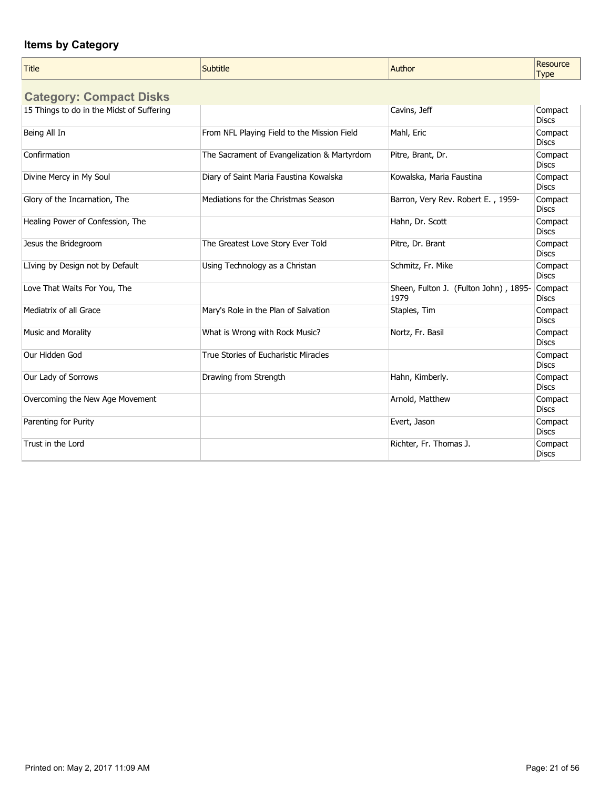| <b>Title</b>                              | Subtitle                                    | Author                                        | Resource<br><b>Type</b> |
|-------------------------------------------|---------------------------------------------|-----------------------------------------------|-------------------------|
| <b>Category: Compact Disks</b>            |                                             |                                               |                         |
| 15 Things to do in the Midst of Suffering |                                             | Cavins, Jeff                                  | Compact<br><b>Discs</b> |
| Being All In                              | From NFL Playing Field to the Mission Field | Mahl, Eric                                    | Compact<br><b>Discs</b> |
| Confirmation                              | The Sacrament of Evangelization & Martyrdom | Pitre, Brant, Dr.                             | Compact<br><b>Discs</b> |
| Divine Mercy in My Soul                   | Diary of Saint Maria Faustina Kowalska      | Kowalska, Maria Faustina                      | Compact<br><b>Discs</b> |
| Glory of the Incarnation, The             | Mediations for the Christmas Season         | Barron, Very Rev. Robert E., 1959-            | Compact<br><b>Discs</b> |
| Healing Power of Confession, The          |                                             | Hahn, Dr. Scott                               | Compact<br><b>Discs</b> |
| Jesus the Bridegroom                      | The Greatest Love Story Ever Told           | Pitre, Dr. Brant                              | Compact<br><b>Discs</b> |
| LIving by Design not by Default           | Using Technology as a Christan              | Schmitz, Fr. Mike                             | Compact<br><b>Discs</b> |
| Love That Waits For You, The              |                                             | Sheen, Fulton J. (Fulton John), 1895-<br>1979 | Compact<br><b>Discs</b> |
| Mediatrix of all Grace                    | Mary's Role in the Plan of Salvation        | Staples, Tim                                  | Compact<br><b>Discs</b> |
| <b>Music and Morality</b>                 | What is Wrong with Rock Music?              | Nortz, Fr. Basil                              | Compact<br><b>Discs</b> |
| Our Hidden God                            | True Stories of Eucharistic Miracles        |                                               | Compact<br><b>Discs</b> |
| Our Lady of Sorrows                       | Drawing from Strength                       | Hahn, Kimberly.                               | Compact<br><b>Discs</b> |
| Overcoming the New Age Movement           |                                             | Arnold, Matthew                               | Compact<br><b>Discs</b> |
| Parenting for Purity                      |                                             | Evert, Jason                                  | Compact<br><b>Discs</b> |
| Trust in the Lord                         |                                             | Richter, Fr. Thomas J.                        | Compact<br><b>Discs</b> |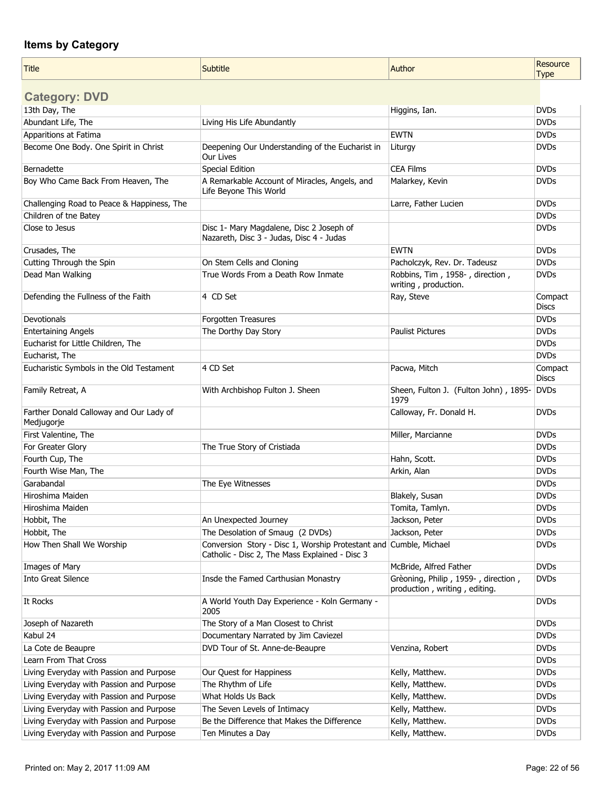| <b>Title</b>                                          | <b>Subtitle</b>                                                                                                     | Author                                                               | Resource<br><b>Type</b> |
|-------------------------------------------------------|---------------------------------------------------------------------------------------------------------------------|----------------------------------------------------------------------|-------------------------|
|                                                       |                                                                                                                     |                                                                      |                         |
| <b>Category: DVD</b>                                  |                                                                                                                     |                                                                      |                         |
| 13th Day, The                                         |                                                                                                                     | Higgins, Ian.                                                        | <b>DVDs</b>             |
| Abundant Life, The                                    | Living His Life Abundantly                                                                                          |                                                                      | <b>DVDs</b>             |
| Apparitions at Fatima                                 |                                                                                                                     | <b>EWTN</b>                                                          | <b>DVDs</b>             |
| Become One Body. One Spirit in Christ                 | Deepening Our Understanding of the Eucharist in<br>Our Lives                                                        | Liturgy                                                              | <b>DVDs</b>             |
| Bernadette                                            | <b>Special Edition</b>                                                                                              | <b>CEA Films</b>                                                     | <b>DVDs</b>             |
| Boy Who Came Back From Heaven, The                    | A Remarkable Account of Miracles, Angels, and<br>Life Beyone This World                                             | Malarkey, Kevin                                                      | <b>DVDs</b>             |
| Challenging Road to Peace & Happiness, The            |                                                                                                                     | Larre, Father Lucien                                                 | <b>DVDs</b>             |
| Children of tne Batey                                 |                                                                                                                     |                                                                      | <b>DVDs</b>             |
| Close to Jesus                                        | Disc 1- Mary Magdalene, Disc 2 Joseph of<br>Nazareth, Disc 3 - Judas, Disc 4 - Judas                                |                                                                      | <b>DVDs</b>             |
| Crusades, The                                         |                                                                                                                     | <b>EWTN</b>                                                          | <b>DVDs</b>             |
| Cutting Through the Spin                              | On Stem Cells and Cloning                                                                                           | Pacholczyk, Rev. Dr. Tadeusz                                         | <b>DVDs</b>             |
| Dead Man Walking                                      | True Words From a Death Row Inmate                                                                                  | Robbins, Tim, 1958-, direction,<br>writing, production.              | <b>DVDs</b>             |
| Defending the Fullness of the Faith                   | 4 CD Set                                                                                                            | Ray, Steve                                                           | Compact<br><b>Discs</b> |
| Devotionals                                           | Forgotten Treasures                                                                                                 |                                                                      | <b>DVDs</b>             |
| <b>Entertaining Angels</b>                            | The Dorthy Day Story                                                                                                | <b>Paulist Pictures</b>                                              | <b>DVDs</b>             |
| Eucharist for Little Children, The                    |                                                                                                                     |                                                                      | <b>DVDs</b>             |
| Eucharist, The                                        |                                                                                                                     |                                                                      | <b>DVDs</b>             |
| Eucharistic Symbols in the Old Testament              | 4 CD Set                                                                                                            | Pacwa, Mitch                                                         | Compact<br><b>Discs</b> |
| Family Retreat, A                                     | With Archbishop Fulton J. Sheen                                                                                     | Sheen, Fulton J. (Fulton John), 1895-<br>1979                        | <b>DVDs</b>             |
| Farther Donald Calloway and Our Lady of<br>Medjugorje |                                                                                                                     | Calloway, Fr. Donald H.                                              | <b>DVDs</b>             |
| First Valentine, The                                  |                                                                                                                     | Miller, Marcianne                                                    | <b>DVDs</b>             |
| For Greater Glory                                     | The True Story of Cristiada                                                                                         |                                                                      | <b>DVDs</b>             |
| Fourth Cup, The                                       |                                                                                                                     | Hahn, Scott.                                                         | <b>DVDs</b>             |
| Fourth Wise Man, The                                  |                                                                                                                     | Arkin, Alan                                                          | <b>DVDs</b>             |
| Garabandal                                            | The Eye Witnesses                                                                                                   |                                                                      | <b>DVDs</b>             |
| Hiroshima Maiden                                      |                                                                                                                     | Blakely, Susan                                                       | <b>DVDs</b>             |
| Hiroshima Maiden                                      |                                                                                                                     | Tomita, Tamlyn.                                                      | <b>DVDs</b>             |
| Hobbit, The                                           | An Unexpected Journey                                                                                               | Jackson, Peter                                                       | <b>DVDs</b>             |
| Hobbit, The                                           | The Desolation of Smaug (2 DVDs)                                                                                    | Jackson, Peter                                                       | <b>DVDs</b>             |
| How Then Shall We Worship                             | Conversion Story - Disc 1, Worship Protestant and Cumble, Michael<br>Catholic - Disc 2, The Mass Explained - Disc 3 |                                                                      | <b>DVDs</b>             |
| Images of Mary                                        |                                                                                                                     | McBride, Alfred Father                                               | <b>DVDs</b>             |
| <b>Into Great Silence</b>                             | Insde the Famed Carthusian Monastry                                                                                 | Grèoning, Philip, 1959-, direction,<br>production, writing, editing. | <b>DVDs</b>             |
| It Rocks                                              | A World Youth Day Experience - Koln Germany -<br>2005                                                               |                                                                      | <b>DVDs</b>             |
| Joseph of Nazareth                                    | The Story of a Man Closest to Christ                                                                                |                                                                      | <b>DVDs</b>             |
| Kabul 24                                              | Documentary Narrated by Jim Caviezel                                                                                |                                                                      | <b>DVDs</b>             |
| La Cote de Beaupre                                    | DVD Tour of St. Anne-de-Beaupre                                                                                     | Venzina, Robert                                                      | <b>DVDs</b>             |
| Learn From That Cross                                 |                                                                                                                     |                                                                      | <b>DVDs</b>             |
| Living Everyday with Passion and Purpose              | Our Quest for Happiness                                                                                             | Kelly, Matthew.                                                      | <b>DVDs</b>             |
| Living Everyday with Passion and Purpose              | The Rhythm of Life                                                                                                  | Kelly, Matthew.                                                      | <b>DVDs</b>             |
| Living Everyday with Passion and Purpose              | What Holds Us Back                                                                                                  | Kelly, Matthew.                                                      | <b>DVDs</b>             |
| Living Everyday with Passion and Purpose              | The Seven Levels of Intimacy                                                                                        | Kelly, Matthew.                                                      | <b>DVDs</b>             |
| Living Everyday with Passion and Purpose              | Be the Difference that Makes the Difference                                                                         | Kelly, Matthew.                                                      | <b>DVDs</b>             |
| Living Everyday with Passion and Purpose              | Ten Minutes a Day                                                                                                   | Kelly, Matthew.                                                      | <b>DVDs</b>             |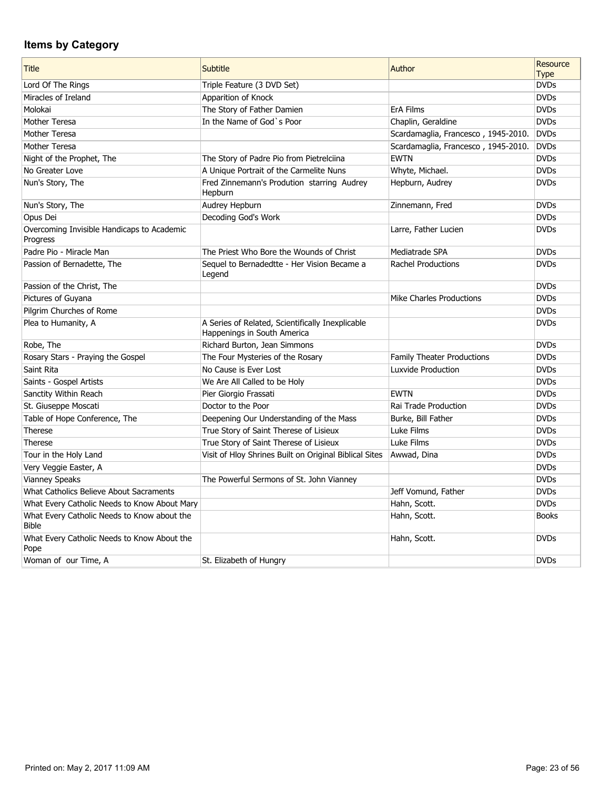| <b>Title</b>                                                | Subtitle                                                                        | Author                              | Resource<br><b>Type</b> |
|-------------------------------------------------------------|---------------------------------------------------------------------------------|-------------------------------------|-------------------------|
| Lord Of The Rings                                           | Triple Feature (3 DVD Set)                                                      |                                     | <b>DVDs</b>             |
| Miracles of Ireland                                         | Apparition of Knock                                                             |                                     | <b>DVDs</b>             |
| Molokai                                                     | The Story of Father Damien                                                      | <b>ErA Films</b>                    | <b>DVDs</b>             |
| Mother Teresa                                               | In the Name of God's Poor                                                       | Chaplin, Geraldine                  | <b>DVDs</b>             |
| Mother Teresa                                               |                                                                                 | Scardamaglia, Francesco, 1945-2010. | <b>DVDs</b>             |
| Mother Teresa                                               |                                                                                 | Scardamaglia, Francesco, 1945-2010. | <b>DVDs</b>             |
| Night of the Prophet, The                                   | The Story of Padre Pio from Pietrelciina                                        | <b>EWTN</b>                         | <b>DVDs</b>             |
| No Greater Love                                             | A Unique Portrait of the Carmelite Nuns                                         | Whyte, Michael.                     | <b>DVDs</b>             |
| Nun's Story, The                                            | Fred Zinnemann's Prodution starring Audrey<br>Hepburn                           | Hepburn, Audrey                     | <b>DVDs</b>             |
| Nun's Story, The                                            | Audrey Hepburn                                                                  | Zinnemann, Fred                     | <b>DVDs</b>             |
| Opus Dei                                                    | Decoding God's Work                                                             |                                     | <b>DVDs</b>             |
| Overcoming Invisible Handicaps to Academic<br>Progress      |                                                                                 | Larre, Father Lucien                | <b>DVDs</b>             |
| Padre Pio - Miracle Man                                     | The Priest Who Bore the Wounds of Christ                                        | Mediatrade SPA                      | <b>DVDs</b>             |
| Passion of Bernadette, The                                  | Sequel to Bernadedtte - Her Vision Became a<br>Legend                           | <b>Rachel Productions</b>           | <b>DVDs</b>             |
| Passion of the Christ, The                                  |                                                                                 |                                     | <b>DVDs</b>             |
| Pictures of Guyana                                          |                                                                                 | Mike Charles Productions            | <b>DVDs</b>             |
| Pilgrim Churches of Rome                                    |                                                                                 |                                     | <b>DVDs</b>             |
| Plea to Humanity, A                                         | A Series of Related, Scientifically Inexplicable<br>Happenings in South America |                                     | <b>DVDs</b>             |
| Robe, The                                                   | Richard Burton, Jean Simmons                                                    |                                     | <b>DVDs</b>             |
| Rosary Stars - Praying the Gospel                           | The Four Mysteries of the Rosary                                                | Family Theater Productions          | <b>DVDs</b>             |
| Saint Rita                                                  | No Cause is Ever Lost                                                           | Luxvide Production                  | <b>DVDs</b>             |
| Saints - Gospel Artists                                     | We Are All Called to be Holy                                                    |                                     | <b>DVDs</b>             |
| Sanctity Within Reach                                       | Pier Giorgio Frassati                                                           | <b>EWTN</b>                         | <b>DVDs</b>             |
| St. Giuseppe Moscati                                        | Doctor to the Poor                                                              | Rai Trade Production                | <b>DVDs</b>             |
| Table of Hope Conference, The                               | Deepening Our Understanding of the Mass                                         | Burke, Bill Father                  | <b>DVDs</b>             |
| Therese                                                     | True Story of Saint Therese of Lisieux                                          | Luke Films                          | <b>DVDs</b>             |
| Therese                                                     | True Story of Saint Therese of Lisieux                                          | Luke Films                          | <b>DVDs</b>             |
| Tour in the Holy Land                                       | Visit of Hloy Shrines Built on Original Biblical Sites                          | Awwad, Dina                         | <b>DVDs</b>             |
| Very Veggie Easter, A                                       |                                                                                 |                                     | <b>DVDs</b>             |
| <b>Vianney Speaks</b>                                       | The Powerful Sermons of St. John Vianney                                        |                                     | <b>DVDs</b>             |
| What Catholics Believe About Sacraments                     |                                                                                 | Jeff Vomund, Father                 | <b>DVDs</b>             |
| What Every Catholic Needs to Know About Mary                |                                                                                 | Hahn, Scott.                        | <b>DVDs</b>             |
| What Every Catholic Needs to Know about the<br><b>Bible</b> |                                                                                 | Hahn, Scott.                        | <b>Books</b>            |
| What Every Catholic Needs to Know About the<br>Pope         |                                                                                 | Hahn, Scott.                        | <b>DVDs</b>             |
| Woman of our Time, A                                        | St. Elizabeth of Hungry                                                         |                                     | <b>DVDs</b>             |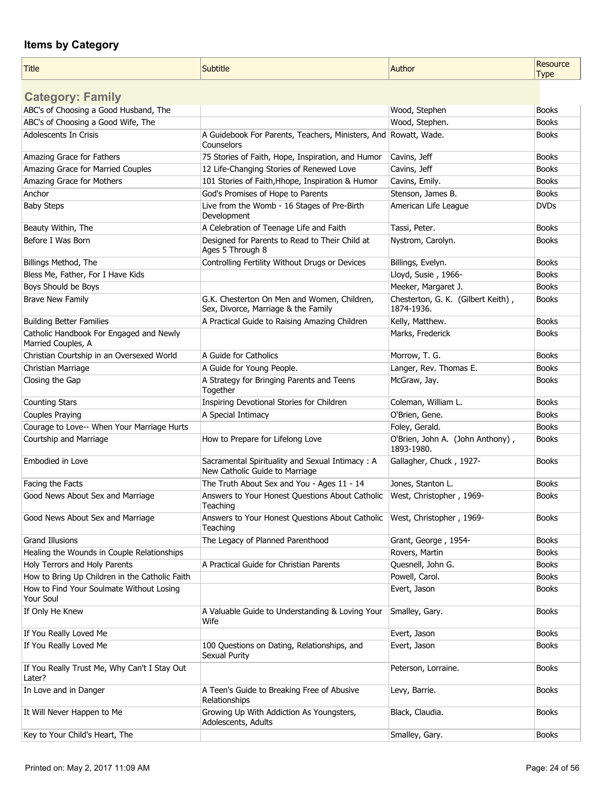| <b>Title</b>                                                  | Subtitle                                                                           | Author                                           | Resource     |
|---------------------------------------------------------------|------------------------------------------------------------------------------------|--------------------------------------------------|--------------|
|                                                               |                                                                                    |                                                  | <b>Type</b>  |
| <b>Category: Family</b>                                       |                                                                                    |                                                  |              |
| ABC's of Choosing a Good Husband, The                         |                                                                                    | Wood, Stephen                                    | <b>Books</b> |
| ABC's of Choosing a Good Wife, The                            |                                                                                    | Wood, Stephen.                                   | <b>Books</b> |
| <b>Adolescents In Crisis</b>                                  | A Guidebook For Parents, Teachers, Ministers, And Rowatt, Wade.                    |                                                  | <b>Books</b> |
|                                                               | Counselors                                                                         |                                                  |              |
| Amazing Grace for Fathers                                     | 75 Stories of Faith, Hope, Inspiration, and Humor                                  | Cavins, Jeff                                     | <b>Books</b> |
| Amazing Grace for Married Couples                             | 12 Life-Changing Stories of Renewed Love                                           | Cavins, Jeff                                     | <b>Books</b> |
| Amazing Grace for Mothers                                     | 101 Stories of Faith, Hhope, Inspiration & Humor                                   | Cavins, Emily.                                   | <b>Books</b> |
| Anchor                                                        | God's Promises of Hope to Parents                                                  | Stenson, James B.                                | <b>Books</b> |
| <b>Baby Steps</b>                                             | Live from the Womb - 16 Stages of Pre-Birth<br>Development                         | American Life League                             | <b>DVDs</b>  |
| Beauty Within, The                                            | A Celebration of Teenage Life and Faith                                            | Tassi, Peter.                                    | <b>Books</b> |
| Before I Was Born                                             | Designed for Parents to Read to Their Child at<br>Ages 5 Through 8                 | Nystrom, Carolyn.                                | <b>Books</b> |
| Billings Method, The                                          | Controlling Fertility Without Drugs or Devices                                     | Billings, Evelyn.                                | <b>Books</b> |
| Bless Me, Father, For I Have Kids                             |                                                                                    | Lloyd, Susie, 1966-                              | <b>Books</b> |
| Boys Should be Boys                                           |                                                                                    | Meeker, Margaret J.                              | <b>Books</b> |
| <b>Brave New Family</b>                                       | G.K. Chesterton On Men and Women, Children,<br>Sex, Divorce, Marriage & the Family | Chesterton, G. K. (Gilbert Keith),<br>1874-1936. | <b>Books</b> |
| <b>Building Better Families</b>                               | A Practical Guide to Raising Amazing Children                                      | Kelly, Matthew.                                  | <b>Books</b> |
| Catholic Handbook For Engaged and Newly<br>Married Couples, A |                                                                                    | Marks, Frederick                                 | <b>Books</b> |
| Christian Courtship in an Oversexed World                     | A Guide for Catholics                                                              | Morrow, T. G.                                    | <b>Books</b> |
| Christian Marriage                                            | A Guide for Young People.                                                          | Langer, Rev. Thomas E.                           | <b>Books</b> |
| Closing the Gap                                               | A Strategy for Bringing Parents and Teens                                          | McGraw, Jay.                                     | <b>Books</b> |
|                                                               | Together                                                                           |                                                  |              |
| <b>Counting Stars</b>                                         | Inspiring Devotional Stories for Children                                          | Coleman, William L.                              | <b>Books</b> |
| Couples Praying                                               | A Special Intimacy                                                                 | O'Brien, Gene.                                   | <b>Books</b> |
| Courage to Love-- When Your Marriage Hurts                    |                                                                                    | Foley, Gerald.                                   | <b>Books</b> |
| Courtship and Marriage                                        | How to Prepare for Lifelong Love                                                   | O'Brien, John A. (John Anthony),<br>1893-1980.   | <b>Books</b> |
| Embodied in Love                                              | Sacramental Spirituality and Sexual Intimacy: A<br>New Catholic Guide to Marriage  | Gallagher, Chuck, 1927-                          | <b>Books</b> |
| Facing the Facts                                              | The Truth About Sex and You - Ages 11 - 14                                         | Jones, Stanton L.                                | <b>Books</b> |
| Good News About Sex and Marriage                              | Answers to Your Honest Questions About Catholic<br>Teaching                        | West, Christopher, 1969-                         | <b>Books</b> |
| Good News About Sex and Marriage                              | Answers to Your Honest Questions About Catholic<br>Teaching                        | West, Christopher, 1969-                         | <b>Books</b> |
| <b>Grand Illusions</b>                                        | The Legacy of Planned Parenthood                                                   | Grant, George, 1954-                             | <b>Books</b> |
| Healing the Wounds in Couple Relationships                    |                                                                                    | Rovers, Martin                                   | <b>Books</b> |
| Holy Terrors and Holy Parents                                 | A Practical Guide for Christian Parents                                            | Quesnell, John G.                                | <b>Books</b> |
| How to Bring Up Children in the Catholic Faith                |                                                                                    | Powell, Carol.                                   | <b>Books</b> |
| How to Find Your Soulmate Without Losing<br>Your Soul         |                                                                                    | Evert, Jason                                     | <b>Books</b> |
| If Only He Knew                                               | A Valuable Guide to Understanding & Loving Your<br>Wife                            | Smalley, Gary.                                   | <b>Books</b> |
| If You Really Loved Me                                        |                                                                                    | Evert, Jason                                     | <b>Books</b> |
| If You Really Loved Me                                        | 100 Questions on Dating, Relationships, and<br>Sexual Purity                       | Evert, Jason                                     | <b>Books</b> |
| If You Really Trust Me, Why Can't I Stay Out<br>Later?        |                                                                                    | Peterson, Lorraine.                              | <b>Books</b> |
| In Love and in Danger                                         | A Teen's Guide to Breaking Free of Abusive<br>Relationships                        | Levy, Barrie.                                    | <b>Books</b> |
| It Will Never Happen to Me                                    | Growing Up With Addiction As Youngsters,<br>Adolescents, Adults                    | Black, Claudia.                                  | <b>Books</b> |
| Key to Your Child's Heart, The                                |                                                                                    | Smalley, Gary.                                   | <b>Books</b> |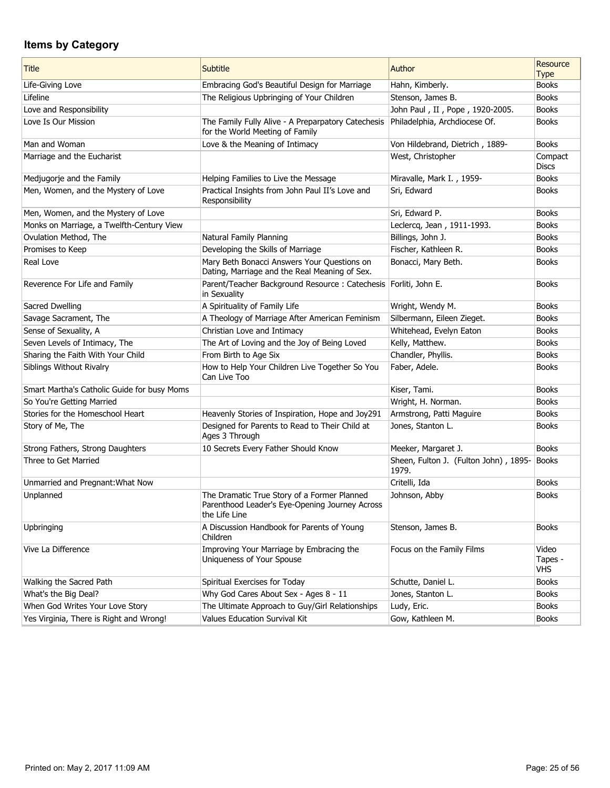| <b>Title</b>                                | <b>Subtitle</b>                                                                                                | Author                                         | Resource<br><b>Type</b>        |
|---------------------------------------------|----------------------------------------------------------------------------------------------------------------|------------------------------------------------|--------------------------------|
| Life-Giving Love                            | Embracing God's Beautiful Design for Marriage                                                                  | Hahn, Kimberly.                                | <b>Books</b>                   |
| Lifeline                                    | The Religious Upbringing of Your Children                                                                      | Stenson, James B.                              | <b>Books</b>                   |
| Love and Responsibility                     |                                                                                                                | John Paul, II, Pope, 1920-2005.                | <b>Books</b>                   |
| Love Is Our Mission                         | The Family Fully Alive - A Preparpatory Catechesis<br>for the World Meeting of Family                          | Philadelphia, Archdiocese Of.                  | <b>Books</b>                   |
| Man and Woman                               | Love & the Meaning of Intimacy                                                                                 | Von Hildebrand, Dietrich, 1889-                | <b>Books</b>                   |
| Marriage and the Eucharist                  |                                                                                                                | West, Christopher                              | Compact<br><b>Discs</b>        |
| Medjugorje and the Family                   | Helping Families to Live the Message                                                                           | Miravalle, Mark I., 1959-                      | <b>Books</b>                   |
| Men, Women, and the Mystery of Love         | Practical Insights from John Paul II's Love and<br>Responsibility                                              | Sri, Edward                                    | <b>Books</b>                   |
| Men, Women, and the Mystery of Love         |                                                                                                                | Sri, Edward P.                                 | <b>Books</b>                   |
| Monks on Marriage, a Twelfth-Century View   |                                                                                                                | Leclercq, Jean, 1911-1993.                     | <b>Books</b>                   |
| Ovulation Method, The                       | Natural Family Planning                                                                                        | Billings, John J.                              | <b>Books</b>                   |
| Promises to Keep                            | Developing the Skills of Marriage                                                                              | Fischer, Kathleen R.                           | <b>Books</b>                   |
| Real Love                                   | Mary Beth Bonacci Answers Your Questions on<br>Dating, Marriage and the Real Meaning of Sex.                   | Bonacci, Mary Beth.                            | <b>Books</b>                   |
| Reverence For Life and Family               | Parent/Teacher Background Resource: Catechesis<br>in Sexuality                                                 | Forliti, John E.                               | <b>Books</b>                   |
| Sacred Dwelling                             | A Spirituality of Family Life                                                                                  | Wright, Wendy M.                               | <b>Books</b>                   |
| Savage Sacrament, The                       | A Theology of Marriage After American Feminism                                                                 | Silbermann, Eileen Zieget.                     | <b>Books</b>                   |
| Sense of Sexuality, A                       | Christian Love and Intimacy                                                                                    | Whitehead, Evelyn Eaton                        | <b>Books</b>                   |
| Seven Levels of Intimacy, The               | The Art of Loving and the Joy of Being Loved                                                                   | Kelly, Matthew.                                | <b>Books</b>                   |
| Sharing the Faith With Your Child           | From Birth to Age Six                                                                                          | Chandler, Phyllis.                             | <b>Books</b>                   |
| Siblings Without Rivalry                    | How to Help Your Children Live Together So You<br>Can Live Too                                                 | Faber, Adele.                                  | <b>Books</b>                   |
| Smart Martha's Catholic Guide for busy Moms |                                                                                                                | Kiser, Tami.                                   | <b>Books</b>                   |
| So You're Getting Married                   |                                                                                                                | Wright, H. Norman.                             | <b>Books</b>                   |
| Stories for the Homeschool Heart            | Heavenly Stories of Inspiration, Hope and Joy291                                                               | Armstrong, Patti Maguire                       | <b>Books</b>                   |
| Story of Me, The                            | Designed for Parents to Read to Their Child at<br>Ages 3 Through                                               | Jones, Stanton L.                              | <b>Books</b>                   |
| Strong Fathers, Strong Daughters            | 10 Secrets Every Father Should Know                                                                            | Meeker, Margaret J.                            | <b>Books</b>                   |
| Three to Get Married                        |                                                                                                                | Sheen, Fulton J. (Fulton John), 1895-<br>1979. | Books                          |
| Unmarried and Pregnant: What Now            |                                                                                                                | Critelli, Ida                                  | <b>Books</b>                   |
| Unplanned                                   | The Dramatic True Story of a Former Planned<br>Parenthood Leader's Eye-Opening Journey Across<br>the Life Line | Johnson, Abby                                  | <b>Books</b>                   |
| Upbringing                                  | A Discussion Handbook for Parents of Young<br>Children                                                         | Stenson, James B.                              | <b>Books</b>                   |
| Vive La Difference                          | Improving Your Marriage by Embracing the<br>Uniqueness of Your Spouse                                          | Focus on the Family Films                      | Video<br>Tapes -<br><b>VHS</b> |
| Walking the Sacred Path                     | Spiritual Exercises for Today                                                                                  | Schutte, Daniel L.                             | <b>Books</b>                   |
| What's the Big Deal?                        | Why God Cares About Sex - Ages 8 - 11                                                                          | Jones, Stanton L.                              | <b>Books</b>                   |
| When God Writes Your Love Story             | The Ultimate Approach to Guy/Girl Relationships                                                                | Ludy, Eric.                                    | <b>Books</b>                   |
| Yes Virginia, There is Right and Wrong!     | Values Education Survival Kit                                                                                  | Gow, Kathleen M.                               | <b>Books</b>                   |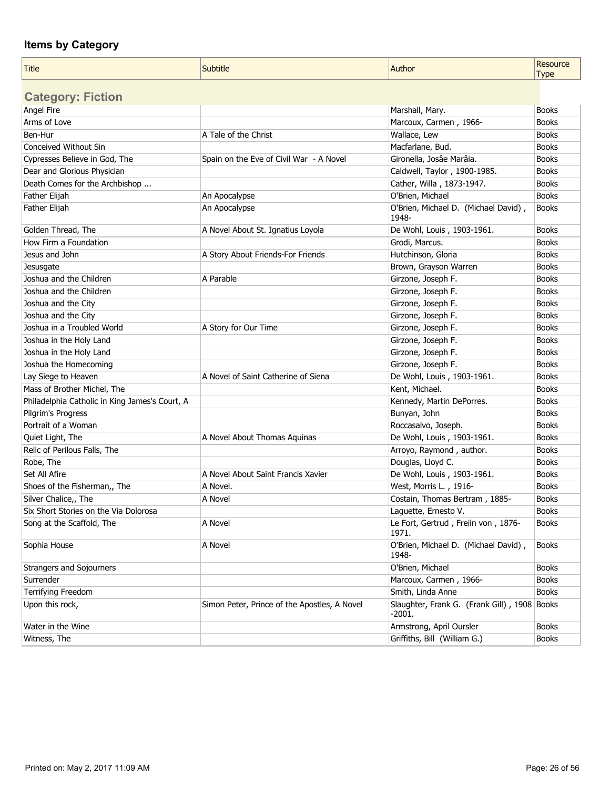| <b>Title</b>                                   | Subtitle                                     | Author                                                   | Resource<br><b>Type</b> |
|------------------------------------------------|----------------------------------------------|----------------------------------------------------------|-------------------------|
| <b>Category: Fiction</b>                       |                                              |                                                          |                         |
| Angel Fire                                     |                                              | Marshall, Mary.                                          | <b>Books</b>            |
| Arms of Love                                   |                                              | Marcoux, Carmen, 1966-                                   | <b>Books</b>            |
| Ben-Hur                                        | A Tale of the Christ                         | Wallace, Lew                                             | <b>Books</b>            |
| Conceived Without Sin                          |                                              | Macfarlane, Bud.                                         | <b>Books</b>            |
| Cypresses Believe in God, The                  | Spain on the Eve of Civil War - A Novel      | Gironella, Josâe Marâia.                                 | <b>Books</b>            |
| Dear and Glorious Physician                    |                                              | Caldwell, Taylor, 1900-1985.                             | <b>Books</b>            |
| Death Comes for the Archbishop                 |                                              | Cather, Willa, 1873-1947.                                | <b>Books</b>            |
| Father Elijah                                  | An Apocalypse                                | O'Brien, Michael                                         | <b>Books</b>            |
| Father Elijah                                  | An Apocalypse                                | O'Brien, Michael D. (Michael David),<br>1948-            | <b>Books</b>            |
| Golden Thread, The                             | A Novel About St. Ignatius Loyola            | De Wohl, Louis, 1903-1961.                               | <b>Books</b>            |
| How Firm a Foundation                          |                                              | Grodi, Marcus.                                           | <b>Books</b>            |
| Jesus and John                                 | A Story About Friends-For Friends            | Hutchinson, Gloria                                       | <b>Books</b>            |
| Jesusgate                                      |                                              | Brown, Grayson Warren                                    | <b>Books</b>            |
| Joshua and the Children                        | A Parable                                    | Girzone, Joseph F.                                       | <b>Books</b>            |
| Joshua and the Children                        |                                              | Girzone, Joseph F.                                       | <b>Books</b>            |
| Joshua and the City                            |                                              | Girzone, Joseph F.                                       | <b>Books</b>            |
| Joshua and the City                            |                                              | Girzone, Joseph F.                                       | <b>Books</b>            |
| Joshua in a Troubled World                     | A Story for Our Time                         | Girzone, Joseph F.                                       | <b>Books</b>            |
| Joshua in the Holy Land                        |                                              | Girzone, Joseph F.                                       | <b>Books</b>            |
| Joshua in the Holy Land                        |                                              | Girzone, Joseph F.                                       | <b>Books</b>            |
| Joshua the Homecoming                          |                                              | Girzone, Joseph F.                                       | <b>Books</b>            |
| Lay Siege to Heaven                            | A Novel of Saint Catherine of Siena          | De Wohl, Louis, 1903-1961.                               | <b>Books</b>            |
| Mass of Brother Michel, The                    |                                              | Kent, Michael.                                           | <b>Books</b>            |
| Philadelphia Catholic in King James's Court, A |                                              | Kennedy, Martin DePorres.                                | <b>Books</b>            |
| Pilgrim's Progress                             |                                              | Bunyan, John                                             | <b>Books</b>            |
| Portrait of a Woman                            |                                              | Roccasalvo, Joseph.                                      | <b>Books</b>            |
| Quiet Light, The                               | A Novel About Thomas Aquinas                 | De Wohl, Louis, 1903-1961.                               | <b>Books</b>            |
| Relic of Perilous Falls, The                   |                                              | Arroyo, Raymond, author.                                 | <b>Books</b>            |
| Robe, The                                      |                                              | Douglas, Lloyd C.                                        | <b>Books</b>            |
| Set All Afire                                  | A Novel About Saint Francis Xavier           | De Wohl, Louis, 1903-1961.                               | <b>Books</b>            |
| Shoes of the Fisherman,, The                   | A Novel.                                     | West, Morris L., 1916-                                   | <b>Books</b>            |
| Silver Chalice,, The                           | A Novel                                      | Costain, Thomas Bertram, 1885-                           | <b>Books</b>            |
| Six Short Stories on the Via Dolorosa          |                                              | Laguette, Ernesto V.                                     | <b>Books</b>            |
| Song at the Scaffold, The                      | A Novel                                      | Le Fort, Gertrud, Freiin von, 1876-<br>1971.             | <b>Books</b>            |
| Sophia House                                   | A Novel                                      | O'Brien, Michael D. (Michael David),<br>1948-            | <b>Books</b>            |
| <b>Strangers and Sojourners</b>                |                                              | O'Brien, Michael                                         | <b>Books</b>            |
| Surrender                                      |                                              | Marcoux, Carmen, 1966-                                   | <b>Books</b>            |
| Terrifying Freedom                             |                                              | Smith, Linda Anne                                        | <b>Books</b>            |
| Upon this rock,                                | Simon Peter, Prince of the Apostles, A Novel | Slaughter, Frank G. (Frank Gill), 1908 Books<br>$-2001.$ |                         |
| Water in the Wine                              |                                              | Armstrong, April Oursler                                 | <b>Books</b>            |
| Witness, The                                   |                                              | Griffiths, Bill (William G.)                             | <b>Books</b>            |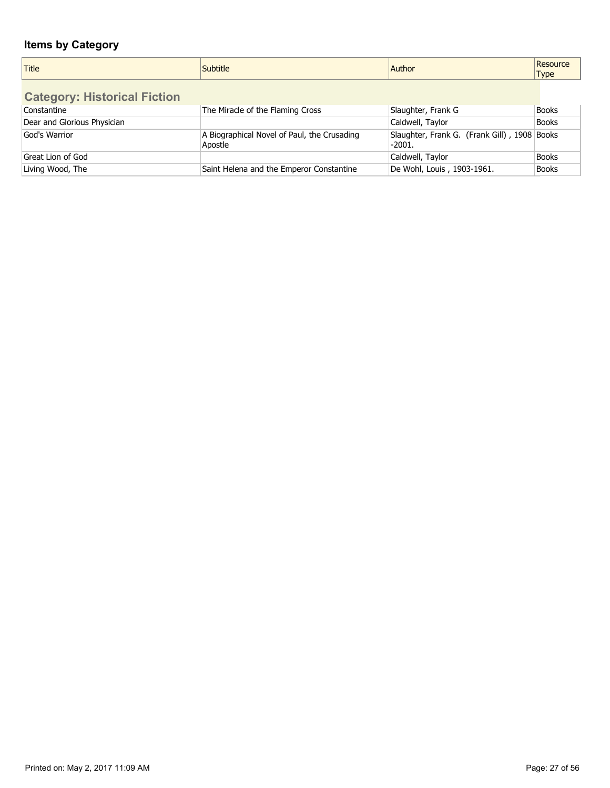| Title                               | <b>Subtitle</b>                                        | Author                                                 | Resource<br><b>Type</b> |
|-------------------------------------|--------------------------------------------------------|--------------------------------------------------------|-------------------------|
| <b>Category: Historical Fiction</b> |                                                        |                                                        |                         |
| Constantine                         | The Miracle of the Flaming Cross                       | Slaughter, Frank G                                     | <b>Books</b>            |
| Dear and Glorious Physician         |                                                        | Caldwell, Taylor                                       | <b>Books</b>            |
| God's Warrior                       | A Biographical Novel of Paul, the Crusading<br>Apostle | Slaughter, Frank G. (Frank Gill), 1908 Books<br>-2001. |                         |
| Great Lion of God                   |                                                        | Caldwell, Taylor                                       | <b>Books</b>            |
| Living Wood, The                    | Saint Helena and the Emperor Constantine               | De Wohl, Louis, 1903-1961.                             | <b>Books</b>            |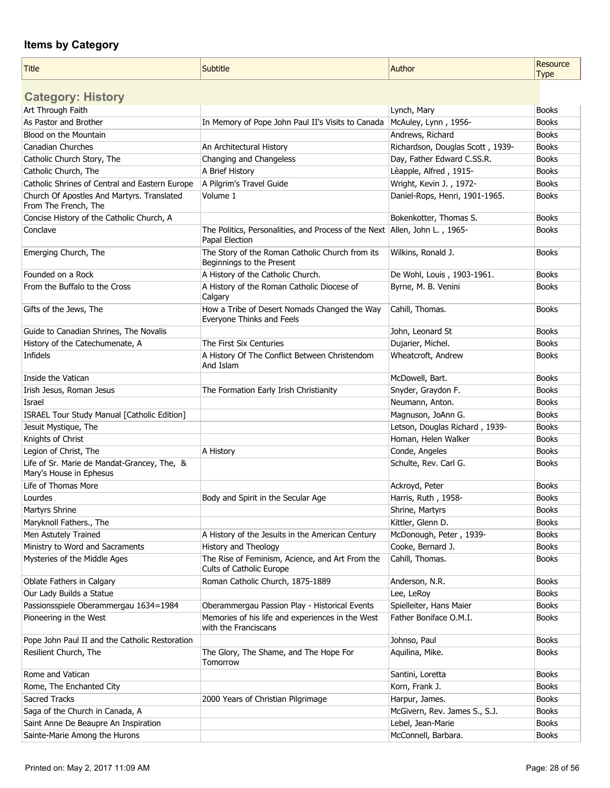| <b>Title</b>                                                           | <b>Subtitle</b>                                                                                | Author                           | Resource<br><b>Type</b> |
|------------------------------------------------------------------------|------------------------------------------------------------------------------------------------|----------------------------------|-------------------------|
| <b>Category: History</b>                                               |                                                                                                |                                  |                         |
| Art Through Faith                                                      |                                                                                                | Lynch, Mary                      | <b>Books</b>            |
| As Pastor and Brother                                                  | In Memory of Pope John Paul II's Visits to Canada                                              | McAuley, Lynn, 1956-             | <b>Books</b>            |
| Blood on the Mountain                                                  |                                                                                                | Andrews, Richard                 | <b>Books</b>            |
| <b>Canadian Churches</b>                                               | An Architectural History                                                                       | Richardson, Douglas Scott, 1939- | <b>Books</b>            |
| Catholic Church Story, The                                             | Changing and Changeless                                                                        | Day, Father Edward C.SS.R.       | <b>Books</b>            |
| Catholic Church, The                                                   | A Brief History                                                                                | Lèapple, Alfred, 1915-           | <b>Books</b>            |
| Catholic Shrines of Central and Eastern Europe                         | A Pilgrim's Travel Guide                                                                       | Wright, Kevin J., 1972-          | <b>Books</b>            |
| Church Of Apostles And Martyrs. Translated<br>From The French, The     | Volume 1                                                                                       | Daniel-Rops, Henri, 1901-1965.   | <b>Books</b>            |
| Concise History of the Catholic Church, A                              |                                                                                                | Bokenkotter, Thomas S.           | <b>Books</b>            |
| Conclave                                                               | The Politics, Personalities, and Process of the Next   Allen, John L., 1965-<br>Papal Election |                                  | <b>Books</b>            |
| Emerging Church, The                                                   | The Story of the Roman Catholic Church from its<br>Beginnings to the Present                   | Wilkins, Ronald J.               | <b>Books</b>            |
| Founded on a Rock                                                      | A History of the Catholic Church.                                                              | De Wohl, Louis, 1903-1961.       | <b>Books</b>            |
| From the Buffalo to the Cross                                          | A History of the Roman Catholic Diocese of<br>Calgary                                          | Byrne, M. B. Venini              | <b>Books</b>            |
| Gifts of the Jews, The                                                 | How a Tribe of Desert Nomads Changed the Way<br>Everyone Thinks and Feels                      | Cahill, Thomas.                  | <b>Books</b>            |
| Guide to Canadian Shrines, The Novalis                                 |                                                                                                | John, Leonard St                 | <b>Books</b>            |
| History of the Catechumenate, A                                        | The First Six Centuries                                                                        | Dujarier, Michel.                | <b>Books</b>            |
| Infidels                                                               | A History Of The Conflict Between Christendom<br>And Islam                                     | Wheatcroft, Andrew               | <b>Books</b>            |
| Inside the Vatican                                                     |                                                                                                | McDowell, Bart.                  | <b>Books</b>            |
| Irish Jesus, Roman Jesus                                               | The Formation Early Irish Christianity                                                         | Snyder, Graydon F.               | <b>Books</b>            |
| Israel                                                                 |                                                                                                | Neumann, Anton.                  | <b>Books</b>            |
| ISRAEL Tour Study Manual [Catholic Edition]                            |                                                                                                | Magnuson, JoAnn G.               | <b>Books</b>            |
| Jesuit Mystique, The                                                   |                                                                                                | Letson, Douglas Richard, 1939-   | <b>Books</b>            |
| Knights of Christ                                                      |                                                                                                | Homan, Helen Walker              | <b>Books</b>            |
| Legion of Christ, The                                                  | A History                                                                                      | Conde, Angeles                   | <b>Books</b>            |
| Life of Sr. Marie de Mandat-Grancey, The, &<br>Mary's House in Ephesus |                                                                                                | Schulte, Rev. Carl G.            | <b>Books</b>            |
| Life of Thomas More                                                    |                                                                                                | Ackroyd, Peter                   | <b>Books</b>            |
| Lourdes                                                                | Body and Spirit in the Secular Age                                                             | Harris, Ruth, 1958-              | <b>Books</b>            |
| Martyrs Shrine                                                         |                                                                                                | Shrine, Martyrs                  | <b>Books</b>            |
| Maryknoll Fathers., The                                                |                                                                                                | Kittler, Glenn D.                | <b>Books</b>            |
| Men Astutely Trained                                                   | A History of the Jesuits in the American Century                                               | McDonough, Peter, 1939-          | <b>Books</b>            |
| Ministry to Word and Sacraments                                        | History and Theology                                                                           | Cooke, Bernard J.                | <b>Books</b>            |
| Mysteries of the Middle Ages                                           | The Rise of Feminism, Acience, and Art From the<br>Cults of Catholic Europe                    | Cahill, Thomas.                  | <b>Books</b>            |
| Oblate Fathers in Calgary                                              | Roman Catholic Church, 1875-1889                                                               | Anderson, N.R.                   | <b>Books</b>            |
| Our Lady Builds a Statue                                               |                                                                                                | Lee, LeRoy                       | <b>Books</b>            |
| Passionsspiele Oberammergau 1634=1984                                  | Oberammergau Passion Play - Historical Events                                                  | Spielleiter, Hans Maier          | Books                   |
| Pioneering in the West                                                 | Memories of his life and experiences in the West<br>with the Franciscans                       | Father Boniface O.M.I.           | <b>Books</b>            |
| Pope John Paul II and the Catholic Restoration                         |                                                                                                | Johnso, Paul                     | <b>Books</b>            |
| Resilient Church, The                                                  | The Glory, The Shame, and The Hope For<br>Tomorrow                                             | Aquilina, Mike.                  | <b>Books</b>            |
| Rome and Vatican                                                       |                                                                                                | Santini, Loretta                 | <b>Books</b>            |
| Rome, The Enchanted City                                               |                                                                                                | Korn, Frank J.                   | <b>Books</b>            |
| Sacred Tracks                                                          | 2000 Years of Christian Pilgrimage                                                             | Harpur, James.                   | <b>Books</b>            |
| Saga of the Church in Canada, A                                        |                                                                                                | McGivern, Rev. James S., S.J.    | <b>Books</b>            |
| Saint Anne De Beaupre An Inspiration                                   |                                                                                                | Lebel, Jean-Marie                | <b>Books</b>            |
| Sainte-Marie Among the Hurons                                          |                                                                                                | McConnell, Barbara.              | <b>Books</b>            |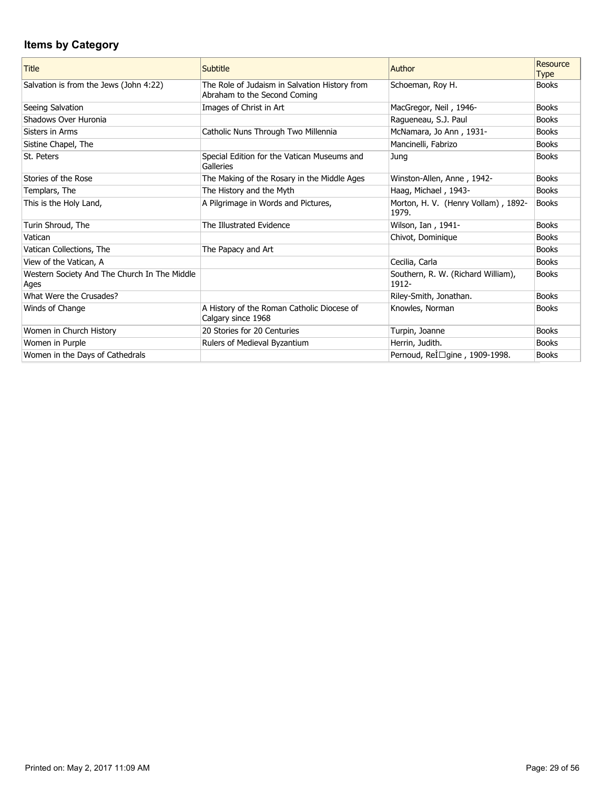| <b>Title</b>                                         | Subtitle                                                                      | Author                                       | Resource<br><b>Type</b> |
|------------------------------------------------------|-------------------------------------------------------------------------------|----------------------------------------------|-------------------------|
| Salvation is from the Jews (John 4:22)               | The Role of Judaism in Salvation History from<br>Abraham to the Second Coming | Schoeman, Roy H.                             | <b>Books</b>            |
| Seeing Salvation                                     | Images of Christ in Art                                                       | MacGregor, Neil, 1946-                       | <b>Books</b>            |
| Shadows Over Huronia                                 |                                                                               | Ragueneau, S.J. Paul                         | <b>Books</b>            |
| Sisters in Arms                                      | Catholic Nuns Through Two Millennia                                           | McNamara, Jo Ann, 1931-                      | <b>Books</b>            |
| Sistine Chapel, The                                  |                                                                               | Mancinelli, Fabrizo                          | <b>Books</b>            |
| St. Peters                                           | Special Edition for the Vatican Museums and<br>Galleries                      | Jung                                         | <b>Books</b>            |
| Stories of the Rose                                  | The Making of the Rosary in the Middle Ages                                   | Winston-Allen, Anne, 1942-                   | <b>Books</b>            |
| Templars, The                                        | The History and the Myth                                                      | Haag, Michael, 1943-                         | <b>Books</b>            |
| This is the Holy Land,                               | A Pilgrimage in Words and Pictures,                                           | Morton, H. V. (Henry Vollam), 1892-<br>1979. | <b>Books</b>            |
| Turin Shroud, The                                    | The Illustrated Evidence                                                      | Wilson, Ian, 1941-                           | <b>Books</b>            |
| Vatican                                              |                                                                               | Chivot, Dominique                            | <b>Books</b>            |
| Vatican Collections, The                             | The Papacy and Art                                                            |                                              | <b>Books</b>            |
| View of the Vatican, A                               |                                                                               | Cecilia, Carla                               | <b>Books</b>            |
| Western Society And The Church In The Middle<br>Ages |                                                                               | Southern, R. W. (Richard William),<br>1912-  | <b>Books</b>            |
| What Were the Crusades?                              |                                                                               | Riley-Smith, Jonathan.                       | <b>Books</b>            |
| Winds of Change                                      | A History of the Roman Catholic Diocese of<br>Calgary since 1968              | Knowles, Norman                              | <b>Books</b>            |
| Women in Church History                              | 20 Stories for 20 Centuries                                                   | Turpin, Joanne                               | <b>Books</b>            |
| Women in Purple                                      | Rulers of Medieval Byzantium                                                  | Herrin, Judith.                              | <b>Books</b>            |
| Women in the Days of Cathedrals                      |                                                                               | Pernoud, Relnigine, 1909-1998.               | <b>Books</b>            |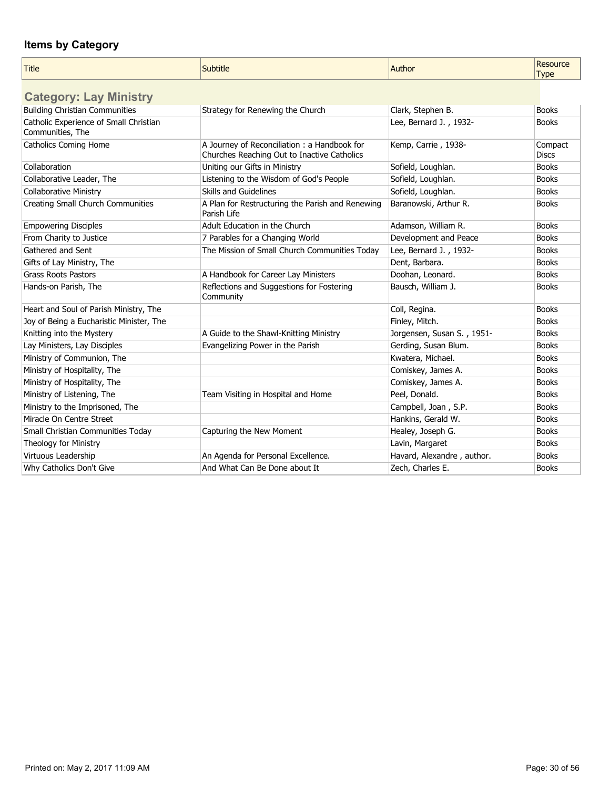| <b>Title</b>                             | Subtitle                                                        | Author                     | Resource<br><b>Type</b> |
|------------------------------------------|-----------------------------------------------------------------|----------------------------|-------------------------|
| <b>Category: Lay Ministry</b>            |                                                                 |                            |                         |
| <b>Building Christian Communities</b>    | Strategy for Renewing the Church                                | Clark, Stephen B.          | <b>Books</b>            |
| Catholic Experience of Small Christian   |                                                                 | Lee, Bernard J., 1932-     | <b>Books</b>            |
| Communities, The                         |                                                                 |                            |                         |
| <b>Catholics Coming Home</b>             | A Journey of Reconciliation: a Handbook for                     | Kemp, Carrie, 1938-        | Compact                 |
|                                          | Churches Reaching Out to Inactive Catholics                     |                            | <b>Discs</b>            |
| Collaboration                            | Uniting our Gifts in Ministry                                   | Sofield, Loughlan.         | <b>Books</b>            |
| Collaborative Leader, The                | Listening to the Wisdom of God's People                         | Sofield, Loughlan.         | <b>Books</b>            |
| <b>Collaborative Ministry</b>            | Skills and Guidelines                                           | Sofield, Loughlan.         | <b>Books</b>            |
| <b>Creating Small Church Communities</b> | A Plan for Restructuring the Parish and Renewing<br>Parish Life | Baranowski, Arthur R.      | <b>Books</b>            |
| <b>Empowering Disciples</b>              | Adult Education in the Church                                   | Adamson, William R.        | <b>Books</b>            |
| From Charity to Justice                  | 7 Parables for a Changing World                                 | Development and Peace      | <b>Books</b>            |
| Gathered and Sent                        | The Mission of Small Church Communities Today                   | Lee, Bernard J., 1932-     | <b>Books</b>            |
| Gifts of Lay Ministry, The               |                                                                 | Dent, Barbara.             | <b>Books</b>            |
| <b>Grass Roots Pastors</b>               | A Handbook for Career Lay Ministers                             | Doohan, Leonard.           | <b>Books</b>            |
| Hands-on Parish, The                     | Reflections and Suggestions for Fostering<br>Community          | Bausch, William J.         | <b>Books</b>            |
| Heart and Soul of Parish Ministry, The   |                                                                 | Coll, Regina.              | <b>Books</b>            |
| Joy of Being a Eucharistic Minister, The |                                                                 | Finley, Mitch.             | <b>Books</b>            |
| Knitting into the Mystery                | A Guide to the Shawl-Knitting Ministry                          | Jorgensen, Susan S., 1951- | <b>Books</b>            |
| Lay Ministers, Lay Disciples             | Evangelizing Power in the Parish                                | Gerding, Susan Blum.       | <b>Books</b>            |
| Ministry of Communion, The               |                                                                 | Kwatera, Michael.          | <b>Books</b>            |
| Ministry of Hospitality, The             |                                                                 | Comiskey, James A.         | <b>Books</b>            |
| Ministry of Hospitality, The             |                                                                 | Comiskey, James A.         | <b>Books</b>            |
| Ministry of Listening, The               | Team Visiting in Hospital and Home                              | Peel, Donald.              | <b>Books</b>            |
| Ministry to the Imprisoned, The          |                                                                 | Campbell, Joan, S.P.       | <b>Books</b>            |
| Miracle On Centre Street                 |                                                                 | Hankins, Gerald W.         | <b>Books</b>            |
| Small Christian Communities Today        | Capturing the New Moment                                        | Healey, Joseph G.          | <b>Books</b>            |
| Theology for Ministry                    |                                                                 | Lavin, Margaret            | <b>Books</b>            |
| Virtuous Leadership                      | An Agenda for Personal Excellence.                              | Havard, Alexandre, author. | <b>Books</b>            |
| Why Catholics Don't Give                 | And What Can Be Done about It                                   | Zech, Charles E.           | <b>Books</b>            |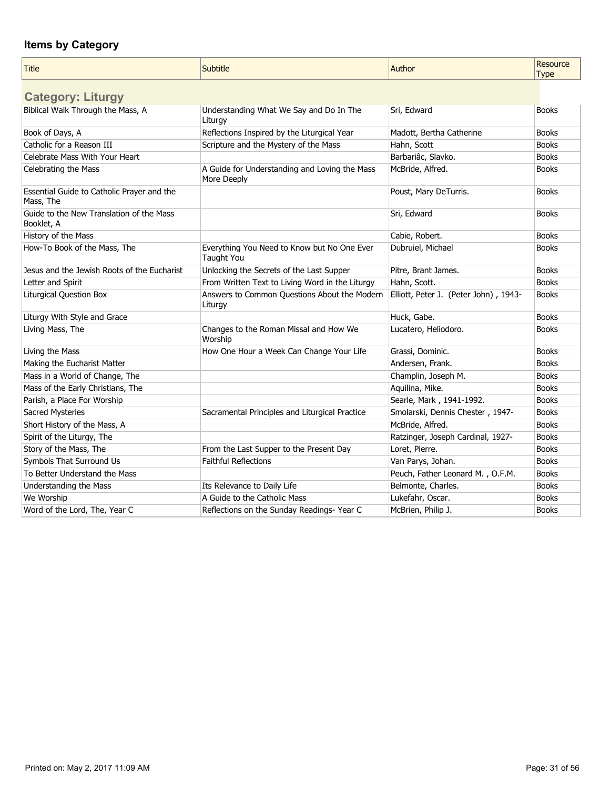| Title                                                   | Subtitle                                                     | Author                                | Resource<br><b>Type</b> |
|---------------------------------------------------------|--------------------------------------------------------------|---------------------------------------|-------------------------|
| <b>Category: Liturgy</b>                                |                                                              |                                       |                         |
| Biblical Walk Through the Mass, A                       | Understanding What We Say and Do In The<br>Liturgy           | Sri, Edward                           | <b>Books</b>            |
| Book of Days, A                                         | Reflections Inspired by the Liturgical Year                  | Madott, Bertha Catherine              | <b>Books</b>            |
| Catholic for a Reason III                               | Scripture and the Mystery of the Mass                        | Hahn, Scott                           | <b>Books</b>            |
| Celebrate Mass With Your Heart                          |                                                              | Barbariâc, Slavko.                    | <b>Books</b>            |
| Celebrating the Mass                                    | A Guide for Understanding and Loving the Mass<br>More Deeply | McBride, Alfred.                      | <b>Books</b>            |
| Essential Guide to Catholic Prayer and the<br>Mass, The |                                                              | Poust, Mary DeTurris.                 | <b>Books</b>            |
| Guide to the New Translation of the Mass<br>Booklet, A  |                                                              | Sri, Edward                           | <b>Books</b>            |
| History of the Mass                                     |                                                              | Cabie, Robert.                        | <b>Books</b>            |
| How-To Book of the Mass, The                            | Everything You Need to Know but No One Ever<br>Taught You    | Dubruiel, Michael                     | <b>Books</b>            |
| Jesus and the Jewish Roots of the Eucharist             | Unlocking the Secrets of the Last Supper                     | Pitre, Brant James.                   | <b>Books</b>            |
| Letter and Spirit                                       | From Written Text to Living Word in the Liturgy              | Hahn, Scott.                          | <b>Books</b>            |
| Liturgical Question Box                                 | Answers to Common Questions About the Modern<br>Liturgy      | Elliott, Peter J. (Peter John), 1943- | <b>Books</b>            |
| Liturgy With Style and Grace                            |                                                              | Huck, Gabe.                           | <b>Books</b>            |
| Living Mass, The                                        | Changes to the Roman Missal and How We<br>Worship            | Lucatero, Heliodoro.                  | <b>Books</b>            |
| Living the Mass                                         | How One Hour a Week Can Change Your Life                     | Grassi, Dominic.                      | <b>Books</b>            |
| Making the Eucharist Matter                             |                                                              | Andersen, Frank.                      | <b>Books</b>            |
| Mass in a World of Change, The                          |                                                              | Champlin, Joseph M.                   | <b>Books</b>            |
| Mass of the Early Christians, The                       |                                                              | Aquilina, Mike.                       | <b>Books</b>            |
| Parish, a Place For Worship                             |                                                              | Searle, Mark, 1941-1992.              | <b>Books</b>            |
| Sacred Mysteries                                        | Sacramental Principles and Liturgical Practice               | Smolarski, Dennis Chester, 1947-      | <b>Books</b>            |
| Short History of the Mass, A                            |                                                              | McBride, Alfred.                      | <b>Books</b>            |
| Spirit of the Liturgy, The                              |                                                              | Ratzinger, Joseph Cardinal, 1927-     | <b>Books</b>            |
| Story of the Mass, The                                  | From the Last Supper to the Present Day                      | Loret, Pierre.                        | <b>Books</b>            |
| Symbols That Surround Us                                | <b>Faithful Reflections</b>                                  | Van Parys, Johan.                     | <b>Books</b>            |
| To Better Understand the Mass                           |                                                              | Peuch, Father Leonard M., O.F.M.      | <b>Books</b>            |
| Understanding the Mass                                  | Its Relevance to Daily Life                                  | Belmonte, Charles.                    | <b>Books</b>            |
| We Worship                                              | A Guide to the Catholic Mass                                 | Lukefahr, Oscar.                      | <b>Books</b>            |
| Word of the Lord, The, Year C                           | Reflections on the Sunday Readings-Year C                    | McBrien, Philip J.                    | <b>Books</b>            |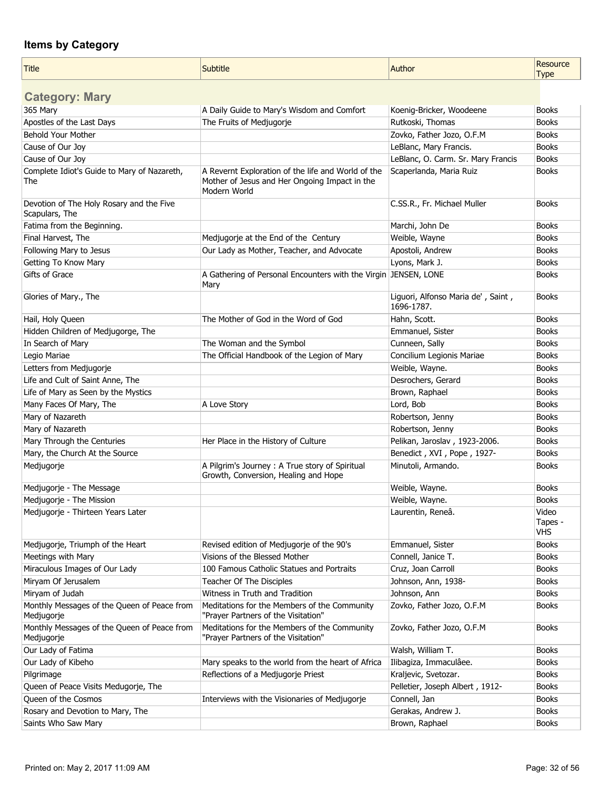| <b>Title</b>                                               | Subtitle                                                                                                            | Author                                           | Resource<br><b>Type</b>        |
|------------------------------------------------------------|---------------------------------------------------------------------------------------------------------------------|--------------------------------------------------|--------------------------------|
|                                                            |                                                                                                                     |                                                  |                                |
| <b>Category: Mary</b>                                      |                                                                                                                     |                                                  |                                |
| 365 Mary                                                   | A Daily Guide to Mary's Wisdom and Comfort                                                                          | Koenig-Bricker, Woodeene                         | <b>Books</b>                   |
| Apostles of the Last Days                                  | The Fruits of Medjugorje                                                                                            | Rutkoski, Thomas                                 | <b>Books</b>                   |
| Behold Your Mother                                         |                                                                                                                     | Zovko, Father Jozo, O.F.M                        | <b>Books</b>                   |
| Cause of Our Joy                                           |                                                                                                                     | LeBlanc, Mary Francis.                           | <b>Books</b>                   |
| Cause of Our Joy                                           |                                                                                                                     | LeBlanc, O. Carm. Sr. Mary Francis               | <b>Books</b>                   |
| Complete Idiot's Guide to Mary of Nazareth,<br>The         | A Revernt Exploration of the life and World of the<br>Mother of Jesus and Her Ongoing Impact in the<br>Modern World | Scaperlanda, Maria Ruiz                          | <b>Books</b>                   |
| Devotion of The Holy Rosary and the Five<br>Scapulars, The |                                                                                                                     | C.SS.R., Fr. Michael Muller                      | <b>Books</b>                   |
| Fatima from the Beginning.                                 |                                                                                                                     | Marchi, John De                                  | <b>Books</b>                   |
| Final Harvest, The                                         | Medjugorje at the End of the Century                                                                                | Weible, Wayne                                    | <b>Books</b>                   |
| Following Mary to Jesus                                    | Our Lady as Mother, Teacher, and Advocate                                                                           | Apostoli, Andrew                                 | <b>Books</b>                   |
| Getting To Know Mary                                       |                                                                                                                     | Lyons, Mark J.                                   | <b>Books</b>                   |
| Gifts of Grace                                             | A Gathering of Personal Encounters with the Virgin JENSEN, LONE<br>Mary                                             |                                                  | <b>Books</b>                   |
| Glories of Mary., The                                      |                                                                                                                     | Liguori, Alfonso Maria de', Saint,<br>1696-1787. | <b>Books</b>                   |
| Hail, Holy Queen                                           | The Mother of God in the Word of God                                                                                | Hahn, Scott.                                     | <b>Books</b>                   |
| Hidden Children of Medjugorge, The                         |                                                                                                                     | Emmanuel, Sister                                 | <b>Books</b>                   |
| In Search of Mary                                          | The Woman and the Symbol                                                                                            | Cunneen, Sally                                   | <b>Books</b>                   |
| Legio Mariae                                               | The Official Handbook of the Legion of Mary                                                                         | Concilium Legionis Mariae                        | <b>Books</b>                   |
| Letters from Medjugorje                                    |                                                                                                                     | Weible, Wayne.                                   | <b>Books</b>                   |
| Life and Cult of Saint Anne, The                           |                                                                                                                     | Desrochers, Gerard                               | <b>Books</b>                   |
| Life of Mary as Seen by the Mystics                        |                                                                                                                     | Brown, Raphael                                   | <b>Books</b>                   |
| Many Faces Of Mary, The                                    | A Love Story                                                                                                        | Lord, Bob                                        | <b>Books</b>                   |
| Mary of Nazareth                                           |                                                                                                                     | Robertson, Jenny                                 | <b>Books</b>                   |
| Mary of Nazareth                                           |                                                                                                                     | Robertson, Jenny                                 | <b>Books</b>                   |
| Mary Through the Centuries                                 | Her Place in the History of Culture                                                                                 | Pelikan, Jaroslav, 1923-2006.                    | <b>Books</b>                   |
| Mary, the Church At the Source                             |                                                                                                                     | Benedict, XVI, Pope, 1927-                       | <b>Books</b>                   |
| Medjugorje                                                 | A Pilgrim's Journey : A True story of Spiritual<br>Growth, Conversion, Healing and Hope                             | Minutoli, Armando.                               | <b>Books</b>                   |
| Medjugorje - The Message                                   |                                                                                                                     | Weible, Wayne.                                   | <b>Books</b>                   |
| Medjugorje - The Mission                                   |                                                                                                                     | Weible, Wayne.                                   | <b>Books</b>                   |
| Medjugorje - Thirteen Years Later                          |                                                                                                                     | Laurentin, Reneâ.                                | Video<br>Tapes -<br><b>VHS</b> |
| Medjugorje, Triumph of the Heart                           | Revised edition of Medjugorje of the 90's                                                                           | Emmanuel, Sister                                 | <b>Books</b>                   |
| Meetings with Mary                                         | Visions of the Blessed Mother                                                                                       | Connell, Janice T.                               | <b>Books</b>                   |
| Miraculous Images of Our Lady                              | 100 Famous Catholic Statues and Portraits                                                                           | Cruz, Joan Carroll                               | <b>Books</b>                   |
| Miryam Of Jerusalem                                        | Teacher Of The Disciples                                                                                            | Johnson, Ann, 1938-                              | <b>Books</b>                   |
| Miryam of Judah                                            | Witness in Truth and Tradition                                                                                      | Johnson, Ann                                     | <b>Books</b>                   |
| Monthly Messages of the Queen of Peace from<br>Medjugorje  | Meditations for the Members of the Community<br>"Prayer Partners of the Visitation"                                 | Zovko, Father Jozo, O.F.M                        | <b>Books</b>                   |
| Monthly Messages of the Queen of Peace from<br>Medjugorje  | Meditations for the Members of the Community<br>"Prayer Partners of the Visitation"                                 | Zovko, Father Jozo, O.F.M                        | <b>Books</b>                   |
| Our Lady of Fatima                                         |                                                                                                                     | Walsh, William T.                                | <b>Books</b>                   |
| Our Lady of Kibeho                                         | Mary speaks to the world from the heart of Africa                                                                   | Ilibagiza, Immaculâee.                           | <b>Books</b>                   |
| Pilgrimage                                                 | Reflections of a Medjugorje Priest                                                                                  | Kraljevic, Svetozar.                             | <b>Books</b>                   |
| Queen of Peace Visits Medugorje, The                       |                                                                                                                     | Pelletier, Joseph Albert, 1912-                  | <b>Books</b>                   |
| Queen of the Cosmos                                        | Interviews with the Visionaries of Medjugorje                                                                       | Connell, Jan                                     | <b>Books</b>                   |
| Rosary and Devotion to Mary, The                           |                                                                                                                     | Gerakas, Andrew J.                               | <b>Books</b>                   |
| Saints Who Saw Mary                                        |                                                                                                                     | Brown, Raphael                                   | <b>Books</b>                   |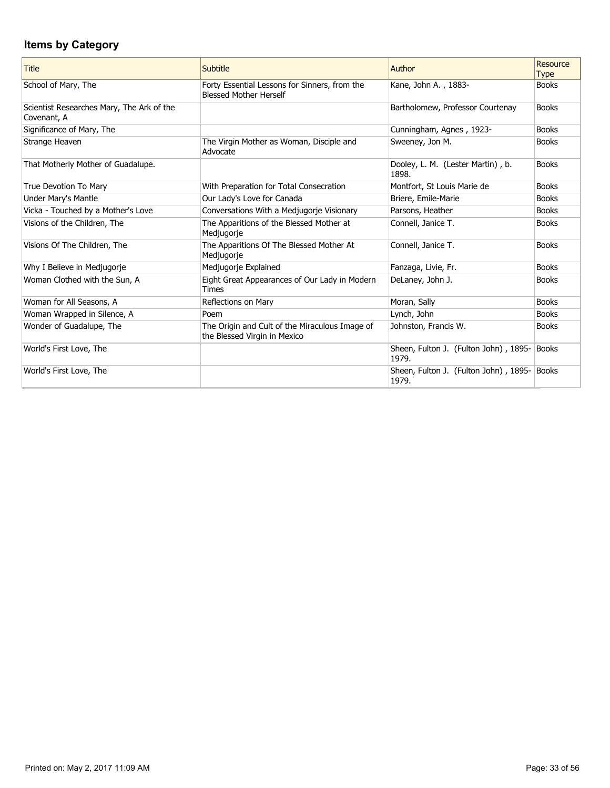| <b>Title</b>                                             | Subtitle                                                                       | Author                                         | <b>Resource</b><br><b>Type</b> |
|----------------------------------------------------------|--------------------------------------------------------------------------------|------------------------------------------------|--------------------------------|
| School of Mary, The                                      | Forty Essential Lessons for Sinners, from the<br><b>Blessed Mother Herself</b> | Kane, John A., 1883-                           | <b>Books</b>                   |
| Scientist Researches Mary, The Ark of the<br>Covenant, A |                                                                                | Bartholomew, Professor Courtenay               | <b>Books</b>                   |
| Significance of Mary, The                                |                                                                                | Cunningham, Agnes, 1923-                       | <b>Books</b>                   |
| Strange Heaven                                           | The Virgin Mother as Woman, Disciple and<br>Advocate                           | Sweeney, Jon M.                                | <b>Books</b>                   |
| That Motherly Mother of Guadalupe.                       |                                                                                | Dooley, L. M. (Lester Martin), b.<br>1898.     | <b>Books</b>                   |
| True Devotion To Mary                                    | With Preparation for Total Consecration                                        | Montfort, St Louis Marie de                    | <b>Books</b>                   |
| Under Mary's Mantle                                      | Our Lady's Love for Canada                                                     | Briere, Emile-Marie                            | <b>Books</b>                   |
| Vicka - Touched by a Mother's Love                       | Conversations With a Medjugorje Visionary                                      | Parsons, Heather                               | <b>Books</b>                   |
| Visions of the Children, The                             | The Apparitions of the Blessed Mother at<br>Medjugorje                         | Connell, Janice T.                             | <b>Books</b>                   |
| Visions Of The Children, The                             | The Apparitions Of The Blessed Mother At<br>Medjugorje                         | Connell, Janice T.                             | <b>Books</b>                   |
| Why I Believe in Medjugorje                              | Medjugorje Explained                                                           | Fanzaga, Livie, Fr.                            | <b>Books</b>                   |
| Woman Clothed with the Sun, A                            | Eight Great Appearances of Our Lady in Modern<br><b>Times</b>                  | DeLaney, John J.                               | <b>Books</b>                   |
| Woman for All Seasons, A                                 | Reflections on Mary                                                            | Moran, Sally                                   | <b>Books</b>                   |
| Woman Wrapped in Silence, A                              | Poem                                                                           | Lynch, John                                    | <b>Books</b>                   |
| Wonder of Guadalupe, The                                 | The Origin and Cult of the Miraculous Image of<br>the Blessed Virgin in Mexico | Johnston, Francis W.                           | <b>Books</b>                   |
| World's First Love, The                                  |                                                                                | Sheen, Fulton J. (Fulton John), 1895-<br>1979. | Books                          |
| World's First Love, The                                  |                                                                                | Sheen, Fulton J. (Fulton John), 1895-<br>1979. | <b>Books</b>                   |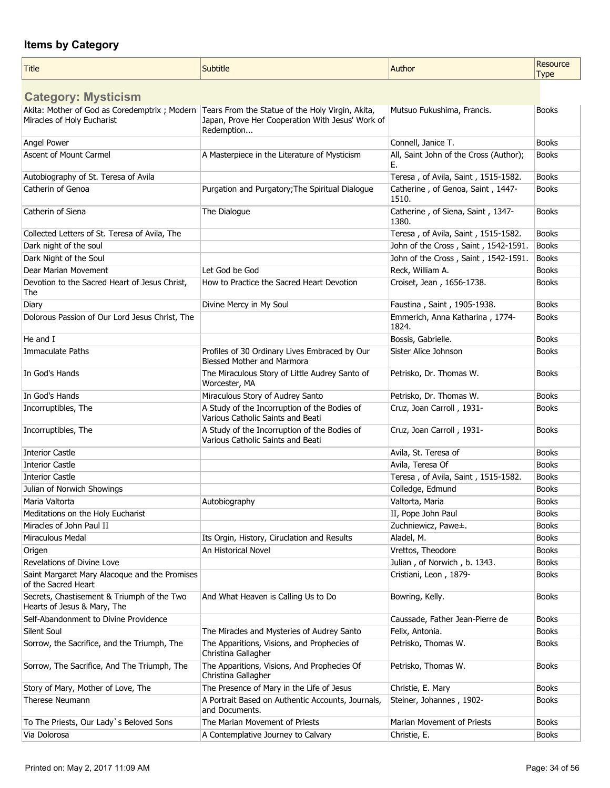| Title                                                                                                                          | Subtitle                                                                          | Author                                       | Resource<br><b>Type</b> |
|--------------------------------------------------------------------------------------------------------------------------------|-----------------------------------------------------------------------------------|----------------------------------------------|-------------------------|
| <b>Category: Mysticism</b>                                                                                                     |                                                                                   |                                              |                         |
| Akita: Mother of God as Coredemptrix ; Modern   Tears From the Statue of the Holy Virgin, Akita,<br>Miracles of Holy Eucharist | Japan, Prove Her Cooperation With Jesus' Work of<br>Redemption                    | Mutsuo Fukushima, Francis.                   | <b>Books</b>            |
| Angel Power                                                                                                                    |                                                                                   | Connell, Janice T.                           | <b>Books</b>            |
| <b>Ascent of Mount Carmel</b>                                                                                                  | A Masterpiece in the Literature of Mysticism                                      | All, Saint John of the Cross (Author);<br>E. | <b>Books</b>            |
| Autobiography of St. Teresa of Avila                                                                                           |                                                                                   | Teresa, of Avila, Saint, 1515-1582.          | <b>Books</b>            |
| Catherin of Genoa                                                                                                              | Purgation and Purgatory; The Spiritual Dialogue                                   | Catherine, of Genoa, Saint, 1447-<br>1510.   | <b>Books</b>            |
| Catherin of Siena                                                                                                              | The Dialogue                                                                      | Catherine, of Siena, Saint, 1347-<br>1380.   | <b>Books</b>            |
| Collected Letters of St. Teresa of Avila, The                                                                                  |                                                                                   | Teresa, of Avila, Saint, 1515-1582.          | <b>Books</b>            |
| Dark night of the soul                                                                                                         |                                                                                   | John of the Cross, Saint, 1542-1591.         | <b>Books</b>            |
| Dark Night of the Soul                                                                                                         |                                                                                   | John of the Cross, Saint, 1542-1591.         | <b>Books</b>            |
| Dear Marian Movement                                                                                                           | Let God be God                                                                    | Reck, William A.                             | <b>Books</b>            |
| Devotion to the Sacred Heart of Jesus Christ,<br>The                                                                           | How to Practice the Sacred Heart Devotion                                         | Croiset, Jean, 1656-1738.                    | <b>Books</b>            |
| Diary                                                                                                                          | Divine Mercy in My Soul                                                           | Faustina, Saint, 1905-1938.                  | <b>Books</b>            |
| Dolorous Passion of Our Lord Jesus Christ, The                                                                                 |                                                                                   | Emmerich, Anna Katharina, 1774-<br>1824.     | <b>Books</b>            |
| He and I                                                                                                                       |                                                                                   | Bossis, Gabrielle.                           | <b>Books</b>            |
| <b>Immaculate Paths</b>                                                                                                        | Profiles of 30 Ordinary Lives Embraced by Our<br>Blessed Mother and Marmora       | Sister Alice Johnson                         | <b>Books</b>            |
| In God's Hands                                                                                                                 | The Miraculous Story of Little Audrey Santo of<br>Worcester, MA                   | Petrisko, Dr. Thomas W.                      | <b>Books</b>            |
| In God's Hands                                                                                                                 | Miraculous Story of Audrey Santo                                                  | Petrisko, Dr. Thomas W.                      | <b>Books</b>            |
| Incorruptibles, The                                                                                                            | A Study of the Incorruption of the Bodies of<br>Various Catholic Saints and Beati | Cruz, Joan Carroll, 1931-                    | <b>Books</b>            |
| Incorruptibles, The                                                                                                            | A Study of the Incorruption of the Bodies of<br>Various Catholic Saints and Beati | Cruz, Joan Carroll, 1931-                    | <b>Books</b>            |
| <b>Interior Castle</b>                                                                                                         |                                                                                   | Avila, St. Teresa of                         | <b>Books</b>            |
| <b>Interior Castle</b>                                                                                                         |                                                                                   | Avila, Teresa Of                             | <b>Books</b>            |
| Interior Castle                                                                                                                |                                                                                   | Teresa, of Avila, Saint, 1515-1582.          | <b>Books</b>            |
| Julian of Norwich Showings                                                                                                     |                                                                                   | Colledge, Edmund                             | <b>Books</b>            |
| Maria Valtorta                                                                                                                 | Autobiography                                                                     | Valtorta, Maria                              | <b>Books</b>            |
| Meditations on the Holy Eucharist                                                                                              |                                                                                   | II, Pope John Paul                           | <b>Books</b>            |
| Miracles of John Paul II                                                                                                       |                                                                                   | Zuchniewicz, Pawe±.                          | <b>Books</b>            |
| Miraculous Medal                                                                                                               | Its Orgin, History, Ciruclation and Results                                       | Aladel, M.                                   | <b>Books</b>            |
| Origen                                                                                                                         | An Historical Novel                                                               | Vrettos, Theodore                            | <b>Books</b>            |
| Revelations of Divine Love                                                                                                     |                                                                                   | Julian, of Norwich, b. 1343.                 | <b>Books</b>            |
| Saint Margaret Mary Alacoque and the Promises<br>of the Sacred Heart                                                           |                                                                                   | Cristiani, Leon, 1879-                       | <b>Books</b>            |
| Secrets, Chastisement & Triumph of the Two<br>Hearts of Jesus & Mary, The                                                      | And What Heaven is Calling Us to Do                                               | Bowring, Kelly.                              | <b>Books</b>            |
| Self-Abandonment to Divine Providence                                                                                          |                                                                                   | Caussade, Father Jean-Pierre de              | <b>Books</b>            |
| Silent Soul                                                                                                                    | The Miracles and Mysteries of Audrey Santo                                        | Felix, Antonia.                              | <b>Books</b>            |
| Sorrow, the Sacrifice, and the Triumph, The                                                                                    | The Apparitions, Visions, and Prophecies of<br>Christina Gallagher                | Petrisko, Thomas W.                          | <b>Books</b>            |
| Sorrow, The Sacrifice, And The Triumph, The                                                                                    | The Apparitions, Visions, And Prophecies Of<br>Christina Gallagher                | Petrisko, Thomas W.                          | <b>Books</b>            |
| Story of Mary, Mother of Love, The                                                                                             | The Presence of Mary in the Life of Jesus                                         | Christie, E. Mary                            | <b>Books</b>            |
| <b>Therese Neumann</b>                                                                                                         | A Portrait Based on Authentic Accounts, Journals,<br>and Documents.               | Steiner, Johannes, 1902-                     | <b>Books</b>            |
| To The Priests, Our Lady's Beloved Sons                                                                                        | The Marian Movement of Priests                                                    | Marian Movement of Priests                   | <b>Books</b>            |
| Via Dolorosa                                                                                                                   | A Contemplative Journey to Calvary                                                | Christie, E.                                 | <b>Books</b>            |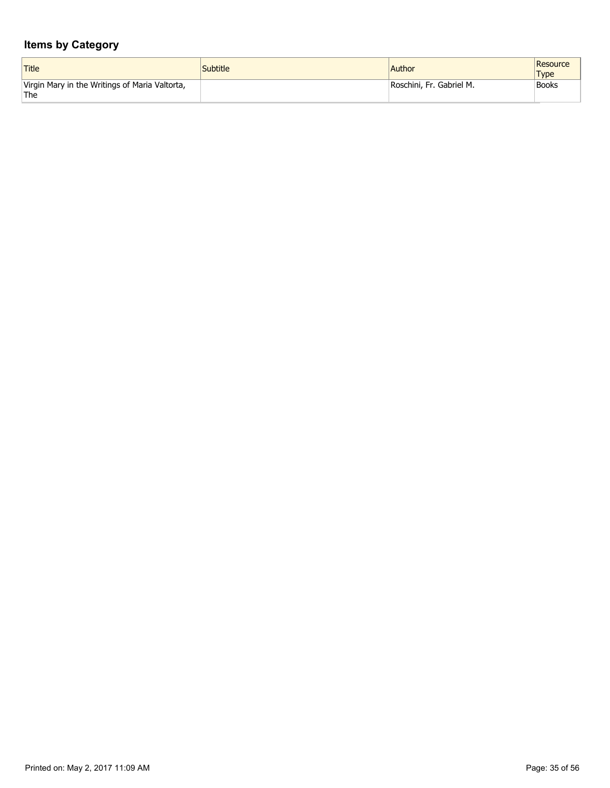| Title                                                                | <i>Subtitle</i> | <b>Author</b>            | Resource<br><b>Type</b> |
|----------------------------------------------------------------------|-----------------|--------------------------|-------------------------|
| Virgin Mary in the Writings of Maria Valtorta,<br>$^{\shortmid}$ The |                 | Roschini, Fr. Gabriel M. | <b>Books</b>            |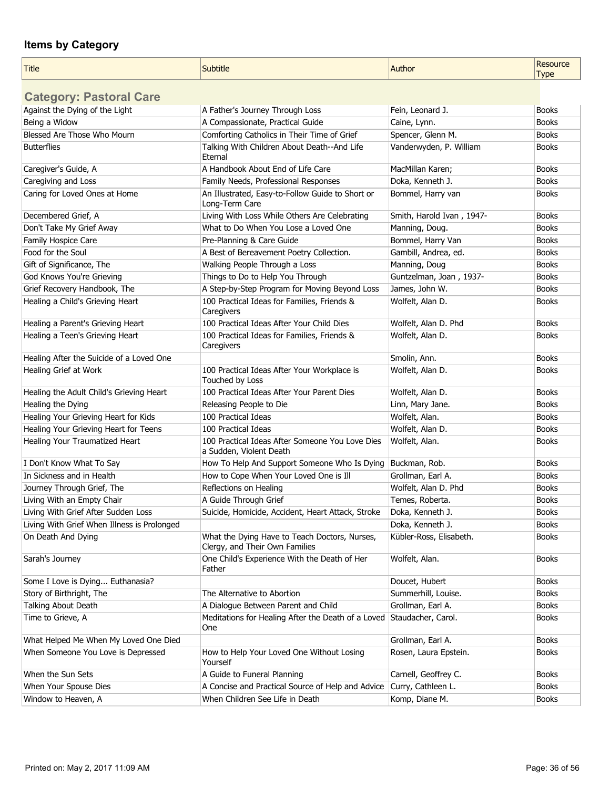| <b>Title</b>                                | Subtitle                                                                        | Author                    | Resource<br><b>Type</b> |
|---------------------------------------------|---------------------------------------------------------------------------------|---------------------------|-------------------------|
| <b>Category: Pastoral Care</b>              |                                                                                 |                           |                         |
| Against the Dying of the Light              | A Father's Journey Through Loss                                                 | Fein, Leonard J.          | <b>Books</b>            |
| Being a Widow                               | A Compassionate, Practical Guide                                                | Caine, Lynn.              | <b>Books</b>            |
| Blessed Are Those Who Mourn                 | Comforting Catholics in Their Time of Grief                                     | Spencer, Glenn M.         | <b>Books</b>            |
| <b>Butterflies</b>                          | Talking With Children About Death--And Life<br>Eternal                          | Vanderwyden, P. William   | <b>Books</b>            |
| Caregiver's Guide, A                        | A Handbook About End of Life Care                                               | MacMillan Karen;          | <b>Books</b>            |
| Caregiving and Loss                         | Family Needs, Professional Responses                                            | Doka, Kenneth J.          | <b>Books</b>            |
| Caring for Loved Ones at Home               | An Illustrated, Easy-to-Follow Guide to Short or<br>Long-Term Care              | Bommel, Harry van         | <b>Books</b>            |
| Decembered Grief, A                         | Living With Loss While Others Are Celebrating                                   | Smith, Harold Ivan, 1947- | <b>Books</b>            |
| Don't Take My Grief Away                    | What to Do When You Lose a Loved One                                            | Manning, Doug.            | <b>Books</b>            |
| Family Hospice Care                         | Pre-Planning & Care Guide                                                       | Bommel, Harry Van         | <b>Books</b>            |
| Food for the Soul                           | A Best of Bereavement Poetry Collection.                                        | Gambill, Andrea, ed.      | <b>Books</b>            |
| Gift of Significance, The                   | Walking People Through a Loss                                                   | Manning, Doug             | <b>Books</b>            |
| God Knows You're Grieving                   | Things to Do to Help You Through                                                | Guntzelman, Joan, 1937-   | <b>Books</b>            |
| Grief Recovery Handbook, The                | A Step-by-Step Program for Moving Beyond Loss                                   | James, John W.            | <b>Books</b>            |
| Healing a Child's Grieving Heart            | 100 Practical Ideas for Families, Friends &<br>Caregivers                       | Wolfelt, Alan D.          | <b>Books</b>            |
| Healing a Parent's Grieving Heart           | 100 Practical Ideas After Your Child Dies                                       | Wolfelt, Alan D. Phd      | <b>Books</b>            |
| Healing a Teen's Grieving Heart             | 100 Practical Ideas for Families, Friends &<br>Caregivers                       | Wolfelt, Alan D.          | <b>Books</b>            |
| Healing After the Suicide of a Loved One    |                                                                                 | Smolin, Ann.              | <b>Books</b>            |
| Healing Grief at Work                       | 100 Practical Ideas After Your Workplace is<br>Touched by Loss                  | Wolfelt, Alan D.          | <b>Books</b>            |
| Healing the Adult Child's Grieving Heart    | 100 Practical Ideas After Your Parent Dies                                      | Wolfelt, Alan D.          | <b>Books</b>            |
| Healing the Dying                           | Releasing People to Die                                                         | Linn, Mary Jane.          | <b>Books</b>            |
| Healing Your Grieving Heart for Kids        | 100 Practical Ideas                                                             | Wolfelt, Alan.            | <b>Books</b>            |
| Healing Your Grieving Heart for Teens       | 100 Practical Ideas                                                             | Wolfelt, Alan D.          | <b>Books</b>            |
| Healing Your Traumatized Heart              | 100 Practical Ideas After Someone You Love Dies<br>a Sudden, Violent Death      | Wolfelt, Alan.            | <b>Books</b>            |
| I Don't Know What To Say                    | How To Help And Support Someone Who Is Dying                                    | Buckman, Rob.             | <b>Books</b>            |
| In Sickness and in Health                   | How to Cope When Your Loved One is Ill                                          | Grollman, Earl A.         | <b>Books</b>            |
| Journey Through Grief, The                  | Reflections on Healing                                                          | Wolfelt, Alan D. Phd      | <b>Books</b>            |
| Living With an Empty Chair                  | A Guide Through Grief                                                           | Temes, Roberta.           | Books                   |
| Living With Grief After Sudden Loss         | Suicide, Homicide, Accident, Heart Attack, Stroke                               | Doka, Kenneth J.          | <b>Books</b>            |
| Living With Grief When Illness is Prolonged |                                                                                 | Doka, Kenneth J.          | <b>Books</b>            |
| On Death And Dying                          | What the Dying Have to Teach Doctors, Nurses,<br>Clergy, and Their Own Families | Kübler-Ross, Elisabeth.   | <b>Books</b>            |
| Sarah's Journey                             | One Child's Experience With the Death of Her<br>Father                          | Wolfelt, Alan.            | <b>Books</b>            |
| Some I Love is Dying Euthanasia?            |                                                                                 | Doucet, Hubert            | <b>Books</b>            |
| Story of Birthright, The                    | The Alternative to Abortion                                                     | Summerhill, Louise.       | <b>Books</b>            |
| Talking About Death                         | A Dialogue Between Parent and Child                                             | Grollman, Earl A.         | <b>Books</b>            |
| Time to Grieve, A                           | Meditations for Healing After the Death of a Loved<br>One                       | Staudacher, Carol.        | <b>Books</b>            |
| What Helped Me When My Loved One Died       |                                                                                 | Grollman, Earl A.         | <b>Books</b>            |
| When Someone You Love is Depressed          | How to Help Your Loved One Without Losing<br>Yourself                           | Rosen, Laura Epstein.     | <b>Books</b>            |
| When the Sun Sets                           | A Guide to Funeral Planning                                                     | Carnell, Geoffrey C.      | <b>Books</b>            |
| When Your Spouse Dies                       | A Concise and Practical Source of Help and Advice                               | Curry, Cathleen L.        | <b>Books</b>            |
| Window to Heaven, A                         | When Children See Life in Death                                                 | Komp, Diane M.            | <b>Books</b>            |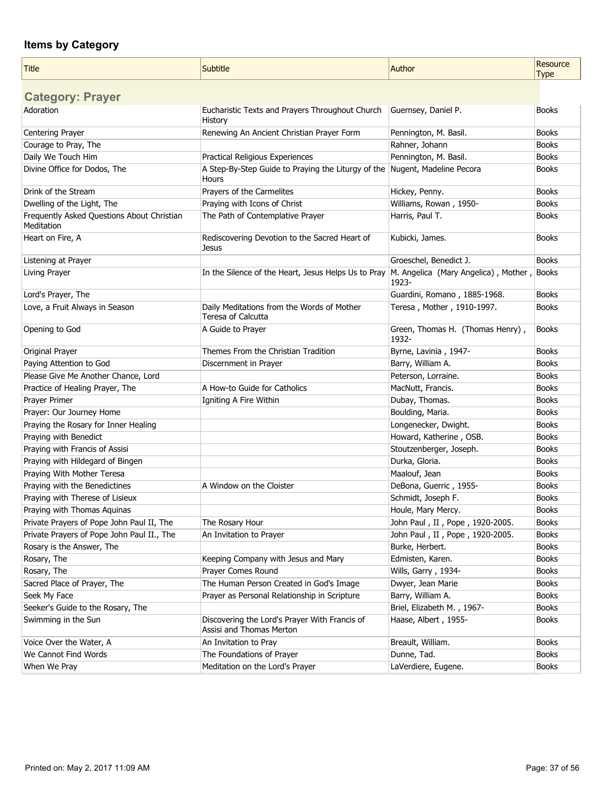| <b>Title</b>                                             | Subtitle                                                                  | Author                                              | Resource<br><b>Type</b> |
|----------------------------------------------------------|---------------------------------------------------------------------------|-----------------------------------------------------|-------------------------|
| <b>Category: Prayer</b>                                  |                                                                           |                                                     |                         |
| Adoration                                                | Eucharistic Texts and Prayers Throughout Church<br>History                | Guernsey, Daniel P.                                 | <b>Books</b>            |
| Centering Prayer                                         | Renewing An Ancient Christian Prayer Form                                 | Pennington, M. Basil.                               | <b>Books</b>            |
| Courage to Pray, The                                     |                                                                           | Rahner, Johann                                      | <b>Books</b>            |
| Daily We Touch Him                                       | Practical Religious Experiences                                           | Pennington, M. Basil.                               | <b>Books</b>            |
| Divine Office for Dodos, The                             | A Step-By-Step Guide to Praying the Liturgy of the<br>Hours               | Nugent, Madeline Pecora                             | <b>Books</b>            |
| Drink of the Stream                                      | Prayers of the Carmelites                                                 | Hickey, Penny.                                      | <b>Books</b>            |
| Dwelling of the Light, The                               | Praying with Icons of Christ                                              | Williams, Rowan, 1950-                              | <b>Books</b>            |
| Frequently Asked Questions About Christian<br>Meditation | The Path of Contemplative Prayer                                          | Harris, Paul T.                                     | <b>Books</b>            |
| Heart on Fire, A                                         | Rediscovering Devotion to the Sacred Heart of<br>Jesus                    | Kubicki, James.                                     | <b>Books</b>            |
| Listening at Prayer                                      |                                                                           | Groeschel, Benedict J.                              | <b>Books</b>            |
| Living Prayer                                            | In the Silence of the Heart, Jesus Helps Us to Pray                       | M. Angelica (Mary Angelica), Mother, Books<br>1923- |                         |
| Lord's Prayer, The                                       |                                                                           | Guardini, Romano, 1885-1968.                        | <b>Books</b>            |
| Love, a Fruit Always in Season                           | Daily Meditations from the Words of Mother<br>Teresa of Calcutta          | Teresa, Mother, 1910-1997.                          | <b>Books</b>            |
| Opening to God                                           | A Guide to Prayer                                                         | Green, Thomas H. (Thomas Henry),<br>1932-           | <b>Books</b>            |
| Original Prayer                                          | Themes From the Christian Tradition                                       | Byrne, Lavinia, 1947-                               | <b>Books</b>            |
| Paying Attention to God                                  | Discernment in Prayer                                                     | Barry, William A.                                   | <b>Books</b>            |
| Please Give Me Another Chance, Lord                      |                                                                           | Peterson, Lorraine.                                 | <b>Books</b>            |
| Practice of Healing Prayer, The                          | A How-to Guide for Catholics                                              | MacNutt, Francis.                                   | <b>Books</b>            |
| Prayer Primer                                            | Igniting A Fire Within                                                    | Dubay, Thomas.                                      | <b>Books</b>            |
| Prayer: Our Journey Home                                 |                                                                           | Boulding, Maria.                                    | <b>Books</b>            |
| Praying the Rosary for Inner Healing                     |                                                                           | Longenecker, Dwight.                                | <b>Books</b>            |
| Praying with Benedict                                    |                                                                           | Howard, Katherine, OSB.                             | <b>Books</b>            |
| Praying with Francis of Assisi                           |                                                                           | Stoutzenberger, Joseph.                             | <b>Books</b>            |
| Praying with Hildegard of Bingen                         |                                                                           | Durka, Gloria.                                      | <b>Books</b>            |
| Praying With Mother Teresa                               |                                                                           | Maalouf, Jean                                       | <b>Books</b>            |
| Praying with the Benedictines                            | A Window on the Cloister                                                  | DeBona, Guerric, 1955-                              | <b>Books</b>            |
| Praying with Therese of Lisieux                          |                                                                           | Schmidt, Joseph F.                                  | <b>Books</b>            |
| Praying with Thomas Aquinas                              |                                                                           | Houle, Mary Mercy.                                  | <b>Books</b>            |
| Private Prayers of Pope John Paul II, The                | The Rosary Hour                                                           | John Paul, II, Pope, 1920-2005.                     | <b>Books</b>            |
| Private Prayers of Pope John Paul II., The               | An Invitation to Prayer                                                   | John Paul, II, Pope, 1920-2005.                     | <b>Books</b>            |
| Rosary is the Answer, The                                |                                                                           | Burke, Herbert.                                     | <b>Books</b>            |
| Rosary, The                                              | Keeping Company with Jesus and Mary                                       | Edmisten, Karen.                                    | <b>Books</b>            |
| Rosary, The                                              | Prayer Comes Round                                                        | Wills, Garry, 1934-                                 | <b>Books</b>            |
| Sacred Place of Prayer, The                              | The Human Person Created in God's Image                                   | Dwyer, Jean Marie                                   | <b>Books</b>            |
| Seek My Face                                             | Prayer as Personal Relationship in Scripture                              | Barry, William A.                                   | <b>Books</b>            |
| Seeker's Guide to the Rosary, The                        |                                                                           | Briel, Elizabeth M., 1967-                          | <b>Books</b>            |
| Swimming in the Sun                                      | Discovering the Lord's Prayer With Francis of<br>Assisi and Thomas Merton | Haase, Albert, 1955-                                | <b>Books</b>            |
| Voice Over the Water, A                                  | An Invitation to Pray                                                     | Breault, William.                                   | <b>Books</b>            |
| We Cannot Find Words                                     | The Foundations of Prayer                                                 | Dunne, Tad.                                         | <b>Books</b>            |
| When We Pray                                             | Meditation on the Lord's Prayer                                           | LaVerdiere, Eugene.                                 | <b>Books</b>            |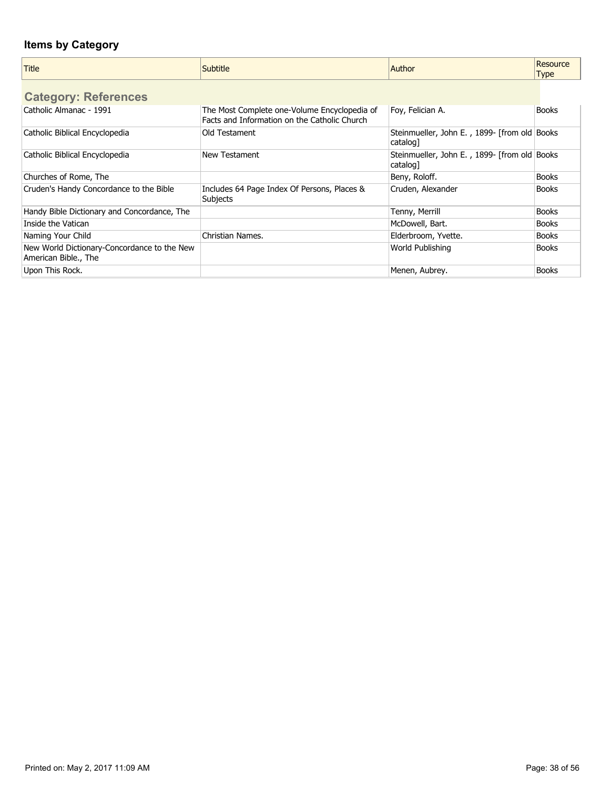| <b>Title</b>                                                        | Subtitle                                                                                     | Author                                                      | Resource<br><b>Type</b> |
|---------------------------------------------------------------------|----------------------------------------------------------------------------------------------|-------------------------------------------------------------|-------------------------|
| <b>Category: References</b>                                         |                                                                                              |                                                             |                         |
| Catholic Almanac - 1991                                             | The Most Complete one-Volume Encyclopedia of<br>Facts and Information on the Catholic Church | Foy, Felician A.                                            | <b>Books</b>            |
| Catholic Biblical Encyclopedia                                      | Old Testament                                                                                | Steinmueller, John E., 1899- [from old   Books]<br>catalog1 |                         |
| Catholic Biblical Encyclopedia                                      | New Testament                                                                                | Steinmueller, John E., 1899- [from old Books]<br>catalog1   |                         |
| Churches of Rome, The                                               |                                                                                              | Beny, Roloff.                                               | <b>Books</b>            |
| Cruden's Handy Concordance to the Bible                             | Includes 64 Page Index Of Persons, Places &<br><b>Subjects</b>                               | Cruden, Alexander                                           | <b>Books</b>            |
| Handy Bible Dictionary and Concordance, The                         |                                                                                              | Tenny, Merrill                                              | <b>Books</b>            |
| Inside the Vatican                                                  |                                                                                              | McDowell, Bart.                                             | <b>Books</b>            |
| Naming Your Child                                                   | Christian Names.                                                                             | Elderbroom, Yvette.                                         | <b>Books</b>            |
| New World Dictionary-Concordance to the New<br>American Bible., The |                                                                                              | World Publishing                                            | <b>Books</b>            |
| Upon This Rock.                                                     |                                                                                              | Menen, Aubrey.                                              | <b>Books</b>            |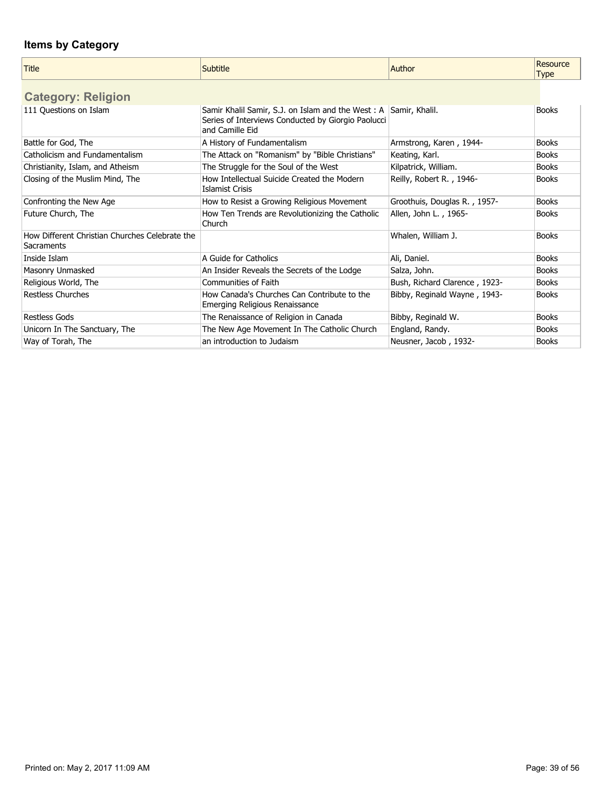| <b>Title</b>                                                 | Subtitle                                                                                                                   | Author                        | Resource<br><b>Type</b> |
|--------------------------------------------------------------|----------------------------------------------------------------------------------------------------------------------------|-------------------------------|-------------------------|
| <b>Category: Religion</b>                                    |                                                                                                                            |                               |                         |
| 111 Questions on Islam                                       | Samir Khalil Samir, S.J. on Islam and the West: A<br>Series of Interviews Conducted by Giorgio Paolucci<br>and Camille Eid | Samir, Khalil.                | <b>Books</b>            |
| Battle for God, The                                          | A History of Fundamentalism                                                                                                | Armstrong, Karen, 1944-       | <b>Books</b>            |
| Catholicism and Fundamentalism                               | The Attack on "Romanism" by "Bible Christians"                                                                             | Keating, Karl.                | <b>Books</b>            |
| Christianity, Islam, and Atheism                             | The Struggle for the Soul of the West                                                                                      | Kilpatrick, William.          | <b>Books</b>            |
| Closing of the Muslim Mind, The                              | How Intellectual Suicide Created the Modern<br><b>Islamist Crisis</b>                                                      | Reilly, Robert R., 1946-      | <b>Books</b>            |
| Confronting the New Age                                      | How to Resist a Growing Religious Movement                                                                                 | Groothuis, Douglas R., 1957-  | <b>Books</b>            |
| Future Church, The                                           | How Ten Trends are Revolutionizing the Catholic<br>Church                                                                  | Allen, John L., 1965-         | <b>Books</b>            |
| How Different Christian Churches Celebrate the<br>Sacraments |                                                                                                                            | Whalen, William J.            | <b>Books</b>            |
| Inside Islam                                                 | A Guide for Catholics                                                                                                      | Ali, Daniel.                  | <b>Books</b>            |
| Masonry Unmasked                                             | An Insider Reveals the Secrets of the Lodge                                                                                | Salza, John.                  | <b>Books</b>            |
| Religious World, The                                         | Communities of Faith                                                                                                       | Bush, Richard Clarence, 1923- | <b>Books</b>            |
| <b>Restless Churches</b>                                     | How Canada's Churches Can Contribute to the<br>Emerging Religious Renaissance                                              | Bibby, Reginald Wayne, 1943-  | <b>Books</b>            |
| <b>Restless Gods</b>                                         | The Renaissance of Religion in Canada                                                                                      | Bibby, Reginald W.            | <b>Books</b>            |
| Unicorn In The Sanctuary, The                                | The New Age Movement In The Catholic Church                                                                                | England, Randy.               | <b>Books</b>            |
| Way of Torah, The                                            | an introduction to Judaism                                                                                                 | Neusner, Jacob, 1932-         | <b>Books</b>            |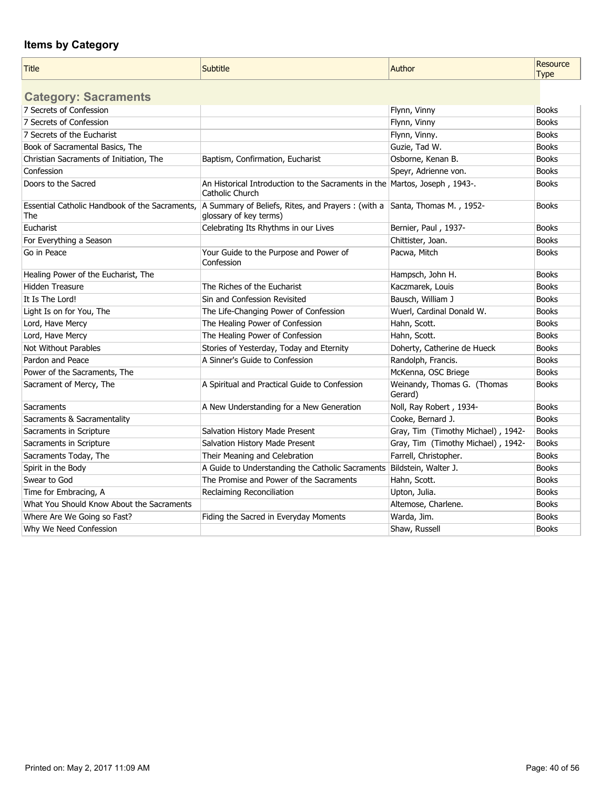| <b>Title</b>                                          | Subtitle                                                                                             | Author                                 | <b>Resource</b><br><b>Type</b> |
|-------------------------------------------------------|------------------------------------------------------------------------------------------------------|----------------------------------------|--------------------------------|
| <b>Category: Sacraments</b>                           |                                                                                                      |                                        |                                |
| 7 Secrets of Confession                               |                                                                                                      | Flynn, Vinny                           | <b>Books</b>                   |
| 7 Secrets of Confession                               |                                                                                                      | Flynn, Vinny                           | <b>Books</b>                   |
| 7 Secrets of the Eucharist                            |                                                                                                      | Flynn, Vinny.                          | <b>Books</b>                   |
| Book of Sacramental Basics, The                       |                                                                                                      | Guzie, Tad W.                          | <b>Books</b>                   |
| Christian Sacraments of Initiation, The               | Baptism, Confirmation, Eucharist                                                                     | Osborne, Kenan B.                      | <b>Books</b>                   |
| Confession                                            |                                                                                                      | Speyr, Adrienne von.                   | <b>Books</b>                   |
| Doors to the Sacred                                   | An Historical Introduction to the Sacraments in the Martos, Joseph, 1943-.<br>Catholic Church        |                                        | <b>Books</b>                   |
| Essential Catholic Handbook of the Sacraments,<br>The | A Summary of Beliefs, Rites, and Prayers : (with a Santa, Thomas M., 1952-<br>glossary of key terms) |                                        | <b>Books</b>                   |
| Eucharist                                             | Celebrating Its Rhythms in our Lives                                                                 | Bernier, Paul, 1937-                   | <b>Books</b>                   |
| For Everything a Season                               |                                                                                                      | Chittister, Joan.                      | <b>Books</b>                   |
| Go in Peace                                           | Your Guide to the Purpose and Power of<br>Confession                                                 | Pacwa, Mitch                           | <b>Books</b>                   |
| Healing Power of the Eucharist, The                   |                                                                                                      | Hampsch, John H.                       | <b>Books</b>                   |
| Hidden Treasure                                       | The Riches of the Eucharist                                                                          | Kaczmarek, Louis                       | <b>Books</b>                   |
| It Is The Lord!                                       | Sin and Confession Revisited                                                                         | Bausch, William J                      | <b>Books</b>                   |
| Light Is on for You, The                              | The Life-Changing Power of Confession                                                                | Wuerl, Cardinal Donald W.              | <b>Books</b>                   |
| Lord, Have Mercy                                      | The Healing Power of Confession                                                                      | Hahn, Scott.                           | <b>Books</b>                   |
| Lord, Have Mercy                                      | The Healing Power of Confession                                                                      | Hahn, Scott.                           | <b>Books</b>                   |
| <b>Not Without Parables</b>                           | Stories of Yesterday, Today and Eternity                                                             | Doherty, Catherine de Hueck            | <b>Books</b>                   |
| Pardon and Peace                                      | A Sinner's Guide to Confession                                                                       | Randolph, Francis.                     | <b>Books</b>                   |
| Power of the Sacraments, The                          |                                                                                                      | McKenna, OSC Briege                    | <b>Books</b>                   |
| Sacrament of Mercy, The                               | A Spiritual and Practical Guide to Confession                                                        | Weinandy, Thomas G. (Thomas<br>Gerard) | <b>Books</b>                   |
| Sacraments                                            | A New Understanding for a New Generation                                                             | Noll, Ray Robert, 1934-                | <b>Books</b>                   |
| Sacraments & Sacramentality                           |                                                                                                      | Cooke, Bernard J.                      | <b>Books</b>                   |
| Sacraments in Scripture                               | Salvation History Made Present                                                                       | Gray, Tim (Timothy Michael), 1942-     | <b>Books</b>                   |
| Sacraments in Scripture                               | Salvation History Made Present                                                                       | Gray, Tim (Timothy Michael), 1942-     | <b>Books</b>                   |
| Sacraments Today, The                                 | Their Meaning and Celebration                                                                        | Farrell, Christopher.                  | <b>Books</b>                   |
| Spirit in the Body                                    | A Guide to Understanding the Catholic Sacraments                                                     | Bildstein, Walter J.                   | <b>Books</b>                   |
| Swear to God                                          | The Promise and Power of the Sacraments                                                              | Hahn, Scott.                           | <b>Books</b>                   |
| Time for Embracing, A                                 | Reclaiming Reconciliation                                                                            | Upton, Julia.                          | <b>Books</b>                   |
| What You Should Know About the Sacraments             |                                                                                                      | Altemose, Charlene.                    | <b>Books</b>                   |
| Where Are We Going so Fast?                           | Fiding the Sacred in Everyday Moments                                                                | Warda, Jim.                            | <b>Books</b>                   |
| Why We Need Confession                                |                                                                                                      | Shaw, Russell                          | <b>Books</b>                   |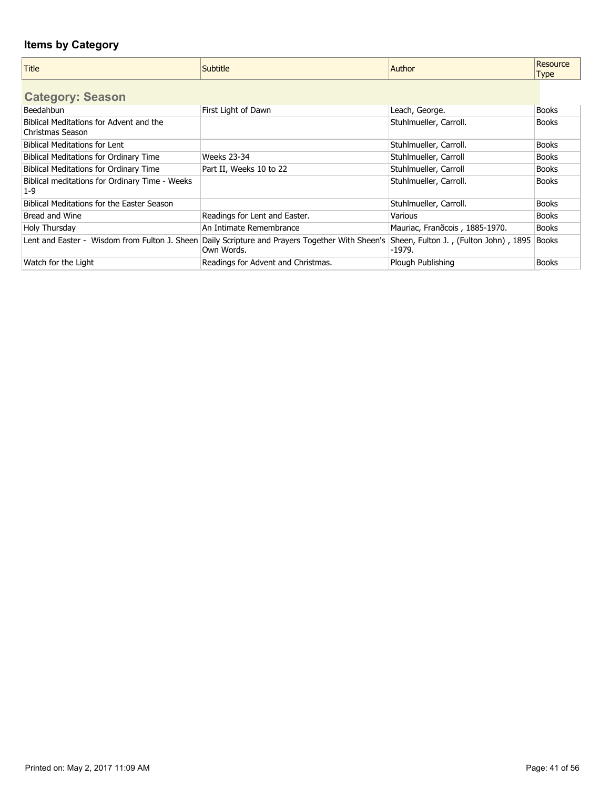| <b>Title</b>                                                | <b>Subtitle</b>                                                                                               | Author                                          | Resource<br><b>Type</b> |
|-------------------------------------------------------------|---------------------------------------------------------------------------------------------------------------|-------------------------------------------------|-------------------------|
| <b>Category: Season</b>                                     |                                                                                                               |                                                 |                         |
| <b>Beedahbun</b>                                            | First Light of Dawn                                                                                           | Leach, George.                                  | <b>Books</b>            |
| Biblical Meditations for Advent and the<br>Christmas Season |                                                                                                               | Stuhlmueller, Carroll.                          | <b>Books</b>            |
| <b>Biblical Meditations for Lent</b>                        |                                                                                                               | Stuhlmueller, Carroll.                          | <b>Books</b>            |
| <b>Biblical Meditations for Ordinary Time</b>               | Weeks 23-34                                                                                                   | Stuhlmueller, Carroll                           | <b>Books</b>            |
| <b>Biblical Meditations for Ordinary Time</b>               | Part II, Weeks 10 to 22                                                                                       | Stuhlmueller, Carroll                           | <b>Books</b>            |
| Biblical meditations for Ordinary Time - Weeks<br>$1 - 9$   |                                                                                                               | Stuhlmueller, Carroll.                          | <b>Books</b>            |
| Biblical Meditations for the Easter Season                  |                                                                                                               | Stuhlmueller, Carroll.                          | <b>Books</b>            |
| Bread and Wine                                              | Readings for Lent and Easter.                                                                                 | Various                                         | <b>Books</b>            |
| Holy Thursday                                               | An Intimate Remembrance                                                                                       | Mauriac, Frandcois, 1885-1970.                  | <b>Books</b>            |
|                                                             | Lent and Easter - Wisdom from Fulton J. Sheen Daily Scripture and Prayers Together With Sheen's<br>Own Words. | Sheen, Fulton J., (Fulton John), 1895<br>-1979. | <b>Books</b>            |
| Watch for the Light                                         | Readings for Advent and Christmas.                                                                            | Plough Publishing                               | <b>Books</b>            |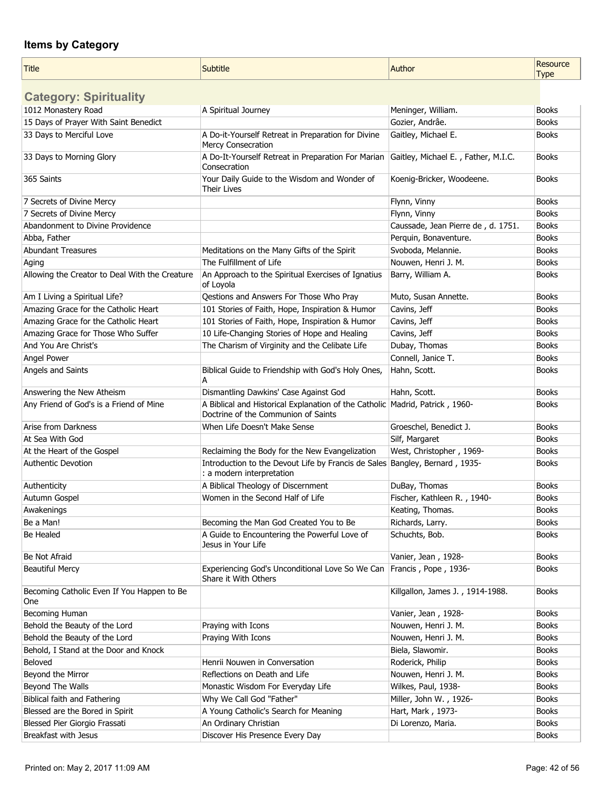| <b>Title</b>                                      | Subtitle                                                                                                              | Author                              | Resource<br><b>Type</b> |
|---------------------------------------------------|-----------------------------------------------------------------------------------------------------------------------|-------------------------------------|-------------------------|
| <b>Category: Spirituality</b>                     |                                                                                                                       |                                     |                         |
| 1012 Monastery Road                               | A Spiritual Journey                                                                                                   | Meninger, William.                  | <b>Books</b>            |
| 15 Days of Prayer With Saint Benedict             |                                                                                                                       | Gozier, Andrâe.                     | <b>Books</b>            |
| 33 Days to Merciful Love                          | A Do-it-Yourself Retreat in Preparation for Divine<br>Mercy Consecration                                              | Gaitley, Michael E.                 | <b>Books</b>            |
| 33 Days to Morning Glory                          | A Do-It-Yourself Retreat in Preparation For Marian<br>Consecration                                                    | Gaitley, Michael E., Father, M.I.C. | <b>Books</b>            |
| 365 Saints                                        | Your Daily Guide to the Wisdom and Wonder of<br>Their Lives                                                           | Koenig-Bricker, Woodeene.           | <b>Books</b>            |
| 7 Secrets of Divine Mercy                         |                                                                                                                       | Flynn, Vinny                        | <b>Books</b>            |
| 7 Secrets of Divine Mercy                         |                                                                                                                       | Flynn, Vinny                        | <b>Books</b>            |
| Abandonment to Divine Providence                  |                                                                                                                       | Caussade, Jean Pierre de, d. 1751.  | <b>Books</b>            |
| Abba, Father                                      |                                                                                                                       | Perquin, Bonaventure.               | <b>Books</b>            |
| <b>Abundant Treasures</b>                         | Meditations on the Many Gifts of the Spirit                                                                           | Svoboda, Melannie.                  | <b>Books</b>            |
| Aging                                             | The Fulfillment of Life                                                                                               | Nouwen, Henri J. M.                 | <b>Books</b>            |
| Allowing the Creator to Deal With the Creature    | An Approach to the Spiritual Exercises of Ignatius<br>of Loyola                                                       | Barry, William A.                   | <b>Books</b>            |
| Am I Living a Spiritual Life?                     | Qestions and Answers For Those Who Pray                                                                               | Muto, Susan Annette.                | <b>Books</b>            |
| Amazing Grace for the Catholic Heart              | 101 Stories of Faith, Hope, Inspiration & Humor                                                                       | Cavins, Jeff                        | <b>Books</b>            |
| Amazing Grace for the Catholic Heart              | 101 Stories of Faith, Hope, Inspiration & Humor                                                                       | Cavins, Jeff                        | <b>Books</b>            |
| Amazing Grace for Those Who Suffer                | 10 Life-Changing Stories of Hope and Healing                                                                          | Cavins, Jeff                        | <b>Books</b>            |
| And You Are Christ's                              | The Charism of Virginity and the Celibate Life                                                                        | Dubay, Thomas                       | <b>Books</b>            |
| Angel Power                                       |                                                                                                                       | Connell, Janice T.                  | <b>Books</b>            |
| Angels and Saints                                 | Biblical Guide to Friendship with God's Holy Ones,<br>А                                                               | Hahn, Scott.                        | <b>Books</b>            |
| Answering the New Atheism                         | Dismantling Dawkins' Case Against God                                                                                 | Hahn, Scott.                        | <b>Books</b>            |
| Any Friend of God's is a Friend of Mine           | A Biblical and Historical Explanation of the Catholic   Madrid, Patrick, 1960-<br>Doctrine of the Communion of Saints |                                     | <b>Books</b>            |
| Arise from Darkness                               | When Life Doesn't Make Sense                                                                                          | Groeschel, Benedict J.              | <b>Books</b>            |
| At Sea With God                                   |                                                                                                                       | Silf, Margaret                      | <b>Books</b>            |
| At the Heart of the Gospel                        | Reclaiming the Body for the New Evangelization                                                                        | West, Christopher, 1969-            | <b>Books</b>            |
| Authentic Devotion                                | Introduction to the Devout Life by Francis de Sales Bangley, Bernard, 1935-<br>: a modern interpretation              |                                     | <b>Books</b>            |
| Authenticity                                      | A Biblical Theology of Discernment                                                                                    | DuBay, Thomas                       | <b>Books</b>            |
| Autumn Gospel                                     | Women in the Second Half of Life                                                                                      | Fischer, Kathleen R., 1940-         | <b>Books</b>            |
| Awakenings                                        |                                                                                                                       | Keating, Thomas.                    | <b>Books</b>            |
| Be a Man!                                         | Becoming the Man God Created You to Be                                                                                | Richards, Larry.                    | <b>Books</b>            |
| Be Healed                                         | A Guide to Encountering the Powerful Love of<br>Jesus in Your Life                                                    | Schuchts, Bob.                      | <b>Books</b>            |
| Be Not Afraid                                     |                                                                                                                       | Vanier, Jean, 1928-                 | <b>Books</b>            |
| <b>Beautiful Mercy</b>                            | Experiencing God's Unconditional Love So We Can<br>Share it With Others                                               | Francis, Pope, 1936-                | <b>Books</b>            |
| Becoming Catholic Even If You Happen to Be<br>One |                                                                                                                       | Killgallon, James J., 1914-1988.    | <b>Books</b>            |
| Becoming Human                                    |                                                                                                                       | Vanier, Jean, 1928-                 | <b>Books</b>            |
| Behold the Beauty of the Lord                     | Praying with Icons                                                                                                    | Nouwen, Henri J. M.                 | <b>Books</b>            |
| Behold the Beauty of the Lord                     | Praying With Icons                                                                                                    | Nouwen, Henri J. M.                 | <b>Books</b>            |
| Behold, I Stand at the Door and Knock             |                                                                                                                       | Biela, Slawomir.                    | <b>Books</b>            |
| Beloved                                           | Henrii Nouwen in Conversation                                                                                         | Roderick, Philip                    | <b>Books</b>            |
| Beyond the Mirror                                 | Reflections on Death and Life                                                                                         | Nouwen, Henri J. M.                 | <b>Books</b>            |
| Beyond The Walls                                  | Monastic Wisdom For Everyday Life                                                                                     | Wilkes, Paul, 1938-                 | <b>Books</b>            |
| <b>Biblical faith and Fathering</b>               | Why We Call God "Father"                                                                                              | Miller, John W., 1926-              | <b>Books</b>            |
| Blessed are the Bored in Spirit                   | A Young Catholic's Search for Meaning                                                                                 | Hart, Mark, 1973-                   | <b>Books</b>            |
| Blessed Pier Giorgio Frassati                     | An Ordinary Christian                                                                                                 | Di Lorenzo, Maria.                  | <b>Books</b>            |
| Breakfast with Jesus                              | Discover His Presence Every Day                                                                                       |                                     | <b>Books</b>            |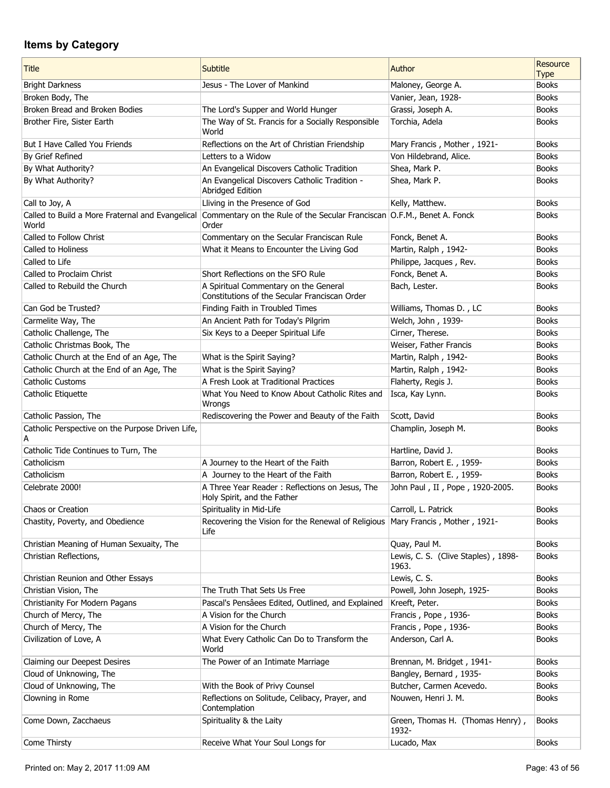| <b>Title</b>                                              | Subtitle                                                                               | Author                                       | Resource<br><b>Type</b> |
|-----------------------------------------------------------|----------------------------------------------------------------------------------------|----------------------------------------------|-------------------------|
| <b>Bright Darkness</b>                                    | Jesus - The Lover of Mankind                                                           | Maloney, George A.                           | <b>Books</b>            |
| Broken Body, The                                          |                                                                                        | Vanier, Jean, 1928-                          | <b>Books</b>            |
| Broken Bread and Broken Bodies                            | The Lord's Supper and World Hunger                                                     | Grassi, Joseph A.                            | <b>Books</b>            |
| Brother Fire, Sister Earth                                | The Way of St. Francis for a Socially Responsible<br>World                             | Torchia, Adela                               | <b>Books</b>            |
| <b>But I Have Called You Friends</b>                      | Reflections on the Art of Christian Friendship                                         | Mary Francis, Mother, 1921-                  | <b>Books</b>            |
| By Grief Refined                                          | Letters to a Widow                                                                     | Von Hildebrand, Alice.                       | <b>Books</b>            |
| By What Authority?                                        | An Evangelical Discovers Catholic Tradition                                            | Shea, Mark P.                                | <b>Books</b>            |
| By What Authority?                                        | An Evangelical Discovers Catholic Tradition -<br>Abridged Edition                      | Shea, Mark P.                                | <b>Books</b>            |
| Call to Joy, A                                            | Lliving in the Presence of God                                                         | Kelly, Matthew.                              | <b>Books</b>            |
| Called to Build a More Fraternal and Evangelical<br>World | Commentary on the Rule of the Secular Franciscan O.F.M., Benet A. Fonck<br>Order       |                                              | <b>Books</b>            |
| Called to Follow Christ                                   | Commentary on the Secular Franciscan Rule                                              | Fonck, Benet A.                              | <b>Books</b>            |
| Called to Holiness                                        | What it Means to Encounter the Living God                                              | Martin, Ralph, 1942-                         | <b>Books</b>            |
| Called to Life                                            |                                                                                        | Philippe, Jacques, Rev.                      | <b>Books</b>            |
| Called to Proclaim Christ                                 | Short Reflections on the SFO Rule                                                      | Fonck, Benet A.                              | <b>Books</b>            |
| Called to Rebuild the Church                              | A Spiritual Commentary on the General<br>Constitutions of the Secular Franciscan Order | Bach, Lester.                                | <b>Books</b>            |
| Can God be Trusted?                                       | Finding Faith in Troubled Times                                                        | Williams, Thomas D., LC                      | <b>Books</b>            |
| Carmelite Way, The                                        | An Ancient Path for Today's Pilgrim                                                    | Welch, John, 1939-                           | <b>Books</b>            |
| Catholic Challenge, The                                   | Six Keys to a Deeper Spiritual Life                                                    | Cirner, Therese.                             | <b>Books</b>            |
| Catholic Christmas Book, The                              |                                                                                        | Weiser, Father Francis                       | <b>Books</b>            |
| Catholic Church at the End of an Age, The                 | What is the Spirit Saying?                                                             | Martin, Ralph, 1942-                         | <b>Books</b>            |
| Catholic Church at the End of an Age, The                 | What is the Spirit Saying?                                                             | Martin, Ralph, 1942-                         | <b>Books</b>            |
| <b>Catholic Customs</b>                                   | A Fresh Look at Traditional Practices                                                  | Flaherty, Regis J.                           | <b>Books</b>            |
| Catholic Etiquette                                        | What You Need to Know About Catholic Rites and                                         | Isca, Kay Lynn.                              | <b>Books</b>            |
|                                                           | Wrongs                                                                                 |                                              |                         |
| Catholic Passion, The                                     | Rediscovering the Power and Beauty of the Faith                                        | Scott, David                                 | <b>Books</b>            |
| Catholic Perspective on the Purpose Driven Life,<br>А     |                                                                                        | Champlin, Joseph M.                          | <b>Books</b>            |
| Catholic Tide Continues to Turn, The                      |                                                                                        | Hartline, David J.                           | <b>Books</b>            |
| Catholicism                                               | A Journey to the Heart of the Faith                                                    | Barron, Robert E., 1959-                     | <b>Books</b>            |
| Catholicism                                               | A Journey to the Heart of the Faith                                                    | Barron, Robert E., 1959-                     | <b>Books</b>            |
| Celebrate 2000!                                           | A Three Year Reader: Reflections on Jesus, The<br>Holy Spirit, and the Father          | John Paul, II, Pope, 1920-2005.              | <b>Books</b>            |
| Chaos or Creation                                         | Spirituality in Mid-Life                                                               | Carroll, L. Patrick                          | <b>Books</b>            |
| Chastity, Poverty, and Obedience                          | Recovering the Vision for the Renewal of Religious<br>Life                             | Mary Francis, Mother, 1921-                  | <b>Books</b>            |
| Christian Meaning of Human Sexuaity, The                  |                                                                                        | Quay, Paul M.                                | <b>Books</b>            |
| Christian Reflections,                                    |                                                                                        | Lewis, C. S. (Clive Staples), 1898-<br>1963. | <b>Books</b>            |
| Christian Reunion and Other Essays                        |                                                                                        | Lewis, C. S.                                 | <b>Books</b>            |
| Christian Vision, The                                     | The Truth That Sets Us Free                                                            | Powell, John Joseph, 1925-                   | <b>Books</b>            |
| Christianity For Modern Pagans                            | Pascal's Pensâees Edited, Outlined, and Explained                                      | Kreeft, Peter.                               | <b>Books</b>            |
| Church of Mercy, The                                      | A Vision for the Church                                                                | Francis, Pope, 1936-                         | <b>Books</b>            |
| Church of Mercy, The                                      | A Vision for the Church                                                                | Francis, Pope, 1936-                         | <b>Books</b>            |
| Civilization of Love, A                                   | What Every Catholic Can Do to Transform the<br>World                                   | Anderson, Carl A.                            | <b>Books</b>            |
| Claiming our Deepest Desires                              | The Power of an Intimate Marriage                                                      | Brennan, M. Bridget, 1941-                   | <b>Books</b>            |
| Cloud of Unknowing, The                                   |                                                                                        | Bangley, Bernard, 1935-                      | <b>Books</b>            |
| Cloud of Unknowing, The                                   | With the Book of Privy Counsel                                                         | Butcher, Carmen Acevedo.                     | <b>Books</b>            |
| Clowning in Rome                                          | Reflections on Solitude, Celibacy, Prayer, and<br>Contemplation                        | Nouwen, Henri J. M.                          | <b>Books</b>            |
| Come Down, Zacchaeus                                      | Spirituality & the Laity                                                               | Green, Thomas H. (Thomas Henry),<br>1932-    | <b>Books</b>            |
| Come Thirsty                                              | Receive What Your Soul Longs for                                                       | Lucado, Max                                  | <b>Books</b>            |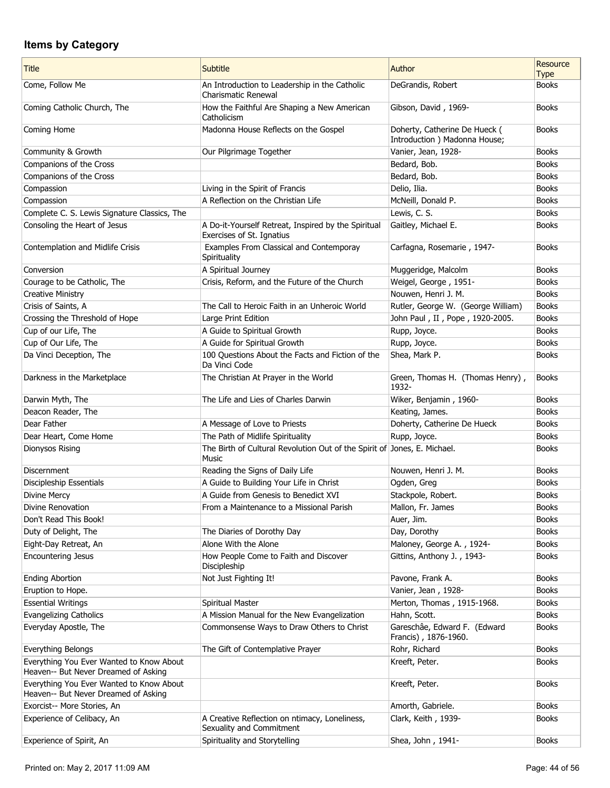| Title                                                                            | <b>Subtitle</b>                                                                   | Author                                                         | Resource<br><b>Type</b> |
|----------------------------------------------------------------------------------|-----------------------------------------------------------------------------------|----------------------------------------------------------------|-------------------------|
| Come, Follow Me                                                                  | An Introduction to Leadership in the Catholic<br>Charismatic Renewal              | DeGrandis, Robert                                              | <b>Books</b>            |
| Coming Catholic Church, The                                                      | How the Faithful Are Shaping a New American<br>Catholicism                        | Gibson, David, 1969-                                           | <b>Books</b>            |
| Coming Home                                                                      | Madonna House Reflects on the Gospel                                              | Doherty, Catherine De Hueck (<br>Introduction ) Madonna House; | <b>Books</b>            |
| Community & Growth                                                               | Our Pilgrimage Together                                                           | Vanier, Jean, 1928-                                            | <b>Books</b>            |
| Companions of the Cross                                                          |                                                                                   | Bedard, Bob.                                                   | <b>Books</b>            |
| Companions of the Cross                                                          |                                                                                   | Bedard, Bob.                                                   | <b>Books</b>            |
| Compassion                                                                       | Living in the Spirit of Francis                                                   | Delio, Ilia.                                                   | <b>Books</b>            |
| Compassion                                                                       | A Reflection on the Christian Life                                                | McNeill, Donald P.                                             | <b>Books</b>            |
| Complete C. S. Lewis Signature Classics, The                                     |                                                                                   | Lewis, C. S.                                                   | <b>Books</b>            |
| Consoling the Heart of Jesus                                                     | A Do-it-Yourself Retreat, Inspired by the Spiritual<br>Exercises of St. Ignatius  | Gaitley, Michael E.                                            | <b>Books</b>            |
| Contemplation and Midlife Crisis                                                 | Examples From Classical and Contemporay<br>Spirituality                           | Carfagna, Rosemarie, 1947-                                     | <b>Books</b>            |
| Conversion                                                                       | A Spiritual Journey                                                               | Muggeridge, Malcolm                                            | <b>Books</b>            |
| Courage to be Catholic, The                                                      | Crisis, Reform, and the Future of the Church                                      | Weigel, George, 1951-                                          | <b>Books</b>            |
| <b>Creative Ministry</b>                                                         |                                                                                   | Nouwen, Henri J. M.                                            | <b>Books</b>            |
| Crisis of Saints, A                                                              | The Call to Heroic Faith in an Unheroic World                                     | Rutler, George W. (George William)                             | <b>Books</b>            |
| Crossing the Threshold of Hope                                                   | Large Print Edition                                                               | John Paul, II, Pope, 1920-2005.                                | <b>Books</b>            |
| Cup of our Life, The                                                             | A Guide to Spiritual Growth                                                       | Rupp, Joyce.                                                   | <b>Books</b>            |
| Cup of Our Life, The                                                             | A Guide for Spiritual Growth                                                      | Rupp, Joyce.                                                   | <b>Books</b>            |
| Da Vinci Deception, The                                                          | 100 Questions About the Facts and Fiction of the<br>Da Vinci Code                 | Shea, Mark P.                                                  | <b>Books</b>            |
| Darkness in the Marketplace                                                      | The Christian At Prayer in the World                                              | Green, Thomas H. (Thomas Henry),<br>1932-                      | <b>Books</b>            |
| Darwin Myth, The                                                                 | The Life and Lies of Charles Darwin                                               | Wiker, Benjamin, 1960-                                         | <b>Books</b>            |
| Deacon Reader, The                                                               |                                                                                   | Keating, James.                                                | <b>Books</b>            |
| Dear Father                                                                      | A Message of Love to Priests                                                      | Doherty, Catherine De Hueck                                    | <b>Books</b>            |
| Dear Heart, Come Home                                                            | The Path of Midlife Spirituality                                                  | Rupp, Joyce.                                                   | <b>Books</b>            |
| <b>Dionysos Rising</b>                                                           | The Birth of Cultural Revolution Out of the Spirit of Jones, E. Michael.<br>Music |                                                                | <b>Books</b>            |
| Discernment                                                                      | Reading the Signs of Daily Life                                                   | Nouwen, Henri J. M.                                            | <b>Books</b>            |
| Discipleship Essentials                                                          | A Guide to Building Your Life in Christ                                           | Ogden, Greg                                                    | <b>Books</b>            |
| <b>Divine Mercy</b>                                                              | A Guide from Genesis to Benedict XVI                                              | Stackpole, Robert.                                             | <b>Books</b>            |
| Divine Renovation                                                                | From a Maintenance to a Missional Parish                                          | Mallon, Fr. James                                              | Books                   |
| Don't Read This Book!                                                            |                                                                                   | Auer, Jim.                                                     | <b>Books</b>            |
| Duty of Delight, The                                                             | The Diaries of Dorothy Day                                                        | Day, Dorothy                                                   | <b>Books</b>            |
| Eight-Day Retreat, An                                                            | Alone With the Alone                                                              | Maloney, George A., 1924-                                      | <b>Books</b>            |
| <b>Encountering Jesus</b>                                                        | How People Come to Faith and Discover<br>Discipleship                             | Gittins, Anthony J., 1943-                                     | <b>Books</b>            |
| <b>Ending Abortion</b>                                                           | Not Just Fighting It!                                                             | Pavone, Frank A.                                               | <b>Books</b>            |
| Eruption to Hope.                                                                |                                                                                   | Vanier, Jean, 1928-                                            | <b>Books</b>            |
| <b>Essential Writings</b>                                                        | Spiritual Master                                                                  | Merton, Thomas, 1915-1968.                                     | <b>Books</b>            |
| <b>Evangelizing Catholics</b>                                                    | A Mission Manual for the New Evangelization                                       | Hahn, Scott.                                                   | <b>Books</b>            |
| Everyday Apostle, The                                                            | Commonsense Ways to Draw Others to Christ                                         | Gareschâe, Edward F. (Edward<br>Francis), 1876-1960.           | <b>Books</b>            |
| Everything Belongs                                                               | The Gift of Contemplative Prayer                                                  | Rohr, Richard                                                  | <b>Books</b>            |
| Everything You Ever Wanted to Know About<br>Heaven-- But Never Dreamed of Asking |                                                                                   | Kreeft, Peter.                                                 | <b>Books</b>            |
| Everything You Ever Wanted to Know About<br>Heaven-- But Never Dreamed of Asking |                                                                                   | Kreeft, Peter.                                                 | <b>Books</b>            |
| Exorcist-- More Stories, An                                                      |                                                                                   | Amorth, Gabriele.                                              | <b>Books</b>            |
| Experience of Celibacy, An                                                       | A Creative Reflection on ntimacy, Loneliness,<br>Sexuality and Commitment         | Clark, Keith, 1939-                                            | <b>Books</b>            |
| Experience of Spirit, An                                                         | Spirituality and Storytelling                                                     | Shea, John, 1941-                                              | <b>Books</b>            |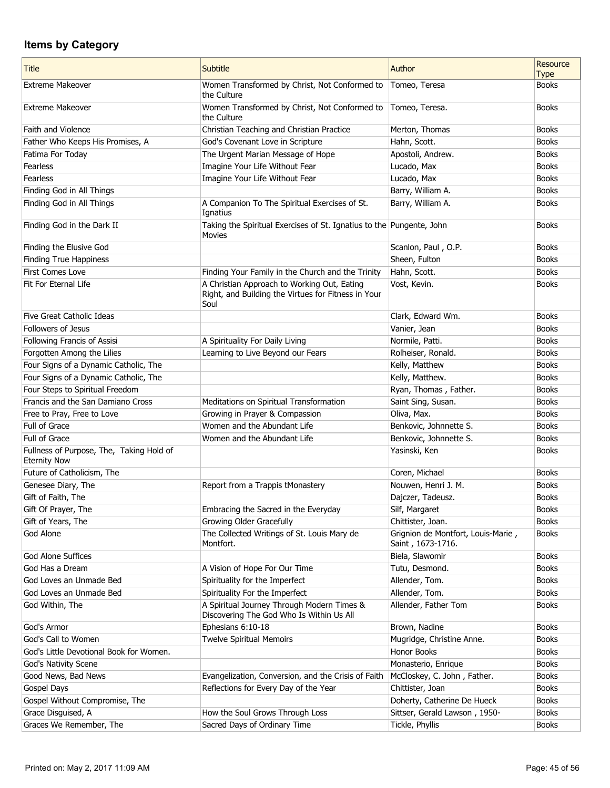| <b>Title</b>                                                    | <b>Subtitle</b>                                                                                            | Author                                                  | Resource<br><b>Type</b> |
|-----------------------------------------------------------------|------------------------------------------------------------------------------------------------------------|---------------------------------------------------------|-------------------------|
| <b>Extreme Makeover</b>                                         | Women Transformed by Christ, Not Conformed to<br>the Culture                                               | Tomeo, Teresa                                           | <b>Books</b>            |
| <b>Extreme Makeover</b>                                         | Women Transformed by Christ, Not Conformed to<br>the Culture                                               | Tomeo, Teresa.                                          | <b>Books</b>            |
| Faith and Violence                                              | Christian Teaching and Christian Practice                                                                  | Merton, Thomas                                          | <b>Books</b>            |
| Father Who Keeps His Promises, A                                | God's Covenant Love in Scripture                                                                           | Hahn, Scott.                                            | <b>Books</b>            |
| Fatima For Today                                                | The Urgent Marian Message of Hope                                                                          | Apostoli, Andrew.                                       | <b>Books</b>            |
| Fearless                                                        | Imagine Your Life Without Fear                                                                             | Lucado, Max                                             | <b>Books</b>            |
| Fearless                                                        | Imagine Your Life Without Fear                                                                             | Lucado, Max                                             | <b>Books</b>            |
| Finding God in All Things                                       |                                                                                                            | Barry, William A.                                       | <b>Books</b>            |
| Finding God in All Things                                       | A Companion To The Spiritual Exercises of St.<br>Ignatius                                                  | Barry, William A.                                       | <b>Books</b>            |
| Finding God in the Dark II                                      | Taking the Spiritual Exercises of St. Ignatius to the Pungente, John<br>Movies                             |                                                         | <b>Books</b>            |
| Finding the Elusive God                                         |                                                                                                            | Scanlon, Paul, O.P.                                     | <b>Books</b>            |
| Finding True Happiness                                          |                                                                                                            | Sheen, Fulton                                           | <b>Books</b>            |
| First Comes Love                                                | Finding Your Family in the Church and the Trinity                                                          | Hahn, Scott.                                            | <b>Books</b>            |
| Fit For Eternal Life                                            | A Christian Approach to Working Out, Eating<br>Right, and Building the Virtues for Fitness in Your<br>Soul | Vost, Kevin.                                            | <b>Books</b>            |
| Five Great Catholic Ideas                                       |                                                                                                            | Clark, Edward Wm.                                       | <b>Books</b>            |
| Followers of Jesus                                              |                                                                                                            | Vanier, Jean                                            | <b>Books</b>            |
| Following Francis of Assisi                                     | A Spirituality For Daily Living                                                                            | Normile, Patti.                                         | <b>Books</b>            |
| Forgotten Among the Lilies                                      | Learning to Live Beyond our Fears                                                                          | Rolheiser, Ronald.                                      | <b>Books</b>            |
| Four Signs of a Dynamic Catholic, The                           |                                                                                                            | Kelly, Matthew                                          | <b>Books</b>            |
| Four Signs of a Dynamic Catholic, The                           |                                                                                                            | Kelly, Matthew.                                         | <b>Books</b>            |
| Four Steps to Spiritual Freedom                                 |                                                                                                            | Ryan, Thomas, Father.                                   | <b>Books</b>            |
| Francis and the San Damiano Cross                               | Meditations on Spiritual Transformation                                                                    | Saint Sing, Susan.                                      | <b>Books</b>            |
| Free to Pray, Free to Love                                      | Growing in Prayer & Compassion                                                                             | Oliva, Max.                                             | <b>Books</b>            |
| Full of Grace                                                   | Women and the Abundant Life                                                                                | Benkovic, Johnnette S.                                  | <b>Books</b>            |
| Full of Grace                                                   | Women and the Abundant Life                                                                                | Benkovic, Johnnette S.                                  | <b>Books</b>            |
| Fullness of Purpose, The, Taking Hold of<br><b>Eternity Now</b> |                                                                                                            | Yasinski, Ken                                           | <b>Books</b>            |
| Future of Catholicism, The                                      |                                                                                                            | Coren, Michael                                          | <b>Books</b>            |
| Genesee Diary, The                                              | Report from a Trappis tMonastery                                                                           | Nouwen, Henri J. M.                                     | <b>Books</b>            |
| Gift of Faith, The                                              |                                                                                                            | Dajczer, Tadeusz.                                       | <b>Books</b>            |
| Gift Of Prayer, The                                             | Embracing the Sacred in the Everyday                                                                       | Silf, Margaret                                          | <b>Books</b>            |
| Gift of Years, The                                              | Growing Older Gracefully                                                                                   | Chittister, Joan.                                       | <b>Books</b>            |
| God Alone                                                       | The Collected Writings of St. Louis Mary de<br>Montfort.                                                   | Grignion de Montfort, Louis-Marie,<br>Saint, 1673-1716. | <b>Books</b>            |
| <b>God Alone Suffices</b>                                       |                                                                                                            | Biela, Slawomir                                         | <b>Books</b>            |
| God Has a Dream                                                 | A Vision of Hope For Our Time                                                                              | Tutu, Desmond.                                          | <b>Books</b>            |
| God Loves an Unmade Bed                                         | Spirituality for the Imperfect                                                                             | Allender, Tom.                                          | <b>Books</b>            |
| God Loves an Unmade Bed                                         | Spirituality For the Imperfect                                                                             | Allender, Tom.                                          | <b>Books</b>            |
| God Within, The                                                 | A Spiritual Journey Through Modern Times &<br>Discovering The God Who Is Within Us All                     | Allender, Father Tom                                    | <b>Books</b>            |
| God's Armor                                                     | Ephesians 6:10-18                                                                                          | Brown, Nadine                                           | <b>Books</b>            |
| God's Call to Women                                             | <b>Twelve Spiritual Memoirs</b>                                                                            | Mugridge, Christine Anne.                               | <b>Books</b>            |
| God's Little Devotional Book for Women.                         |                                                                                                            | Honor Books                                             | <b>Books</b>            |
| God's Nativity Scene                                            |                                                                                                            | Monasterio, Enrique                                     | <b>Books</b>            |
| Good News, Bad News                                             | Evangelization, Conversion, and the Crisis of Faith                                                        | McCloskey, C. John, Father.                             | <b>Books</b>            |
| Gospel Days                                                     | Reflections for Every Day of the Year                                                                      | Chittister, Joan                                        | <b>Books</b>            |
| Gospel Without Compromise, The                                  |                                                                                                            | Doherty, Catherine De Hueck                             | <b>Books</b>            |
| Grace Disguised, A                                              | How the Soul Grows Through Loss                                                                            | Sittser, Gerald Lawson, 1950-                           | <b>Books</b>            |
| Graces We Remember, The                                         | Sacred Days of Ordinary Time                                                                               | Tickle, Phyllis                                         | <b>Books</b>            |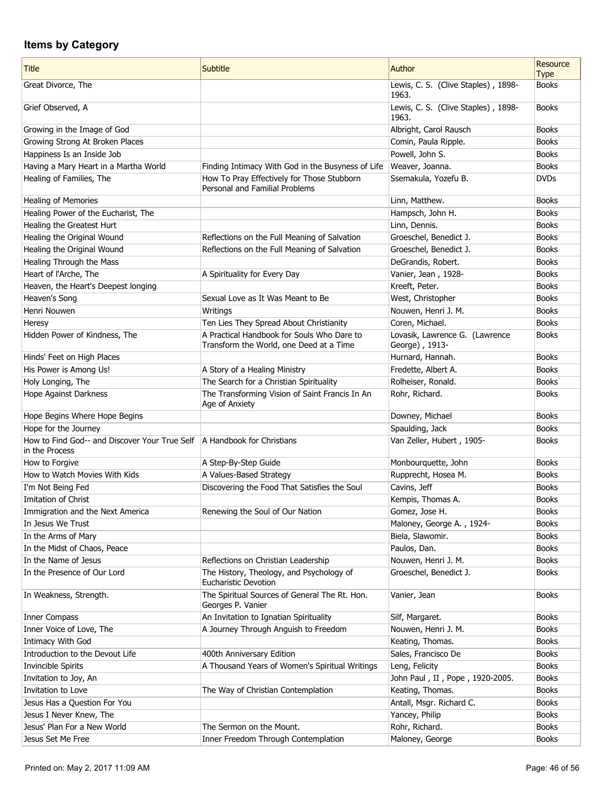| <b>Title</b>                                                                                | Subtitle                                                                     | Author                                           | Resource<br><b>Type</b> |
|---------------------------------------------------------------------------------------------|------------------------------------------------------------------------------|--------------------------------------------------|-------------------------|
| Great Divorce, The                                                                          |                                                                              | Lewis, C. S. (Clive Staples), 1898-<br>1963.     | <b>Books</b>            |
| Grief Observed, A                                                                           |                                                                              | Lewis, C. S. (Clive Staples), 1898-<br>1963.     | <b>Books</b>            |
| Growing in the Image of God                                                                 |                                                                              | Albright, Carol Rausch                           | <b>Books</b>            |
| Growing Strong At Broken Places                                                             |                                                                              | Comin, Paula Ripple.                             | <b>Books</b>            |
| Happiness Is an Inside Job                                                                  |                                                                              | Powell, John S.                                  | <b>Books</b>            |
| Having a Mary Heart in a Martha World                                                       | Finding Intimacy With God in the Busyness of Life                            | Weaver, Joanna.                                  | <b>Books</b>            |
| Healing of Families, The                                                                    | How To Pray Effectively for Those Stubborn<br>Personal and Familial Problems | Ssemakula, Yozefu B.                             | <b>DVDs</b>             |
| <b>Healing of Memories</b>                                                                  |                                                                              | Linn, Matthew.                                   | <b>Books</b>            |
| Healing Power of the Eucharist, The                                                         |                                                                              | Hampsch, John H.                                 | <b>Books</b>            |
| Healing the Greatest Hurt                                                                   |                                                                              | Linn, Dennis.                                    | <b>Books</b>            |
| Healing the Original Wound                                                                  | Reflections on the Full Meaning of Salvation                                 | Groeschel, Benedict J.                           | <b>Books</b>            |
| Healing the Original Wound                                                                  | Reflections on the Full Meaning of Salvation                                 | Groeschel, Benedict J.                           | <b>Books</b>            |
| Healing Through the Mass                                                                    |                                                                              | DeGrandis, Robert.                               | <b>Books</b>            |
| Heart of l'Arche, The                                                                       | A Spirituality for Every Day                                                 | Vanier, Jean, 1928-                              | <b>Books</b>            |
| Heaven, the Heart's Deepest longing                                                         |                                                                              | Kreeft, Peter.                                   | <b>Books</b>            |
| Heaven's Song                                                                               | Sexual Love as It Was Meant to Be                                            | West, Christopher                                | <b>Books</b>            |
| Henri Nouwen                                                                                | Writings                                                                     | Nouwen, Henri J. M.                              | <b>Books</b>            |
| Heresy                                                                                      | Ten Lies They Spread About Christianity                                      | Coren, Michael.                                  | <b>Books</b>            |
|                                                                                             | A Practical Handbook for Souls Who Dare to                                   |                                                  | <b>Books</b>            |
| Hidden Power of Kindness, The                                                               | Transform the World, one Deed at a Time                                      | Lovasik, Lawrence G. (Lawrence<br>George), 1913- |                         |
| Hinds' Feet on High Places                                                                  |                                                                              | Hurnard, Hannah.                                 | <b>Books</b>            |
| His Power is Among Us!                                                                      | A Story of a Healing Ministry                                                | Fredette, Albert A.                              | <b>Books</b>            |
| Holy Longing, The                                                                           | The Search for a Christian Spirituality                                      | Rolheiser, Ronald.                               | <b>Books</b>            |
| Hope Against Darkness                                                                       | The Transforming Vision of Saint Francis In An<br>Age of Anxiety             | Rohr, Richard.                                   | <b>Books</b>            |
| Hope Begins Where Hope Begins                                                               |                                                                              | Downey, Michael                                  | <b>Books</b>            |
| Hope for the Journey                                                                        |                                                                              | Spaulding, Jack                                  | <b>Books</b>            |
| How to Find God-- and Discover Your True Self   A Handbook for Christians<br>in the Process |                                                                              | Van Zeller, Hubert, 1905-                        | <b>Books</b>            |
| How to Forgive                                                                              | A Step-By-Step Guide                                                         | Monbourquette, John                              | <b>Books</b>            |
| How to Watch Movies With Kids                                                               | A Values-Based Strategy                                                      | Rupprecht, Hosea M.                              | <b>Books</b>            |
| I'm Not Being Fed                                                                           | Discovering the Food That Satisfies the Soul                                 | Cavins, Jeff                                     | <b>Books</b>            |
| Imitation of Christ                                                                         |                                                                              | Kempis, Thomas A.                                | <b>Books</b>            |
| Immigration and the Next America                                                            | Renewing the Soul of Our Nation                                              | Gomez, Jose H.                                   | <b>Books</b>            |
| In Jesus We Trust                                                                           |                                                                              | Maloney, George A., 1924-                        | <b>Books</b>            |
| In the Arms of Mary                                                                         |                                                                              | Biela, Slawomir.                                 | <b>Books</b>            |
| In the Midst of Chaos, Peace                                                                |                                                                              | Paulos, Dan.                                     | <b>Books</b>            |
| In the Name of Jesus                                                                        | Reflections on Christian Leadership                                          | Nouwen, Henri J. M.                              | <b>Books</b>            |
| In the Presence of Our Lord                                                                 | The History, Theology, and Psychology of<br><b>Eucharistic Devotion</b>      | Groeschel, Benedict J.                           | <b>Books</b>            |
| In Weakness, Strength.                                                                      | The Spiritual Sources of General The Rt. Hon.<br>Georges P. Vanier           | Vanier, Jean                                     | <b>Books</b>            |
| Inner Compass                                                                               | An Invitation to Ignatian Spirituality                                       | Silf, Margaret.                                  | <b>Books</b>            |
| Inner Voice of Love, The                                                                    | A Journey Through Anguish to Freedom                                         | Nouwen, Henri J. M.                              | <b>Books</b>            |
| Intimacy With God                                                                           |                                                                              | Keating, Thomas.                                 | <b>Books</b>            |
| Introduction to the Devout Life                                                             | 400th Anniversary Edition                                                    | Sales, Francisco De                              | <b>Books</b>            |
| <b>Invincible Spirits</b>                                                                   | A Thousand Years of Women's Spiritual Writings                               | Leng, Felicity                                   | <b>Books</b>            |
| Invitation to Joy, An                                                                       |                                                                              | John Paul, II, Pope, 1920-2005.                  | <b>Books</b>            |
| Invitation to Love                                                                          | The Way of Christian Contemplation                                           | Keating, Thomas.                                 | <b>Books</b>            |
| Jesus Has a Question For You                                                                |                                                                              | Antall, Msgr. Richard C.                         | <b>Books</b>            |
| Jesus I Never Knew, The                                                                     |                                                                              | Yancey, Philip                                   | <b>Books</b>            |
| Jesus' Plan For a New World                                                                 | The Sermon on the Mount.                                                     | Rohr, Richard.                                   | <b>Books</b>            |
| Jesus Set Me Free                                                                           | Inner Freedom Through Contemplation                                          | Maloney, George                                  | <b>Books</b>            |
|                                                                                             |                                                                              |                                                  |                         |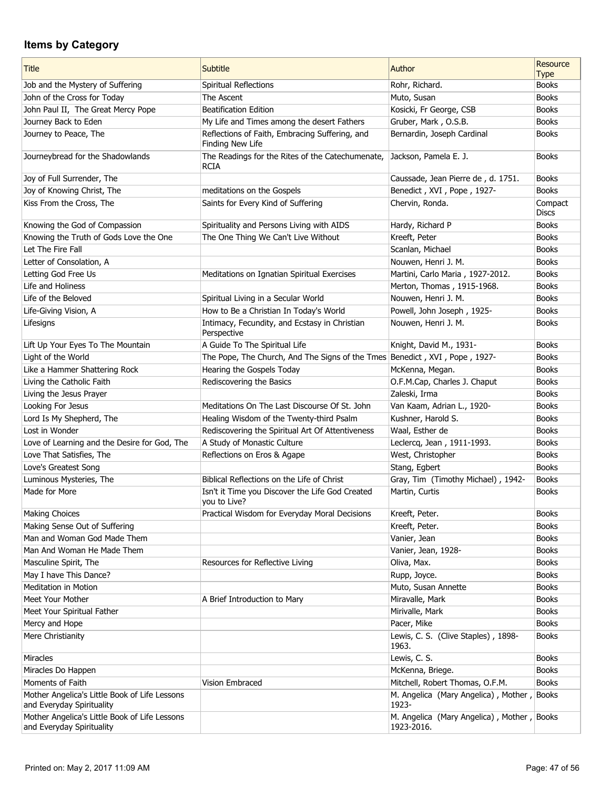| <b>Title</b>                                                               | Subtitle                                                                   | Author                                                   | Resource<br><b>Type</b> |
|----------------------------------------------------------------------------|----------------------------------------------------------------------------|----------------------------------------------------------|-------------------------|
| Job and the Mystery of Suffering                                           | Spiritual Reflections                                                      | Rohr, Richard.                                           | <b>Books</b>            |
| John of the Cross for Today                                                | The Ascent                                                                 | Muto, Susan                                              | <b>Books</b>            |
| John Paul II, The Great Mercy Pope                                         | <b>Beatification Edition</b>                                               | Kosicki, Fr George, CSB                                  | <b>Books</b>            |
| Journey Back to Eden                                                       | My Life and Times among the desert Fathers                                 | Gruber, Mark, O.S.B.                                     | <b>Books</b>            |
| Journey to Peace, The                                                      | Reflections of Faith, Embracing Suffering, and<br>Finding New Life         | Bernardin, Joseph Cardinal                               | <b>Books</b>            |
| Journeybread for the Shadowlands                                           | The Readings for the Rites of the Catechumenate,<br>RCIA                   | Jackson, Pamela E. J.                                    | <b>Books</b>            |
| Joy of Full Surrender, The                                                 |                                                                            | Caussade, Jean Pierre de, d. 1751.                       | <b>Books</b>            |
| Joy of Knowing Christ, The                                                 | meditations on the Gospels                                                 | Benedict, XVI, Pope, 1927-                               | <b>Books</b>            |
| Kiss From the Cross, The                                                   | Saints for Every Kind of Suffering                                         | Chervin, Ronda.                                          | Compact<br><b>Discs</b> |
| Knowing the God of Compassion                                              | Spirituality and Persons Living with AIDS                                  | Hardy, Richard P                                         | <b>Books</b>            |
| Knowing the Truth of Gods Love the One                                     | The One Thing We Can't Live Without                                        | Kreeft, Peter                                            | <b>Books</b>            |
| Let The Fire Fall                                                          |                                                                            | Scanlan, Michael                                         | <b>Books</b>            |
| Letter of Consolation, A                                                   |                                                                            | Nouwen, Henri J. M.                                      | <b>Books</b>            |
| Letting God Free Us                                                        | Meditations on Ignatian Spiritual Exercises                                | Martini, Carlo Maria, 1927-2012.                         | <b>Books</b>            |
| Life and Holiness                                                          |                                                                            | Merton, Thomas, 1915-1968.                               | <b>Books</b>            |
| Life of the Beloved                                                        | Spiritual Living in a Secular World                                        | Nouwen, Henri J. M.                                      | <b>Books</b>            |
| Life-Giving Vision, A                                                      | How to Be a Christian In Today's World                                     | Powell, John Joseph, 1925-                               | <b>Books</b>            |
| Lifesigns                                                                  | Intimacy, Fecundity, and Ecstasy in Christian<br>Perspective               | Nouwen, Henri J. M.                                      | <b>Books</b>            |
| Lift Up Your Eyes To The Mountain                                          | A Guide To The Spiritual Life                                              | Knight, David M., 1931-                                  | <b>Books</b>            |
| Light of the World                                                         | The Pope, The Church, And The Signs of the Tmes Benedict, XVI, Pope, 1927- |                                                          | <b>Books</b>            |
| Like a Hammer Shattering Rock                                              | Hearing the Gospels Today                                                  | McKenna, Megan.                                          | <b>Books</b>            |
| Living the Catholic Faith                                                  | Rediscovering the Basics                                                   | O.F.M.Cap, Charles J. Chaput                             | <b>Books</b>            |
| Living the Jesus Prayer                                                    |                                                                            | Zaleski, Irma                                            | <b>Books</b>            |
| Looking For Jesus                                                          | Meditations On The Last Discourse Of St. John                              | Van Kaam, Adrian L., 1920-                               | <b>Books</b>            |
| Lord Is My Shepherd, The                                                   | Healing Wisdom of the Twenty-third Psalm                                   | Kushner, Harold S.                                       | <b>Books</b>            |
| Lost in Wonder                                                             | Rediscovering the Spiritual Art Of Attentiveness                           | Waal, Esther de                                          | <b>Books</b>            |
| Love of Learning and the Desire for God, The                               | A Study of Monastic Culture                                                | Leclercq, Jean, 1911-1993.                               | <b>Books</b>            |
| Love That Satisfies, The                                                   | Reflections on Eros & Agape                                                | West, Christopher                                        | <b>Books</b>            |
| Love's Greatest Song                                                       |                                                                            | Stang, Egbert                                            | <b>Books</b>            |
| Luminous Mysteries, The                                                    | Biblical Reflections on the Life of Christ                                 | Gray, Tim (Timothy Michael), 1942-                       | <b>Books</b>            |
| Made for More                                                              | Isn't it Time you Discover the Life God Created<br>you to Live?            | Martin, Curtis                                           | <b>Books</b>            |
| <b>Making Choices</b>                                                      | Practical Wisdom for Everyday Moral Decisions                              | Kreeft, Peter.                                           | <b>Books</b>            |
| Making Sense Out of Suffering                                              |                                                                            | Kreeft, Peter.                                           | <b>Books</b>            |
| Man and Woman God Made Them                                                |                                                                            | Vanier, Jean                                             | <b>Books</b>            |
| Man And Woman He Made Them                                                 |                                                                            | Vanier, Jean, 1928-                                      | <b>Books</b>            |
| Masculine Spirit, The                                                      | Resources for Reflective Living                                            | Oliva, Max.                                              | <b>Books</b>            |
| May I have This Dance?                                                     |                                                                            | Rupp, Joyce.                                             | <b>Books</b>            |
| <b>Meditation in Motion</b>                                                |                                                                            | Muto, Susan Annette                                      | <b>Books</b>            |
| Meet Your Mother                                                           | A Brief Introduction to Mary                                               | Miravalle, Mark                                          | <b>Books</b>            |
| Meet Your Spiritual Father                                                 |                                                                            | Mirivalle, Mark                                          | <b>Books</b>            |
| Mercy and Hope                                                             |                                                                            | Pacer, Mike                                              | <b>Books</b>            |
| Mere Christianity                                                          |                                                                            | Lewis, C. S. (Clive Staples), 1898-<br>1963.             | <b>Books</b>            |
| <b>Miracles</b>                                                            |                                                                            | Lewis, C. S.                                             | <b>Books</b>            |
| Miracles Do Happen                                                         |                                                                            | McKenna, Briege.                                         | <b>Books</b>            |
| Moments of Faith                                                           | Vision Embraced                                                            | Mitchell, Robert Thomas, O.F.M.                          | <b>Books</b>            |
| Mother Angelica's Little Book of Life Lessons<br>and Everyday Spirituality |                                                                            | M. Angelica (Mary Angelica), Mother,<br>1923-            | Books                   |
| Mother Angelica's Little Book of Life Lessons<br>and Everyday Spirituality |                                                                            | M. Angelica (Mary Angelica), Mother, Books<br>1923-2016. |                         |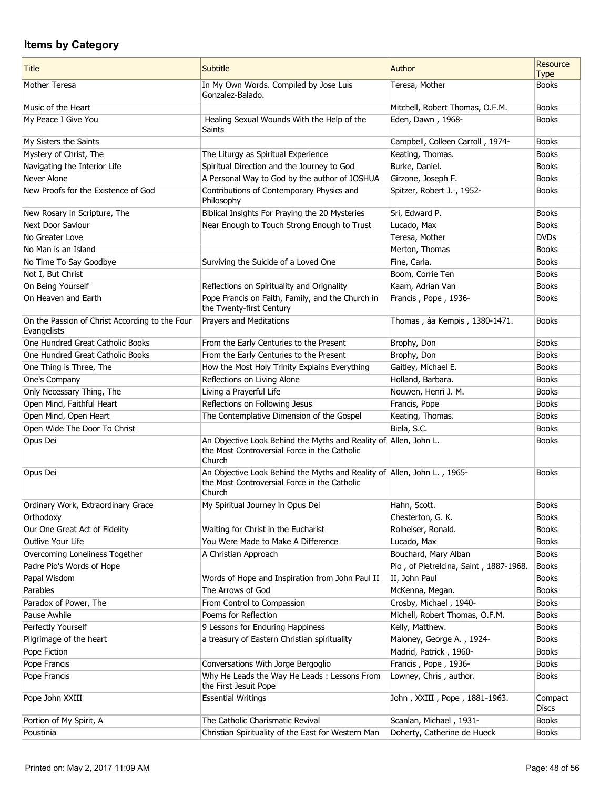| <b>Title</b>                                                  | <b>Subtitle</b>                                                                                                                   | Author                                 | Resource<br><b>Type</b> |
|---------------------------------------------------------------|-----------------------------------------------------------------------------------------------------------------------------------|----------------------------------------|-------------------------|
| Mother Teresa                                                 | In My Own Words. Compiled by Jose Luis<br>Gonzalez-Balado.                                                                        | Teresa, Mother                         | <b>Books</b>            |
| Music of the Heart                                            |                                                                                                                                   | Mitchell, Robert Thomas, O.F.M.        | <b>Books</b>            |
| My Peace I Give You                                           | Healing Sexual Wounds With the Help of the<br>Saints                                                                              | Eden, Dawn, 1968-                      | <b>Books</b>            |
| My Sisters the Saints                                         |                                                                                                                                   | Campbell, Colleen Carroll, 1974-       | <b>Books</b>            |
| Mystery of Christ, The                                        | The Liturgy as Spiritual Experience                                                                                               | Keating, Thomas.                       | <b>Books</b>            |
| Navigating the Interior Life                                  | Spiritual Direction and the Journey to God                                                                                        | Burke, Daniel.                         | <b>Books</b>            |
| Never Alone                                                   | A Personal Way to God by the author of JOSHUA                                                                                     | Girzone, Joseph F.                     | <b>Books</b>            |
| New Proofs for the Existence of God                           | Contributions of Contemporary Physics and<br>Philosophy                                                                           | Spitzer, Robert J., 1952-              | <b>Books</b>            |
| New Rosary in Scripture, The                                  | Biblical Insights For Praying the 20 Mysteries                                                                                    | Sri, Edward P.                         | <b>Books</b>            |
| Next Door Saviour                                             | Near Enough to Touch Strong Enough to Trust                                                                                       | Lucado, Max                            | <b>Books</b>            |
| No Greater Love                                               |                                                                                                                                   | Teresa, Mother                         | <b>DVDs</b>             |
| No Man is an Island                                           |                                                                                                                                   | Merton, Thomas                         | <b>Books</b>            |
| No Time To Say Goodbye                                        | Surviving the Suicide of a Loved One                                                                                              | Fine, Carla.                           | <b>Books</b>            |
| Not I, But Christ                                             |                                                                                                                                   | Boom, Corrie Ten                       | <b>Books</b>            |
| On Being Yourself                                             | Reflections on Spirituality and Orignality                                                                                        | Kaam, Adrian Van                       | <b>Books</b>            |
| On Heaven and Earth                                           | Pope Francis on Faith, Family, and the Church in<br>the Twenty-first Century                                                      | Francis, Pope, 1936-                   | <b>Books</b>            |
| On the Passion of Christ According to the Four<br>Evangelists | Prayers and Meditations                                                                                                           | Thomas, áa Kempis, 1380-1471.          | <b>Books</b>            |
| One Hundred Great Catholic Books                              | From the Early Centuries to the Present                                                                                           | Brophy, Don                            | <b>Books</b>            |
| One Hundred Great Catholic Books                              | From the Early Centuries to the Present                                                                                           | Brophy, Don                            | <b>Books</b>            |
| One Thing is Three, The                                       | How the Most Holy Trinity Explains Everything                                                                                     | Gaitley, Michael E.                    | <b>Books</b>            |
| One's Company                                                 | Reflections on Living Alone                                                                                                       | Holland, Barbara.                      | <b>Books</b>            |
| Only Necessary Thing, The                                     | Living a Prayerful Life                                                                                                           | Nouwen, Henri J. M.                    | <b>Books</b>            |
| Open Mind, Faithful Heart                                     | Reflections on Following Jesus                                                                                                    | Francis, Pope                          | <b>Books</b>            |
| Open Mind, Open Heart                                         | The Contemplative Dimension of the Gospel                                                                                         | Keating, Thomas.                       | <b>Books</b>            |
| Open Wide The Door To Christ                                  |                                                                                                                                   | Biela, S.C.                            | <b>Books</b>            |
| Opus Dei                                                      | An Objective Look Behind the Myths and Reality of Allen, John L.<br>the Most Controversial Force in the Catholic<br>Church        |                                        | <b>Books</b>            |
| Opus Dei                                                      | An Objective Look Behind the Myths and Reality of Allen, John L., 1965-<br>the Most Controversial Force in the Catholic<br>Church |                                        | <b>Books</b>            |
| Ordinary Work, Extraordinary Grace                            | My Spiritual Journey in Opus Dei                                                                                                  | Hahn, Scott.                           | <b>Books</b>            |
| Orthodoxy                                                     |                                                                                                                                   | Chesterton, G. K.                      | <b>Books</b>            |
| Our One Great Act of Fidelity                                 | Waiting for Christ in the Eucharist                                                                                               | Rolheiser, Ronald.                     | <b>Books</b>            |
| Outlive Your Life                                             | You Were Made to Make A Difference                                                                                                | Lucado, Max                            | <b>Books</b>            |
| Overcoming Loneliness Together                                | A Christian Approach                                                                                                              | Bouchard, Mary Alban                   | <b>Books</b>            |
| Padre Pio's Words of Hope                                     |                                                                                                                                   | Pio, of Pietrelcina, Saint, 1887-1968. | <b>Books</b>            |
| Papal Wisdom                                                  | Words of Hope and Inspiration from John Paul II                                                                                   | II, John Paul                          | <b>Books</b>            |
| Parables                                                      | The Arrows of God                                                                                                                 | McKenna, Megan.                        | <b>Books</b>            |
| Paradox of Power, The                                         | From Control to Compassion                                                                                                        | Crosby, Michael, 1940-                 | <b>Books</b>            |
| Pause Awhile                                                  | Poems for Reflection                                                                                                              | Michell, Robert Thomas, O.F.M.         | <b>Books</b>            |
| Perfectly Yourself                                            | 9 Lessons for Enduring Happiness                                                                                                  | Kelly, Matthew.                        | <b>Books</b>            |
| Pilgrimage of the heart                                       | a treasury of Eastern Christian spirituality                                                                                      | Maloney, George A., 1924-              | <b>Books</b>            |
| Pope Fiction                                                  |                                                                                                                                   | Madrid, Patrick, 1960-                 | <b>Books</b>            |
| Pope Francis                                                  | Conversations With Jorge Bergoglio                                                                                                | Francis, Pope, 1936-                   | <b>Books</b>            |
| Pope Francis                                                  | Why He Leads the Way He Leads: Lessons From<br>the First Jesuit Pope                                                              | Lowney, Chris, author.                 | <b>Books</b>            |
| Pope John XXIII                                               | <b>Essential Writings</b>                                                                                                         | John, XXIII, Pope, 1881-1963.          | Compact<br><b>Discs</b> |
| Portion of My Spirit, A                                       | The Catholic Charismatic Revival                                                                                                  | Scanlan, Michael, 1931-                | <b>Books</b>            |
| Poustinia                                                     | Christian Spirituality of the East for Western Man                                                                                | Doherty, Catherine de Hueck            | <b>Books</b>            |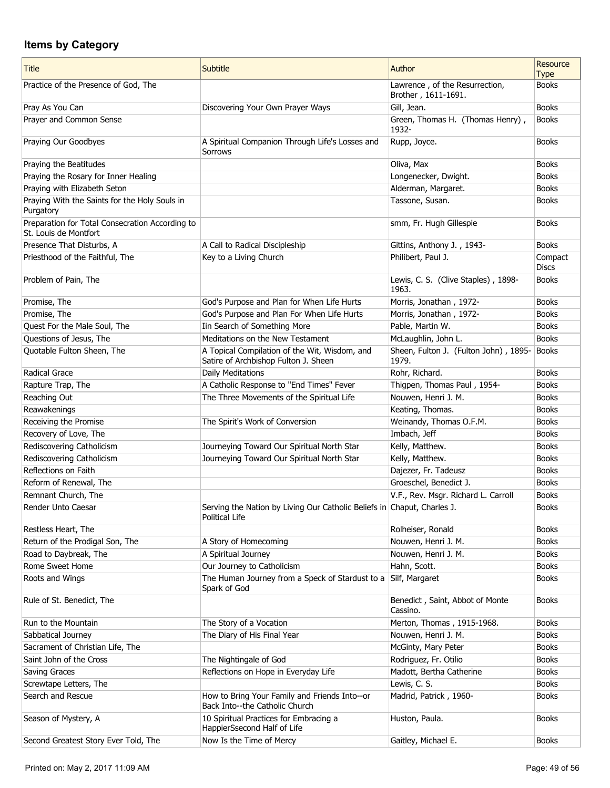| <b>Title</b>                                                             | Subtitle                                                                                  | Author                                                | Resource<br><b>Type</b> |
|--------------------------------------------------------------------------|-------------------------------------------------------------------------------------------|-------------------------------------------------------|-------------------------|
| Practice of the Presence of God, The                                     |                                                                                           | Lawrence, of the Resurrection,<br>Brother, 1611-1691. | <b>Books</b>            |
| Pray As You Can                                                          | Discovering Your Own Prayer Ways                                                          | Gill, Jean.                                           | <b>Books</b>            |
| Prayer and Common Sense                                                  |                                                                                           | Green, Thomas H. (Thomas Henry),<br>1932-             | <b>Books</b>            |
| Praying Our Goodbyes                                                     | A Spiritual Companion Through Life's Losses and<br>Sorrows                                | Rupp, Joyce.                                          | <b>Books</b>            |
| Praying the Beatitudes                                                   |                                                                                           | Oliva, Max                                            | <b>Books</b>            |
| Praying the Rosary for Inner Healing                                     |                                                                                           | Longenecker, Dwight.                                  | <b>Books</b>            |
| Praying with Elizabeth Seton                                             |                                                                                           | Alderman, Margaret.                                   | <b>Books</b>            |
| Praying With the Saints for the Holy Souls in<br>Purgatory               |                                                                                           | Tassone, Susan.                                       | <b>Books</b>            |
| Preparation for Total Consecration According to<br>St. Louis de Montfort |                                                                                           | smm, Fr. Hugh Gillespie                               | <b>Books</b>            |
| Presence That Disturbs, A                                                | A Call to Radical Discipleship                                                            | Gittins, Anthony J., 1943-                            | <b>Books</b>            |
| Priesthood of the Faithful, The                                          | Key to a Living Church                                                                    | Philibert, Paul J.                                    | Compact<br><b>Discs</b> |
| Problem of Pain, The                                                     |                                                                                           | Lewis, C. S. (Clive Staples), 1898-<br>1963.          | <b>Books</b>            |
| Promise, The                                                             | God's Purpose and Plan for When Life Hurts                                                | Morris, Jonathan, 1972-                               | <b>Books</b>            |
| Promise, The                                                             | God's Purpose and Plan For When Life Hurts                                                | Morris, Jonathan, 1972-                               | <b>Books</b>            |
| Quest For the Male Soul, The                                             | Iin Search of Something More                                                              | Pable, Martin W.                                      | <b>Books</b>            |
| Questions of Jesus, The                                                  | Meditations on the New Testament                                                          | McLaughlin, John L.                                   | <b>Books</b>            |
| Quotable Fulton Sheen, The                                               | A Topical Compilation of the Wit, Wisdom, and<br>Satire of Archbishop Fulton J. Sheen     | Sheen, Fulton J. (Fulton John), 1895-<br>1979.        | Books                   |
| Radical Grace                                                            | Daily Meditations                                                                         | Rohr, Richard.                                        | <b>Books</b>            |
| Rapture Trap, The                                                        | A Catholic Response to "End Times" Fever                                                  | Thigpen, Thomas Paul, 1954-                           | <b>Books</b>            |
| Reaching Out                                                             | The Three Movements of the Spiritual Life                                                 | Nouwen, Henri J. M.                                   | <b>Books</b>            |
| Reawakenings                                                             |                                                                                           | Keating, Thomas.                                      | <b>Books</b>            |
| Receiving the Promise                                                    | The Spirit's Work of Conversion                                                           | Weinandy, Thomas O.F.M.                               | <b>Books</b>            |
| Recovery of Love, The                                                    |                                                                                           | Imbach, Jeff                                          | <b>Books</b>            |
| Rediscovering Catholicism                                                | Journeying Toward Our Spiritual North Star                                                | Kelly, Matthew.                                       | <b>Books</b>            |
| Rediscovering Catholicism                                                | Journeying Toward Our Spiritual North Star                                                | Kelly, Matthew.                                       | <b>Books</b>            |
| Reflections on Faith                                                     |                                                                                           | Dajezer, Fr. Tadeusz                                  | <b>Books</b>            |
| Reform of Renewal, The                                                   |                                                                                           | Groeschel, Benedict J.                                | <b>Books</b>            |
| Remnant Church, The                                                      |                                                                                           | V.F., Rev. Msgr. Richard L. Carroll                   | <b>Books</b>            |
| Render Unto Caesar                                                       | Serving the Nation by Living Our Catholic Beliefs in Chaput, Charles J.<br>Political Life |                                                       | <b>Books</b>            |
| Restless Heart, The                                                      |                                                                                           | Rolheiser, Ronald                                     | <b>Books</b>            |
| Return of the Prodigal Son, The                                          | A Story of Homecoming                                                                     | Nouwen, Henri J. M.                                   | <b>Books</b>            |
| Road to Daybreak, The                                                    | A Spiritual Journey                                                                       | Nouwen, Henri J. M.                                   | <b>Books</b>            |
| Rome Sweet Home                                                          | Our Journey to Catholicism                                                                | Hahn, Scott.                                          | <b>Books</b>            |
| Roots and Wings                                                          | The Human Journey from a Speck of Stardust to a<br>Spark of God                           | Silf, Margaret                                        | <b>Books</b>            |
| Rule of St. Benedict, The                                                |                                                                                           | Benedict, Saint, Abbot of Monte<br>Cassino.           | <b>Books</b>            |
| Run to the Mountain                                                      | The Story of a Vocation                                                                   | Merton, Thomas, 1915-1968.                            | <b>Books</b>            |
| Sabbatical Journey                                                       | The Diary of His Final Year                                                               | Nouwen, Henri J. M.                                   | <b>Books</b>            |
| Sacrament of Christian Life, The                                         |                                                                                           | McGinty, Mary Peter                                   | <b>Books</b>            |
| Saint John of the Cross                                                  | The Nightingale of God                                                                    | Rodriguez, Fr. Otilio                                 | <b>Books</b>            |
| Saving Graces                                                            | Reflections on Hope in Everyday Life                                                      | Madott, Bertha Catherine                              | <b>Books</b>            |
| Screwtape Letters, The                                                   |                                                                                           | Lewis, C. S.                                          | <b>Books</b>            |
| Search and Rescue                                                        | How to Bring Your Family and Friends Into--or<br>Back Into--the Catholic Church           | Madrid, Patrick, 1960-                                | <b>Books</b>            |
| Season of Mystery, A                                                     | 10 Spiritual Practices for Embracing a<br>HappierSsecond Half of Life                     | Huston, Paula.                                        | <b>Books</b>            |
| Second Greatest Story Ever Told, The                                     | Now Is the Time of Mercy                                                                  | Gaitley, Michael E.                                   | <b>Books</b>            |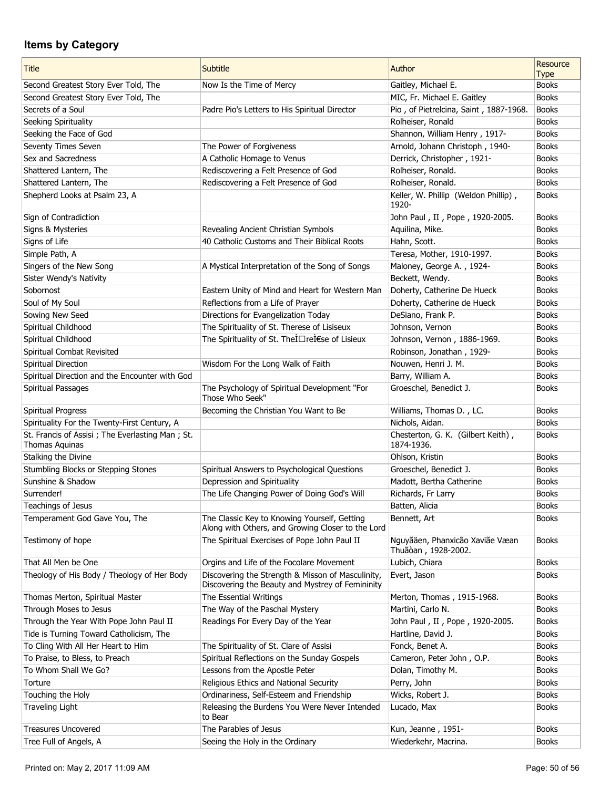| <b>Title</b>                                                        | <b>Subtitle</b>                                                                                       | Author                                                 | Resource<br><b>Type</b> |
|---------------------------------------------------------------------|-------------------------------------------------------------------------------------------------------|--------------------------------------------------------|-------------------------|
| Second Greatest Story Ever Told, The                                | Now Is the Time of Mercy                                                                              | Gaitley, Michael E.                                    | <b>Books</b>            |
| Second Greatest Story Ever Told, The                                |                                                                                                       | MIC, Fr. Michael E. Gaitley                            | <b>Books</b>            |
| Secrets of a Soul                                                   | Padre Pio's Letters to His Spiritual Director                                                         | Pio, of Pietrelcina, Saint, 1887-1968.                 | <b>Books</b>            |
| Seeking Spirituality                                                |                                                                                                       | Rolheiser, Ronald                                      | <b>Books</b>            |
| Seeking the Face of God                                             |                                                                                                       | Shannon, William Henry, 1917-                          | <b>Books</b>            |
| Seventy Times Seven                                                 | The Power of Forgiveness                                                                              | Arnold, Johann Christoph, 1940-                        | <b>Books</b>            |
| Sex and Sacredness                                                  | A Catholic Homage to Venus                                                                            | Derrick, Christopher, 1921-                            | <b>Books</b>            |
| Shattered Lantern, The                                              | Rediscovering a Felt Presence of God                                                                  | Rolheiser, Ronald.                                     | <b>Books</b>            |
| Shattered Lantern, The                                              | Rediscovering a Felt Presence of God                                                                  | Rolheiser, Ronald.                                     | <b>Books</b>            |
| Shepherd Looks at Psalm 23, A                                       |                                                                                                       | Keller, W. Phillip (Weldon Phillip),                   | <b>Books</b>            |
|                                                                     |                                                                                                       | 1920-                                                  |                         |
| Sign of Contradiction                                               |                                                                                                       | John Paul, II, Pope, 1920-2005.                        | <b>Books</b>            |
| Signs & Mysteries                                                   | Revealing Ancient Christian Symbols                                                                   | Aquilina, Mike.                                        | <b>Books</b>            |
| Signs of Life                                                       | 40 Catholic Customs and Their Biblical Roots                                                          | Hahn, Scott.                                           | <b>Books</b>            |
| Simple Path, A                                                      |                                                                                                       | Teresa, Mother, 1910-1997.                             | <b>Books</b>            |
| Singers of the New Song                                             | A Mystical Interpretation of the Song of Songs                                                        | Maloney, George A., 1924-                              | <b>Books</b>            |
| Sister Wendy's Nativity                                             |                                                                                                       | Beckett, Wendy.                                        | <b>Books</b>            |
| Sobornost                                                           | Eastern Unity of Mind and Heart for Western Man                                                       | Doherty, Catherine De Hueck                            | <b>Books</b>            |
| Soul of My Soul                                                     | Reflections from a Life of Prayer                                                                     | Doherty, Catherine de Hueck                            | <b>Books</b>            |
| Sowing New Seed                                                     | Directions for Evangelization Today                                                                   | DeSiano, Frank P.                                      | <b>Books</b>            |
| Spiritual Childhood                                                 | The Spirituality of St. Therese of Lisiseux                                                           | Johnson, Vernon                                        | <b>Books</b>            |
| Spiritual Childhood                                                 | The Spirituality of St. TheInrelese of Lisieux                                                        | Johnson, Vernon, 1886-1969.                            | <b>Books</b>            |
| Spiritual Combat Revisited                                          |                                                                                                       | Robinson, Jonathan, 1929-                              | <b>Books</b>            |
|                                                                     |                                                                                                       |                                                        | <b>Books</b>            |
| Spiritual Direction                                                 | Wisdom For the Long Walk of Faith                                                                     | Nouwen, Henri J. M.                                    |                         |
| Spiritual Direction and the Encounter with God                      |                                                                                                       | Barry, William A.                                      | <b>Books</b>            |
| Spiritual Passages                                                  | The Psychology of Spiritual Development "For<br>Those Who Seek"                                       | Groeschel, Benedict J.                                 | <b>Books</b>            |
| Spiritual Progress                                                  | Becoming the Christian You Want to Be                                                                 | Williams, Thomas D., LC.                               | <b>Books</b>            |
| Spirituality For the Twenty-First Century, A                        |                                                                                                       | Nichols, Aidan.                                        | <b>Books</b>            |
| St. Francis of Assisi ; The Everlasting Man ; St.<br>Thomas Aquinas |                                                                                                       | Chesterton, G. K. (Gilbert Keith),<br>1874-1936.       | <b>Books</b>            |
| Stalking the Divine                                                 |                                                                                                       | Ohlson, Kristin                                        | <b>Books</b>            |
| Stumbling Blocks or Stepping Stones                                 | Spiritual Answers to Psychological Questions                                                          | Groeschel, Benedict J.                                 | <b>Books</b>            |
| Sunshine & Shadow                                                   | Depression and Spirituality                                                                           | Madott, Bertha Catherine                               | <b>Books</b>            |
| Surrender!                                                          | The Life Changing Power of Doing God's Will                                                           | Richards, Fr Larry                                     | Books                   |
| <b>Teachings of Jesus</b>                                           |                                                                                                       | Batten, Alicia                                         | <b>Books</b>            |
| Temperament God Gave You, The                                       | The Classic Key to Knowing Yourself, Getting<br>Along with Others, and Growing Closer to the Lord     | Bennett, Art                                           | Books                   |
| Testimony of hope                                                   | The Spiritual Exercises of Pope John Paul II                                                          | Nguyãäen, Phanxicão Xaviãe Væan<br>Thuãòan, 1928-2002. | <b>Books</b>            |
| That All Men be One                                                 | Orgins and Life of the Focolare Movement                                                              | Lubich, Chiara                                         | <b>Books</b>            |
| Theology of His Body / Theology of Her Body                         | Discovering the Strength & Misson of Masculinity,<br>Discovering the Beauty and Mystrey of Femininity | Evert, Jason                                           | <b>Books</b>            |
| Thomas Merton, Spiritual Master                                     | The Essential Writings                                                                                | Merton, Thomas, 1915-1968.                             | <b>Books</b>            |
| Through Moses to Jesus                                              | The Way of the Paschal Mystery                                                                        | Martini, Carlo N.                                      | <b>Books</b>            |
| Through the Year With Pope John Paul II                             | Readings For Every Day of the Year                                                                    | John Paul, II, Pope, 1920-2005.                        | <b>Books</b>            |
| Tide is Turning Toward Catholicism, The                             |                                                                                                       | Hartline, David J.                                     | <b>Books</b>            |
| To Cling With All Her Heart to Him                                  | The Spirituality of St. Clare of Assisi                                                               | Fonck, Benet A.                                        | <b>Books</b>            |
| To Praise, to Bless, to Preach                                      | Spiritual Reflections on the Sunday Gospels                                                           | Cameron, Peter John, O.P.                              | <b>Books</b>            |
| To Whom Shall We Go?                                                | Lessons from the Apostle Peter                                                                        | Dolan, Timothy M.                                      | <b>Books</b>            |
| Torture                                                             | Religious Ethics and National Security                                                                | Perry, John                                            | <b>Books</b>            |
| Touching the Holy                                                   | Ordinariness, Self-Esteem and Friendship                                                              | Wicks, Robert J.                                       | <b>Books</b>            |
| <b>Traveling Light</b>                                              | Releasing the Burdens You Were Never Intended                                                         | Lucado, Max                                            | <b>Books</b>            |
|                                                                     | to Bear                                                                                               |                                                        |                         |
| <b>Treasures Uncovered</b>                                          | The Parables of Jesus                                                                                 | Kun, Jeanne, 1951-                                     | <b>Books</b>            |
| Tree Full of Angels, A                                              | Seeing the Holy in the Ordinary                                                                       | Wiederkehr, Macrina.                                   | <b>Books</b>            |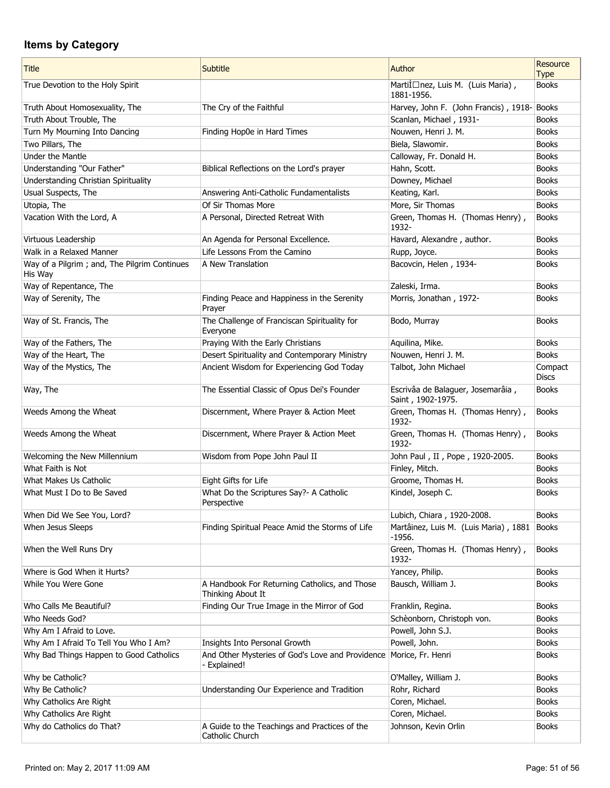| <b>Title</b>                                            | <b>Subtitle</b>                                                                  | Author                                                 | Resource<br><b>Type</b> |
|---------------------------------------------------------|----------------------------------------------------------------------------------|--------------------------------------------------------|-------------------------|
| True Devotion to the Holy Spirit                        |                                                                                  | Martilnez, Luis M. (Luis Maria),<br>1881-1956.         | <b>Books</b>            |
| Truth About Homosexuality, The                          | The Cry of the Faithful                                                          | Harvey, John F. (John Francis), 1918-Books             |                         |
| Truth About Trouble, The                                |                                                                                  | Scanlan, Michael, 1931-                                | <b>Books</b>            |
| Turn My Mourning Into Dancing                           | Finding Hop0e in Hard Times                                                      | Nouwen, Henri J. M.                                    | <b>Books</b>            |
| Two Pillars, The                                        |                                                                                  | Biela, Slawomir.                                       | <b>Books</b>            |
| Under the Mantle                                        |                                                                                  | Calloway, Fr. Donald H.                                | <b>Books</b>            |
| Understanding "Our Father"                              | Biblical Reflections on the Lord's prayer                                        | Hahn, Scott.                                           | <b>Books</b>            |
| Understanding Christian Spirituality                    |                                                                                  | Downey, Michael                                        | <b>Books</b>            |
| Usual Suspects, The                                     | Answering Anti-Catholic Fundamentalists                                          | Keating, Karl.                                         | <b>Books</b>            |
| Utopia, The                                             | Of Sir Thomas More                                                               | More, Sir Thomas                                       | <b>Books</b>            |
| Vacation With the Lord, A                               | A Personal, Directed Retreat With                                                | Green, Thomas H. (Thomas Henry),<br>1932-              | <b>Books</b>            |
| Virtuous Leadership                                     | An Agenda for Personal Excellence.                                               | Havard, Alexandre, author.                             | <b>Books</b>            |
| Walk in a Relaxed Manner                                | Life Lessons From the Camino                                                     | Rupp, Joyce.                                           | <b>Books</b>            |
| Way of a Pilgrim; and, The Pilgrim Continues<br>His Way | A New Translation                                                                | Bacovcin, Helen, 1934-                                 | <b>Books</b>            |
| Way of Repentance, The                                  |                                                                                  | Zaleski, Irma.                                         | <b>Books</b>            |
| Way of Serenity, The                                    | Finding Peace and Happiness in the Serenity<br>Prayer                            | Morris, Jonathan, 1972-                                | <b>Books</b>            |
| Way of St. Francis, The                                 | The Challenge of Franciscan Spirituality for<br>Everyone                         | Bodo, Murray                                           | <b>Books</b>            |
| Way of the Fathers, The                                 | Praying With the Early Christians                                                | Aquilina, Mike.                                        | <b>Books</b>            |
| Way of the Heart, The                                   | Desert Spirituality and Contemporary Ministry                                    | Nouwen, Henri J. M.                                    | <b>Books</b>            |
| Way of the Mystics, The                                 | Ancient Wisdom for Experiencing God Today                                        | Talbot, John Michael                                   | Compact<br><b>Discs</b> |
| Way, The                                                | The Essential Classic of Opus Dei's Founder                                      | Escrivâa de Balaguer, Josemarâia,<br>Saint, 1902-1975. | <b>Books</b>            |
| Weeds Among the Wheat                                   | Discernment, Where Prayer & Action Meet                                          | Green, Thomas H. (Thomas Henry),<br>1932-              | <b>Books</b>            |
| Weeds Among the Wheat                                   | Discernment, Where Prayer & Action Meet                                          | Green, Thomas H. (Thomas Henry),<br>1932-              | <b>Books</b>            |
| Welcoming the New Millennium                            | Wisdom from Pope John Paul II                                                    | John Paul, II, Pope, 1920-2005.                        | <b>Books</b>            |
| What Faith is Not                                       |                                                                                  | Finley, Mitch.                                         | <b>Books</b>            |
| What Makes Us Catholic                                  | Eight Gifts for Life                                                             | Groome, Thomas H.                                      | <b>Books</b>            |
| What Must I Do to Be Saved                              | What Do the Scriptures Say?- A Catholic<br>Perspective                           | Kindel, Joseph C.                                      | <b>Books</b>            |
| When Did We See You, Lord?                              |                                                                                  | Lubich, Chiara, 1920-2008.                             | <b>Books</b>            |
| When Jesus Sleeps                                       | Finding Spiritual Peace Amid the Storms of Life                                  | Martâinez, Luis M. (Luis Maria), 1881<br>$-1956.$      | Books                   |
| When the Well Runs Dry                                  |                                                                                  | Green, Thomas H. (Thomas Henry),<br>1932-              | <b>Books</b>            |
| Where is God When it Hurts?                             |                                                                                  | Yancey, Philip.                                        | <b>Books</b>            |
| While You Were Gone                                     | A Handbook For Returning Catholics, and Those<br>Thinking About It               | Bausch, William J.                                     | <b>Books</b>            |
| Who Calls Me Beautiful?                                 | Finding Our True Image in the Mirror of God                                      | Franklin, Regina.                                      | <b>Books</b>            |
| Who Needs God?                                          |                                                                                  | Schèonborn, Christoph von.                             | <b>Books</b>            |
| Why Am I Afraid to Love.                                |                                                                                  | Powell, John S.J.                                      | <b>Books</b>            |
| Why Am I Afraid To Tell You Who I Am?                   | Insights Into Personal Growth                                                    | Powell, John.                                          | <b>Books</b>            |
| Why Bad Things Happen to Good Catholics                 | And Other Mysteries of God's Love and Providence Morice, Fr. Henri<br>Explained! |                                                        | <b>Books</b>            |
| Why be Catholic?                                        |                                                                                  | O'Malley, William J.                                   | <b>Books</b>            |
| Why Be Catholic?                                        | Understanding Our Experience and Tradition                                       | Rohr, Richard                                          | <b>Books</b>            |
| Why Catholics Are Right                                 |                                                                                  | Coren, Michael.                                        | <b>Books</b>            |
| Why Catholics Are Right                                 |                                                                                  | Coren, Michael.                                        | <b>Books</b>            |
| Why do Catholics do That?                               | A Guide to the Teachings and Practices of the<br>Catholic Church                 | Johnson, Kevin Orlin                                   | <b>Books</b>            |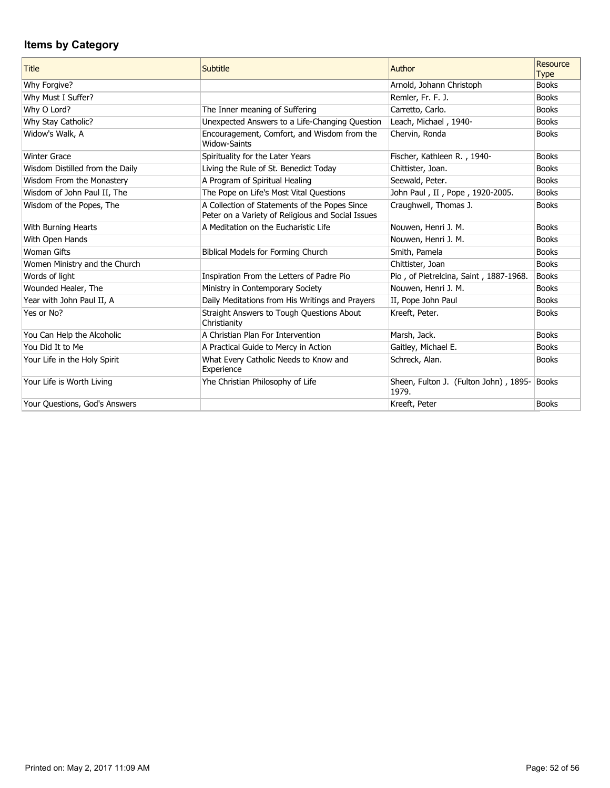| <b>Title</b>                    | Subtitle                                                                                           | Author                                         | Resource<br><b>Type</b> |
|---------------------------------|----------------------------------------------------------------------------------------------------|------------------------------------------------|-------------------------|
| Why Forgive?                    |                                                                                                    | Arnold, Johann Christoph                       | <b>Books</b>            |
| Why Must I Suffer?              |                                                                                                    | Remler, Fr. F. J.                              | <b>Books</b>            |
| Why O Lord?                     | The Inner meaning of Suffering                                                                     | Carretto, Carlo.                               | <b>Books</b>            |
| Why Stay Catholic?              | Unexpected Answers to a Life-Changing Question                                                     | Leach, Michael, 1940-                          | <b>Books</b>            |
| Widow's Walk, A                 | Encouragement, Comfort, and Wisdom from the<br><b>Widow-Saints</b>                                 | Chervin, Ronda                                 | <b>Books</b>            |
| <b>Winter Grace</b>             | Spirituality for the Later Years                                                                   | Fischer, Kathleen R., 1940-                    | <b>Books</b>            |
| Wisdom Distilled from the Daily | Living the Rule of St. Benedict Today                                                              | Chittister, Joan.                              | <b>Books</b>            |
| Wisdom From the Monastery       | A Program of Spiritual Healing                                                                     | Seewald, Peter.                                | <b>Books</b>            |
| Wisdom of John Paul II, The     | The Pope on Life's Most Vital Questions                                                            | John Paul, II, Pope, 1920-2005.                | <b>Books</b>            |
| Wisdom of the Popes, The        | A Collection of Statements of the Popes Since<br>Peter on a Variety of Religious and Social Issues | Craughwell, Thomas J.                          | <b>Books</b>            |
| With Burning Hearts             | A Meditation on the Eucharistic Life                                                               | Nouwen, Henri J. M.                            | <b>Books</b>            |
| With Open Hands                 |                                                                                                    | Nouwen, Henri J. M.                            | <b>Books</b>            |
| <b>Woman Gifts</b>              | Biblical Models for Forming Church                                                                 | Smith, Pamela                                  | <b>Books</b>            |
| Women Ministry and the Church   |                                                                                                    | Chittister, Joan                               | <b>Books</b>            |
| Words of light                  | Inspiration From the Letters of Padre Pio                                                          | Pio, of Pietrelcina, Saint, 1887-1968.         | <b>Books</b>            |
| Wounded Healer, The             | Ministry in Contemporary Society                                                                   | Nouwen, Henri J. M.                            | <b>Books</b>            |
| Year with John Paul II, A       | Daily Meditations from His Writings and Prayers                                                    | II, Pope John Paul                             | <b>Books</b>            |
| Yes or No?                      | Straight Answers to Tough Questions About<br>Christianity                                          | Kreeft, Peter.                                 | <b>Books</b>            |
| You Can Help the Alcoholic      | A Christian Plan For Intervention                                                                  | Marsh, Jack.                                   | <b>Books</b>            |
| You Did It to Me                | A Practical Guide to Mercy in Action                                                               | Gaitley, Michael E.                            | <b>Books</b>            |
| Your Life in the Holy Spirit    | What Every Catholic Needs to Know and<br>Experience                                                | Schreck, Alan.                                 | <b>Books</b>            |
| Your Life is Worth Living       | Yhe Christian Philosophy of Life                                                                   | Sheen, Fulton J. (Fulton John), 1895-<br>1979. | Books                   |
| Your Questions, God's Answers   |                                                                                                    | Kreeft, Peter                                  | <b>Books</b>            |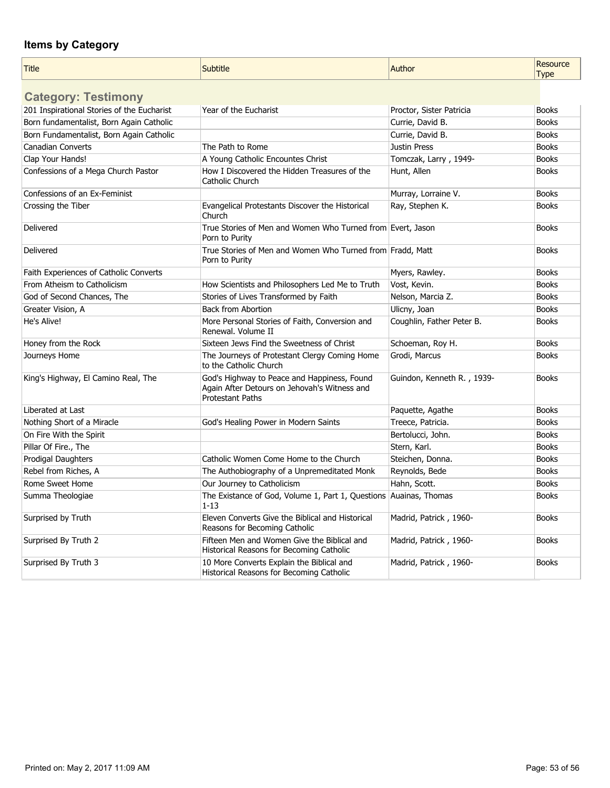| Title | - 1211<br>ofifie | <b>Author</b><br>$   -$ | 1.72114888<br>source<br>Type<br>$\mathbf{I}$ |
|-------|------------------|-------------------------|----------------------------------------------|
|       |                  |                         |                                              |

| <b>Category: Testimony</b>                 |                                                                                                                        |                            |              |
|--------------------------------------------|------------------------------------------------------------------------------------------------------------------------|----------------------------|--------------|
| 201 Inspirational Stories of the Eucharist | Year of the Eucharist                                                                                                  | Proctor, Sister Patricia   | <b>Books</b> |
| Born fundamentalist, Born Again Catholic   |                                                                                                                        | Currie, David B.           | <b>Books</b> |
| Born Fundamentalist, Born Again Catholic   |                                                                                                                        | Currie, David B.           | <b>Books</b> |
| <b>Canadian Converts</b>                   | The Path to Rome                                                                                                       | <b>Justin Press</b>        | <b>Books</b> |
| Clap Your Hands!                           | A Young Catholic Encountes Christ                                                                                      | Tomczak, Larry, 1949-      | <b>Books</b> |
| Confessions of a Mega Church Pastor        | How I Discovered the Hidden Treasures of the<br>Catholic Church                                                        | Hunt, Allen                | <b>Books</b> |
| Confessions of an Ex-Feminist              |                                                                                                                        | Murray, Lorraine V.        | <b>Books</b> |
| Crossing the Tiber                         | Evangelical Protestants Discover the Historical<br>Church                                                              | Ray, Stephen K.            | <b>Books</b> |
| Delivered                                  | True Stories of Men and Women Who Turned from Evert, Jason<br>Porn to Purity                                           |                            | <b>Books</b> |
| Delivered                                  | True Stories of Men and Women Who Turned from Fradd, Matt<br>Porn to Purity                                            |                            | <b>Books</b> |
| Faith Experiences of Catholic Converts     |                                                                                                                        | Myers, Rawley.             | <b>Books</b> |
| From Atheism to Catholicism                | How Scientists and Philosophers Led Me to Truth                                                                        | Vost, Kevin.               | <b>Books</b> |
| God of Second Chances, The                 | Stories of Lives Transformed by Faith                                                                                  | Nelson, Marcia Z.          | <b>Books</b> |
| Greater Vision, A                          | <b>Back from Abortion</b>                                                                                              | Ulicny, Joan               | <b>Books</b> |
| He's Alive!                                | More Personal Stories of Faith, Conversion and<br>Renewal. Volume II                                                   | Coughlin, Father Peter B.  | <b>Books</b> |
| Honey from the Rock                        | Sixteen Jews Find the Sweetness of Christ                                                                              | Schoeman, Roy H.           | <b>Books</b> |
| Journeys Home                              | The Journeys of Protestant Clergy Coming Home<br>to the Catholic Church                                                | Grodi, Marcus              | <b>Books</b> |
| King's Highway, El Camino Real, The        | God's Highway to Peace and Happiness, Found<br>Again After Detours on Jehovah's Witness and<br><b>Protestant Paths</b> | Guindon, Kenneth R., 1939- | <b>Books</b> |
| Liberated at Last                          |                                                                                                                        | Paquette, Agathe           | <b>Books</b> |
| Nothing Short of a Miracle                 | God's Healing Power in Modern Saints                                                                                   | Treece, Patricia.          | <b>Books</b> |
| On Fire With the Spirit                    |                                                                                                                        | Bertolucci, John.          | <b>Books</b> |
| Pillar Of Fire., The                       |                                                                                                                        | Stern, Karl.               | <b>Books</b> |
| <b>Prodigal Daughters</b>                  | Catholic Women Come Home to the Church                                                                                 | Steichen, Donna.           | <b>Books</b> |
| Rebel from Riches, A                       | The Authobiography of a Unpremeditated Monk                                                                            | Reynolds, Bede             | <b>Books</b> |
| Rome Sweet Home                            | Our Journey to Catholicism                                                                                             | Hahn, Scott.               | <b>Books</b> |
| Summa Theologiae                           | The Existance of God, Volume 1, Part 1, Questions<br>$1 - 13$                                                          | Auainas, Thomas            | <b>Books</b> |
| Surprised by Truth                         | Eleven Converts Give the Biblical and Historical<br>Reasons for Becoming Catholic                                      | Madrid, Patrick, 1960-     | <b>Books</b> |
| Surprised By Truth 2                       | Fifteen Men and Women Give the Biblical and<br>Historical Reasons for Becoming Catholic                                | Madrid, Patrick, 1960-     | <b>Books</b> |
| Surprised By Truth 3                       | 10 More Converts Explain the Biblical and<br>Historical Reasons for Becoming Catholic                                  | Madrid, Patrick, 1960-     | <b>Books</b> |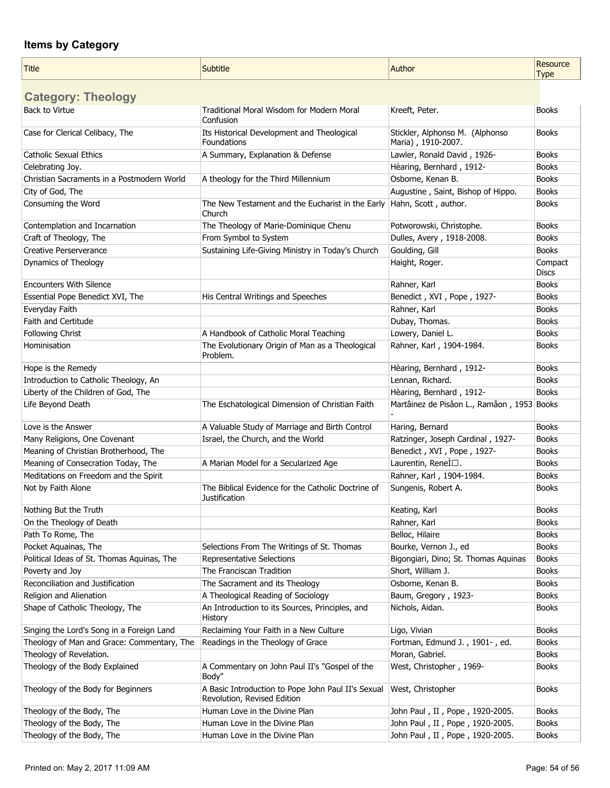| <b>Title</b>                               | Subtitle                                                                          | Author                                     | Resource                |
|--------------------------------------------|-----------------------------------------------------------------------------------|--------------------------------------------|-------------------------|
|                                            |                                                                                   |                                            | <b>Type</b>             |
| <b>Category: Theology</b>                  |                                                                                   |                                            |                         |
| <b>Back to Virtue</b>                      | Traditional Moral Wisdom for Modern Moral                                         | Kreeft, Peter.                             | <b>Books</b>            |
| Case for Clerical Celibacy, The            | Confusion<br>Its Historical Development and Theological                           | Stickler, Alphonso M. (Alphonso            | <b>Books</b>            |
|                                            | Foundations                                                                       | Maria), 1910-2007.                         |                         |
| <b>Catholic Sexual Ethics</b>              | A Summary, Explanation & Defense                                                  | Lawler, Ronald David, 1926-                | <b>Books</b>            |
| Celebrating Joy.                           |                                                                                   | Hèaring, Bernhard, 1912-                   | <b>Books</b>            |
| Christian Sacraments in a Postmodern World | A theology for the Third Millennium                                               | Osborne, Kenan B.                          | <b>Books</b>            |
| City of God, The                           |                                                                                   | Augustine, Saint, Bishop of Hippo.         | <b>Books</b>            |
| Consuming the Word                         | The New Testament and the Eucharist in the Early<br>Church                        | Hahn, Scott, author.                       | <b>Books</b>            |
| Contemplation and Incarnation              | The Theology of Marie-Dominique Chenu                                             | Potworowski, Christophe.                   | <b>Books</b>            |
| Craft of Theology, The                     | From Symbol to System                                                             | Dulles, Avery, 1918-2008.                  | <b>Books</b>            |
| <b>Creative Perserverance</b>              | Sustaining Life-Giving Ministry in Today's Church                                 | Goulding, Gill                             | <b>Books</b>            |
| Dynamics of Theology                       |                                                                                   | Haight, Roger.                             | Compact<br><b>Discs</b> |
| <b>Encounters With Silence</b>             |                                                                                   | Rahner, Karl                               | <b>Books</b>            |
| Essential Pope Benedict XVI, The           | His Central Writings and Speeches                                                 | Benedict, XVI, Pope, 1927-                 | <b>Books</b>            |
| Everyday Faith                             |                                                                                   | Rahner, Karl                               | <b>Books</b>            |
| Faith and Certitude                        |                                                                                   | Dubay, Thomas.                             | <b>Books</b>            |
| <b>Following Christ</b>                    | A Handbook of Catholic Moral Teaching                                             | Lowery, Daniel L.                          | <b>Books</b>            |
| Hominisation                               | The Evolutionary Origin of Man as a Theological<br>Problem.                       | Rahner, Karl, 1904-1984.                   | <b>Books</b>            |
| Hope is the Remedy                         |                                                                                   | Hèaring, Bernhard, 1912-                   | <b>Books</b>            |
| Introduction to Catholic Theology, An      |                                                                                   | Lennan, Richard.                           | <b>Books</b>            |
| Liberty of the Children of God, The        |                                                                                   | Hèaring, Bernhard, 1912-                   | <b>Books</b>            |
| Life Beyond Death                          | The Eschatological Dimension of Christian Faith                                   | Martâinez de Pisâon L., Ramâon, 1953 Books |                         |
| Love is the Answer                         | A Valuable Study of Marriage and Birth Control                                    | Haring, Bernard                            | <b>Books</b>            |
| Many Religions, One Covenant               | Israel, the Church, and the World                                                 | Ratzinger, Joseph Cardinal, 1927-          | <b>Books</b>            |
| Meaning of Christian Brotherhood, The      |                                                                                   | Benedict, XVI, Pope, 1927-                 | <b>Books</b>            |
| Meaning of Consecration Today, The         | A Marian Model for a Secularized Age                                              | Laurentin, ReneÌ□.                         | <b>Books</b>            |
| Meditations on Freedom and the Spirit      |                                                                                   | Rahner, Karl, 1904-1984.                   | <b>Books</b>            |
| Not by Faith Alone                         | The Biblical Evidence for the Catholic Doctrine of<br><b>Justification</b>        | Sungenis, Robert A.                        | <b>Books</b>            |
| Nothing But the Truth                      |                                                                                   | Keating, Karl                              | Books                   |
| On the Theology of Death                   |                                                                                   | Rahner, Karl                               | <b>Books</b>            |
| Path To Rome, The                          |                                                                                   | Belloc, Hilaire                            | <b>Books</b>            |
| Pocket Aquainas, The                       | Selections From The Writings of St. Thomas                                        | Bourke, Vernon J., ed                      | <b>Books</b>            |
| Political Ideas of St. Thomas Aquinas, The | Representative Selections                                                         | Bigongiari, Dino; St. Thomas Aquinas       | <b>Books</b>            |
| Poverty and Joy                            | The Franciscan Tradition                                                          | Short, William J.                          | <b>Books</b>            |
| Reconciliation and Justification           | The Sacrament and its Theology                                                    | Osborne, Kenan B.                          | <b>Books</b>            |
| Religion and Alienation                    | A Theological Reading of Sociology                                                | Baum, Gregory, 1923-                       | <b>Books</b>            |
| Shape of Catholic Theology, The            | An Introduction to its Sources, Principles, and<br>History                        | Nichols, Aidan.                            | <b>Books</b>            |
| Singing the Lord's Song in a Foreign Land  | Reclaiming Your Faith in a New Culture                                            | Ligo, Vivian                               | <b>Books</b>            |
| Theology of Man and Grace: Commentary, The | Readings in the Theology of Grace                                                 | Fortman, Edmund J., 1901-, ed.             | <b>Books</b>            |
| Theology of Revelation.                    |                                                                                   | Moran, Gabriel.                            | Books                   |
| Theology of the Body Explained             | A Commentary on John Paul II's "Gospel of the<br>Body"                            | West, Christopher, 1969-                   | <b>Books</b>            |
| Theology of the Body for Beginners         | A Basic Introduction to Pope John Paul II's Sexual<br>Revolution, Revised Edition | West, Christopher                          | <b>Books</b>            |
| Theology of the Body, The                  | Human Love in the Divine Plan                                                     | John Paul, II, Pope, 1920-2005.            | <b>Books</b>            |
| Theology of the Body, The                  | Human Love in the Divine Plan                                                     | John Paul, II, Pope, 1920-2005.            | <b>Books</b>            |
| Theology of the Body, The                  | Human Love in the Divine Plan                                                     | John Paul, II, Pope, 1920-2005.            | <b>Books</b>            |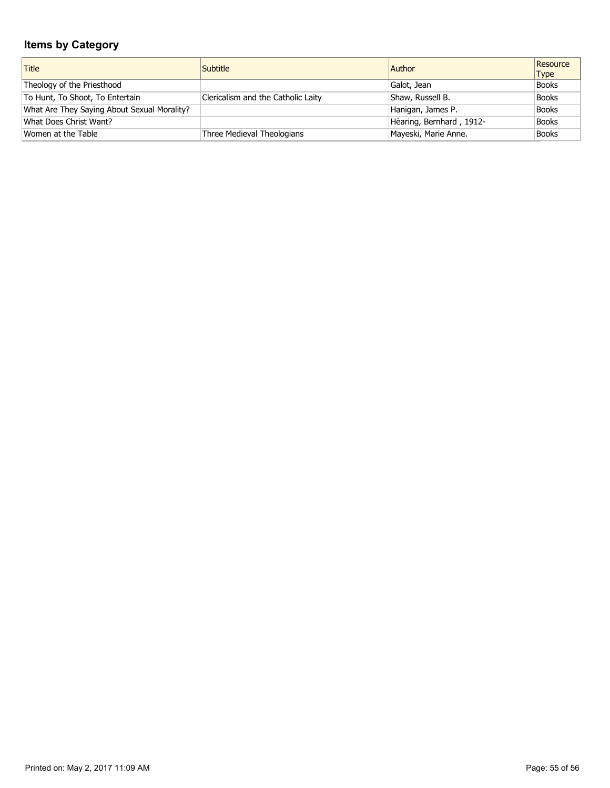| Title                                       | <b>Subtitle</b>                    | Author                   | Resource<br><b>Type</b> |
|---------------------------------------------|------------------------------------|--------------------------|-------------------------|
| Theology of the Priesthood                  |                                    | Galot, Jean              | <b>Books</b>            |
| To Hunt, To Shoot, To Entertain             | Clericalism and the Catholic Laity | Shaw, Russell B.         | <b>Books</b>            |
| What Are They Saying About Sexual Morality? |                                    | Hanigan, James P.        | <b>Books</b>            |
| What Does Christ Want?                      |                                    | Hèaring, Bernhard, 1912- | <b>Books</b>            |
| Women at the Table                          | Three Medieval Theologians         | Mayeski, Marie Anne.     | <b>Books</b>            |